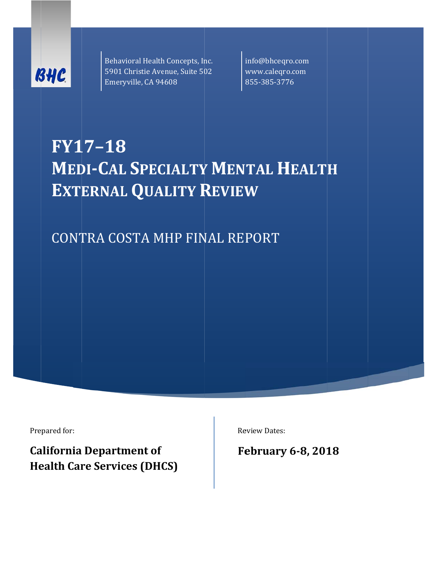

Behavioral Health Concepts, Inc. 5901 Christie Avenue, Suite 502 w Emeryville, CA 94608

info@bhceqr ro.com www.caleqr o.com 855‐385‐377 76 

# **FY1 17–18 WEDI-CAL SPECIALTY MENTAL HEALTH EXTERNAL QUALITY REVIEW**

CONTRA COSTA MHP FINAL REPORT

Prepared for:

**California Department of Health Care Services (DHCS)**  Review Dates:

**Fe ebruary y 6‐8, 201 8**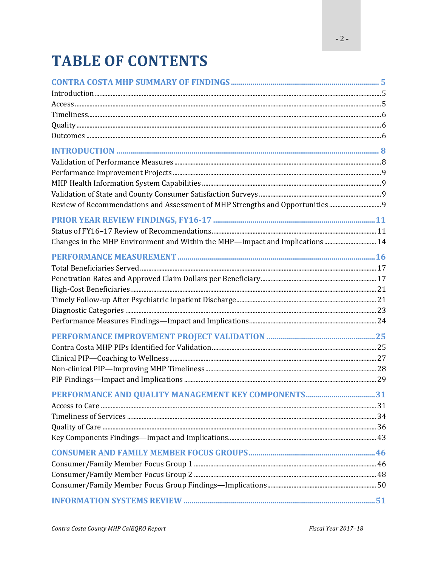# **TABLE OF CONTENTS**

| Review of Recommendations and Assessment of MHP Strengths and Opportunities 9 |  |
|-------------------------------------------------------------------------------|--|
|                                                                               |  |
|                                                                               |  |
| Changes in the MHP Environment and Within the MHP—Impact and Implications  14 |  |
|                                                                               |  |
|                                                                               |  |
|                                                                               |  |
|                                                                               |  |
|                                                                               |  |
|                                                                               |  |
|                                                                               |  |
|                                                                               |  |
|                                                                               |  |
|                                                                               |  |
|                                                                               |  |
|                                                                               |  |
|                                                                               |  |
|                                                                               |  |
|                                                                               |  |
|                                                                               |  |
|                                                                               |  |
|                                                                               |  |
|                                                                               |  |
|                                                                               |  |
|                                                                               |  |
|                                                                               |  |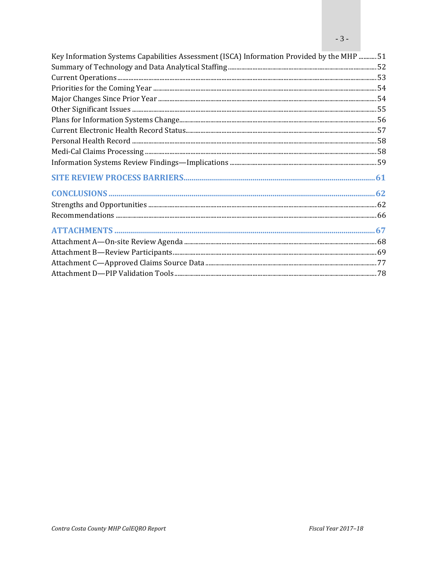| Key Information Systems Capabilities Assessment (ISCA) Information Provided by the MHP  51 |  |
|--------------------------------------------------------------------------------------------|--|
|                                                                                            |  |
|                                                                                            |  |
|                                                                                            |  |
|                                                                                            |  |
|                                                                                            |  |
|                                                                                            |  |
|                                                                                            |  |
|                                                                                            |  |
|                                                                                            |  |
|                                                                                            |  |
|                                                                                            |  |
|                                                                                            |  |
|                                                                                            |  |
|                                                                                            |  |
|                                                                                            |  |
|                                                                                            |  |
|                                                                                            |  |
|                                                                                            |  |
|                                                                                            |  |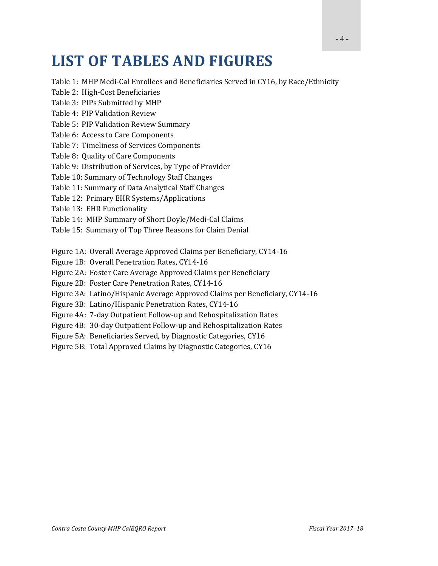## **LIST OF TABLES AND FIGURES**

- Table 1: MHP Medi-Cal Enrollees and Beneficiaries Served in CY16, by Race/Ethnicity
- Table 2: High-Cost Beneficiaries
- Table 3: PIPs Submitted by MHP
- Table 4: PIP Validation Review
- Table 5: PIP Validation Review Summary
- Table 6: Access to Care Components
- Table 7: Timeliness of Services Components
- Table 8: Quality of Care Components
- Table 9: Distribution of Services, by Type of Provider
- Table 10: Summary of Technology Staff Changes
- Table 11: Summary of Data Analytical Staff Changes
- Table 12: Primary EHR Systems/Applications
- Table 13: EHR Functionality
- Table 14: MHP Summary of Short Doyle/Medi-Cal Claims
- Table 15: Summary of Top Three Reasons for Claim Denial
- Figure 1A: Overall Average Approved Claims per Beneficiary, CY14-16
- Figure 1B: Overall Penetration Rates, CY14-16
- Figure 2A: Foster Care Average Approved Claims per Beneficiary
- Figure 2B: Foster Care Penetration Rates, CY14-16
- Figure 3A: Latino/Hispanic Average Approved Claims per Beneficiary, CY14-16
- Figure 3B: Latino/Hispanic Penetration Rates, CY14-16
- Figure 4A: 7-day Outpatient Follow-up and Rehospitalization Rates
- Figure 4B: 30-day Outpatient Follow-up and Rehospitalization Rates
- Figure 5A: Beneficiaries Served, by Diagnostic Categories, CY16
- Figure 5B: Total Approved Claims by Diagnostic Categories, CY16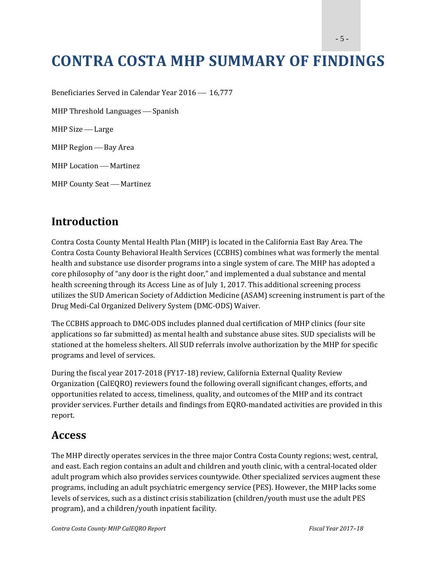- 5 -

## **CONTRA COSTA MHP SUMMARY OF FINDINGS**

Beneficiaries Served in Calendar Year 2016 16,777

MHP Threshold Languages  $-$  Spanish

MHP Size - Large

MHP Region — Bay Area

MHP Location - Martinez

MHP County Seat - Martinez

#### **Introduction**

Contra Costa County Mental Health Plan (MHP) is located in the California East Bay Area. The Contra Costa County Behavioral Health Services (CCBHS) combines what was formerly the mental health and substance use disorder programs into a single system of care. The MHP has adopted a core philosophy of "any door is the right door," and implemented a dual substance and mental health screening through its Access Line as of July 1, 2017. This additional screening process utilizes the SUD American Society of Addiction Medicine (ASAM) screening instrument is part of the Drug Medi-Cal Organized Delivery System (DMC-ODS) Waiver.

The CCBHS approach to DMC-ODS includes planned dual certification of MHP clinics (four site applications so far submitted) as mental health and substance abuse sites. SUD specialists will be stationed at the homeless shelters. All SUD referrals involve authorization by the MHP for specific programs and level of services.

During the fiscal year 2017-2018 (FY17-18) review, California External Quality Review Organization (CalEQRO) reviewers found the following overall significant changes, efforts, and opportunities related to access, timeliness, quality, and outcomes of the MHP and its contract provider services. Further details and findings from EQRO-mandated activities are provided in this report. 

#### **Access**

The MHP directly operates services in the three major Contra Costa County regions; west, central, and east. Each region contains an adult and children and youth clinic, with a central-located older adult program which also provides services countywide. Other specialized services augment these programs, including an adult psychiatric emergency service (PES). However, the MHP lacks some levels of services, such as a distinct crisis stabilization (children/youth must use the adult PES program), and a children/youth inpatient facility.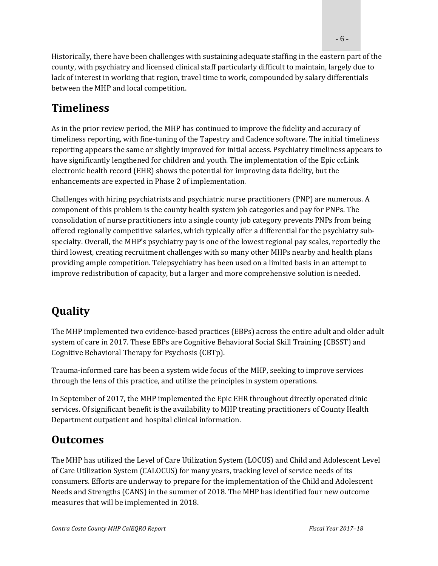Historically, there have been challenges with sustaining adequate staffing in the eastern part of the county, with psychiatry and licensed clinical staff particularly difficult to maintain, largely due to lack of interest in working that region, travel time to work, compounded by salary differentials between the MHP and local competition.

### **Timeliness**

As in the prior review period, the MHP has continued to improve the fidelity and accuracy of timeliness reporting, with fine-tuning of the Tapestry and Cadence software. The initial timeliness reporting appears the same or slightly improved for initial access. Psychiatry timeliness appears to have significantly lengthened for children and youth. The implementation of the Epic ccLink electronic health record (EHR) shows the potential for improving data fidelity, but the enhancements are expected in Phase 2 of implementation.

Challenges with hiring psychiatrists and psychiatric nurse practitioners (PNP) are numerous. A component of this problem is the county health system job categories and pay for PNPs. The consolidation of nurse practitioners into a single county job category prevents PNPs from being offered regionally competitive salaries, which typically offer a differential for the psychiatry subspecialty. Overall, the MHP's psychiatry pay is one of the lowest regional pay scales, reportedly the third lowest, creating recruitment challenges with so many other MHPs nearby and health plans providing ample competition. Telepsychiatry has been used on a limited basis in an attempt to improve redistribution of capacity, but a larger and more comprehensive solution is needed.

### **Quality**

The MHP implemented two evidence-based practices (EBPs) across the entire adult and older adult system of care in 2017. These EBPs are Cognitive Behavioral Social Skill Training (CBSST) and Cognitive Behavioral Therapy for Psychosis (CBTp).

Trauma-informed care has been a system wide focus of the MHP, seeking to improve services through the lens of this practice, and utilize the principles in system operations.

In September of 2017, the MHP implemented the Epic EHR throughout directly operated clinic services. Of significant benefit is the availability to MHP treating practitioners of County Health Department outpatient and hospital clinical information.

### **Outcomes**

The MHP has utilized the Level of Care Utilization System (LOCUS) and Child and Adolescent Level of Care Utilization System (CALOCUS) for many years, tracking level of service needs of its consumers. Efforts are underway to prepare for the implementation of the Child and Adolescent Needs and Strengths (CANS) in the summer of 2018. The MHP has identified four new outcome measures that will be implemented in 2018.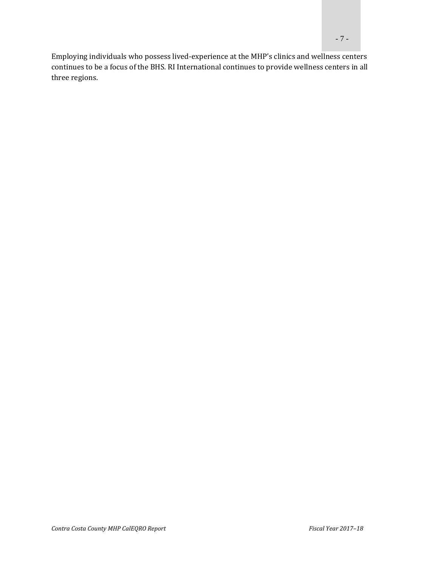Employing individuals who possess lived-experience at the MHP's clinics and wellness centers continues to be a focus of the BHS. RI International continues to provide wellness centers in all three regions.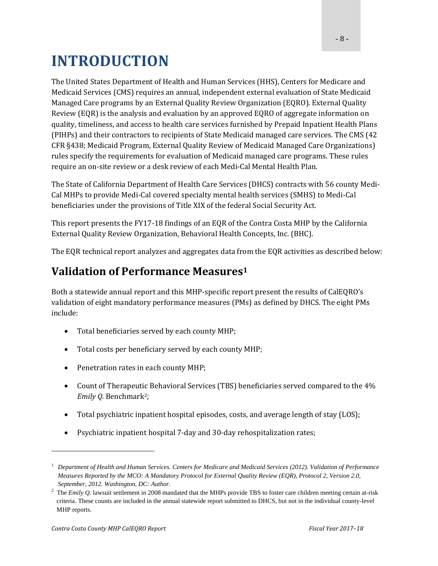## **INTRODUCTION**

The United States Department of Health and Human Services (HHS), Centers for Medicare and Medicaid Services (CMS) requires an annual, independent external evaluation of State Medicaid Managed Care programs by an External Quality Review Organization (EQRO). External Quality Review (EQR) is the analysis and evaluation by an approved EQRO of aggregate information on quality, timeliness, and access to health care services furnished by Prepaid Inpatient Health Plans (PIHPs) and their contractors to recipients of State Medicaid managed care services. The CMS (42) CFR §438; Medicaid Program, External Quality Review of Medicaid Managed Care Organizations) rules specify the requirements for evaluation of Medicaid managed care programs. These rules require an on-site review or a desk review of each Medi-Cal Mental Health Plan.

The State of California Department of Health Care Services (DHCS) contracts with 56 county Medi-Cal MHPs to provide Medi-Cal covered specialty mental health services (SMHS) to Medi-Cal beneficiaries under the provisions of Title XIX of the federal Social Security Act.

This report presents the FY17-18 findings of an EQR of the Contra Costa MHP by the California External Quality Review Organization, Behavioral Health Concepts, Inc. (BHC).

The EQR technical report analyzes and aggregates data from the EQR activities as described below:

#### **Validation of Performance Measures1**

Both a statewide annual report and this MHP-specific report present the results of CalEQRO's validation of eight mandatory performance measures (PMs) as defined by DHCS. The eight PMs include: 

- Total beneficiaries served by each county MHP;
- Total costs per beneficiary served by each county MHP;
- Penetration rates in each county MHP;
- Count of Therapeutic Behavioral Services (TBS) beneficiaries served compared to the 4% *Emily Q.* Benchmark<sup>2</sup>;
- Total psychiatric inpatient hospital episodes, costs, and average length of stay (LOS);
- Psychiatric inpatient hospital 7-day and 30-day rehospitalization rates;

<sup>&</sup>lt;sup>1</sup> Department of Health and Human Services. Centers for Medicare and Medicaid Services (2012). Validation of Performance *Measures Reported by the MCO: A Mandatory Protocol for External Quality Review (EQR), Protocol 2, Version 2.0, September, 2012. Washington, DC: Author.* 

<sup>&</sup>lt;sup>2</sup> The *Emily Q*. lawsuit settlement in 2008 mandated that the MHPs provide TBS to foster care children meeting certain at-risk criteria. These counts are included in the annual statewide report submitted to DHCS, but not in the individual county-level MHP reports.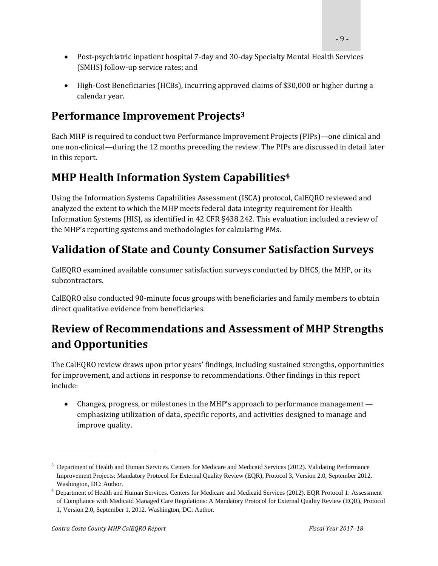- Post-psychiatric inpatient hospital 7-day and 30-day Specialty Mental Health Services (SMHS) follow-up service rates; and
- High-Cost Beneficiaries (HCBs), incurring approved claims of \$30,000 or higher during a calendar year.

### **Performance Improvement Projects3**

Each MHP is required to conduct two Performance Improvement Projects (PIPs)—one clinical and one non-clinical—during the 12 months preceding the review. The PIPs are discussed in detail later in this report.

### **MHP Health Information System Capabilities4**

Using the Information Systems Capabilities Assessment (ISCA) protocol, CalEQRO reviewed and analyzed the extent to which the MHP meets federal data integrity requirement for Health Information Systems (HIS), as identified in 42 CFR §438.242. This evaluation included a review of the MHP's reporting systems and methodologies for calculating PMs.

### **Validation of State and County Consumer Satisfaction Surveys**

CalEQRO examined available consumer satisfaction surveys conducted by DHCS, the MHP, or its subcontractors. 

CalEQRO also conducted 90-minute focus groups with beneficiaries and family members to obtain direct qualitative evidence from beneficiaries.

### **Review of Recommendations and Assessment of MHP Strengths and Opportunities**

The CalEQRO review draws upon prior years' findings, including sustained strengths, opportunities for improvement, and actions in response to recommendations. Other findings in this report include: 

• Changes, progress, or milestones in the MHP's approach to performance management emphasizing utilization of data, specific reports, and activities designed to manage and improve quality.

<sup>&</sup>lt;sup>3</sup> Department of Health and Human Services. Centers for Medicare and Medicaid Services (2012). Validating Performance Improvement Projects: Mandatory Protocol for External Quality Review (EQR), Protocol 3, Version 2.0, September 2012. Washington, DC: Author.

<sup>4</sup> Department of Health and Human Services. Centers for Medicare and Medicaid Services (2012). EQR Protocol 1: Assessment of Compliance with Medicaid Managed Care Regulations: A Mandatory Protocol for External Quality Review (EQR), Protocol 1, Version 2.0, September 1, 2012. Washington, DC: Author.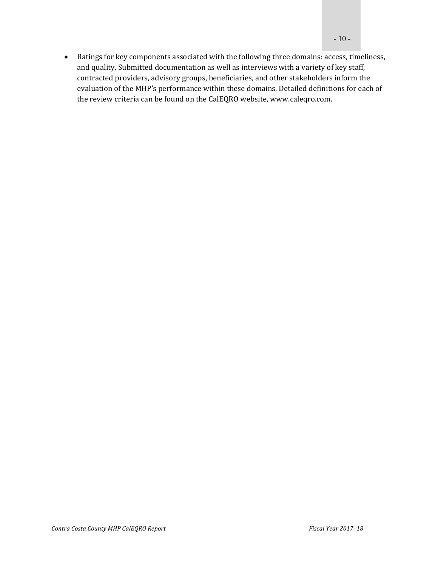• Ratings for key components associated with the following three domains: access, timeliness, and quality. Submitted documentation as well as interviews with a variety of key staff, contracted providers, advisory groups, beneficiaries, and other stakeholders inform the evaluation of the MHP's performance within these domains. Detailed definitions for each of the review criteria can be found on the CalEQRO website, www.caleqro.com.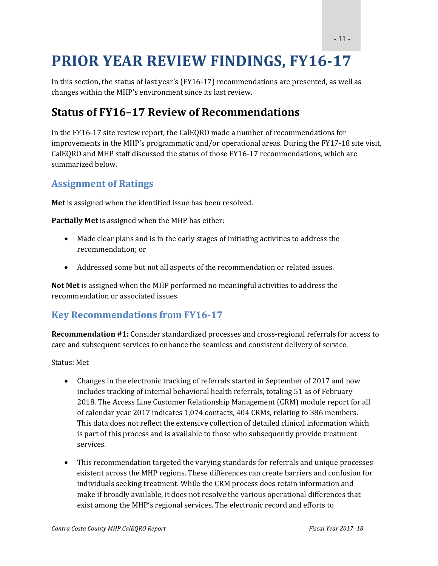## **PRIOR YEAR REVIEW FINDINGS, FY16‐17**

In this section, the status of last year's  $(FY16-17)$  recommendations are presented, as well as changes within the MHP's environment since its last review.

#### **Status of FY16–17 Review of Recommendations**

In the FY16-17 site review report, the CalEORO made a number of recommendations for improvements in the MHP's programmatic and/or operational areas. During the FY17-18 site visit, CalEQRO and MHP staff discussed the status of those FY16-17 recommendations, which are summarized below.

#### **Assignment of Ratings**

**Met** is assigned when the identified issue has been resolved.

**Partially Met** is assigned when the MHP has either:

- Made clear plans and is in the early stages of initiating activities to address the recommendation; or
- Addressed some but not all aspects of the recommendation or related issues.

**Not Met** is assigned when the MHP performed no meaningful activities to address the recommendation or associated issues.

#### **Key Recommendations from FY16‐17**

**Recommendation #1:** Consider standardized processes and cross-regional referrals for access to care and subsequent services to enhance the seamless and consistent delivery of service.

Status: Met

- Changes in the electronic tracking of referrals started in September of 2017 and now includes tracking of internal behavioral health referrals, totaling 51 as of February 2018. The Access Line Customer Relationship Management (CRM) module report for all of calendar year 2017 indicates 1,074 contacts, 404 CRMs, relating to 386 members. This data does not reflect the extensive collection of detailed clinical information which is part of this process and is available to those who subsequently provide treatment services.
- This recommendation targeted the varying standards for referrals and unique processes existent across the MHP regions. These differences can create barriers and confusion for individuals seeking treatment. While the CRM process does retain information and make if broadly available, it does not resolve the various operational differences that exist among the MHP's regional services. The electronic record and efforts to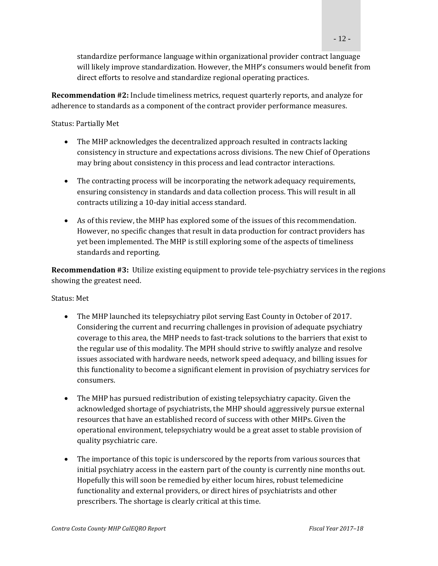standardize performance language within organizational provider contract language will likely improve standardization. However, the MHP's consumers would benefit from direct efforts to resolve and standardize regional operating practices.

**Recommendation** #2: Include timeliness metrics, request quarterly reports, and analyze for adherence to standards as a component of the contract provider performance measures.

Status: Partially Met

- The MHP acknowledges the decentralized approach resulted in contracts lacking consistency in structure and expectations across divisions. The new Chief of Operations may bring about consistency in this process and lead contractor interactions.
- The contracting process will be incorporating the network adequacy requirements, ensuring consistency in standards and data collection process. This will result in all contracts utilizing a 10-day initial access standard.
- As of this review, the MHP has explored some of the issues of this recommendation. However, no specific changes that result in data production for contract providers has yet been implemented. The MHP is still exploring some of the aspects of timeliness standards and reporting.

**Recommendation** #3: Utilize existing equipment to provide tele-psychiatry services in the regions showing the greatest need.

#### Status: Met

- The MHP launched its telepsychiatry pilot serving East County in October of 2017. Considering the current and recurring challenges in provision of adequate psychiatry coverage to this area, the MHP needs to fast-track solutions to the barriers that exist to the regular use of this modality. The MPH should strive to swiftly analyze and resolve issues associated with hardware needs, network speed adequacy, and billing issues for this functionality to become a significant element in provision of psychiatry services for consumers.
- The MHP has pursued redistribution of existing telepsychiatry capacity. Given the acknowledged shortage of psychiatrists, the MHP should aggressively pursue external resources that have an established record of success with other MHPs. Given the operational environment, telepsychiatry would be a great asset to stable provision of quality psychiatric care.
- The importance of this topic is underscored by the reports from various sources that initial psychiatry access in the eastern part of the county is currently nine months out. Hopefully this will soon be remedied by either locum hires, robust telemedicine functionality and external providers, or direct hires of psychiatrists and other prescribers. The shortage is clearly critical at this time.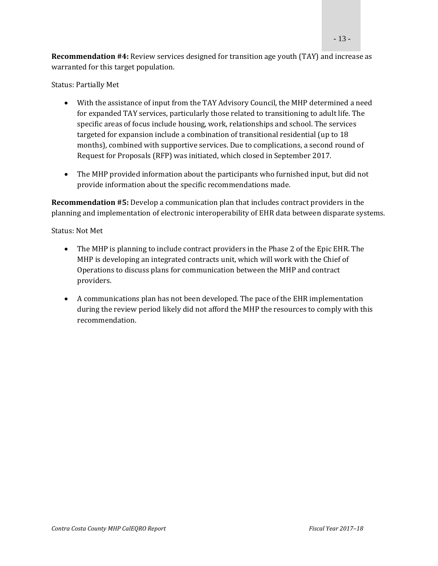**Recommendation #4:** Review services designed for transition age youth (TAY) and increase as warranted for this target population.

Status: Partially Met

- With the assistance of input from the TAY Advisory Council, the MHP determined a need for expanded TAY services, particularly those related to transitioning to adult life. The specific areas of focus include housing, work, relationships and school. The services targeted for expansion include a combination of transitional residential (up to  $18$ ) months), combined with supportive services. Due to complications, a second round of Request for Proposals (RFP) was initiated, which closed in September 2017.
- The MHP provided information about the participants who furnished input, but did not provide information about the specific recommendations made.

**Recommendation #5:** Develop a communication plan that includes contract providers in the planning and implementation of electronic interoperability of EHR data between disparate systems.

Status: Not Met 

- The MHP is planning to include contract providers in the Phase 2 of the Epic EHR. The MHP is developing an integrated contracts unit, which will work with the Chief of Operations to discuss plans for communication between the MHP and contract providers.
- A communications plan has not been developed. The pace of the EHR implementation during the review period likely did not afford the MHP the resources to comply with this recommendation.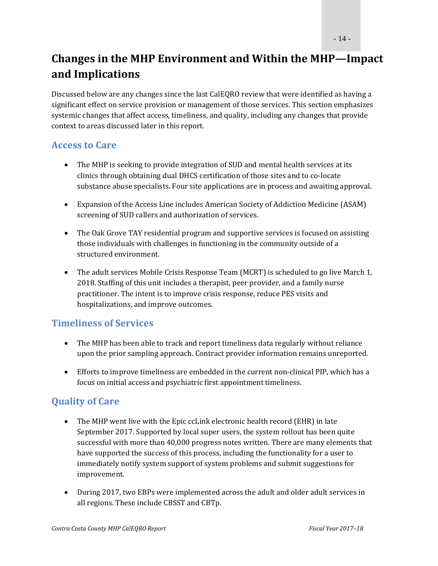### **Changes in the MHP Environment and Within the MHP—Impact and Implications**

Discussed below are any changes since the last CalEQRO review that were identified as having a significant effect on service provision or management of those services. This section emphasizes systemic changes that affect access, timeliness, and quality, including any changes that provide context to areas discussed later in this report.

#### **Access to Care**

- The MHP is seeking to provide integration of SUD and mental health services at its clinics through obtaining dual DHCS certification of those sites and to co-locate substance abuse specialists. Four site applications are in process and awaiting approval.
- Expansion of the Access Line includes American Society of Addiction Medicine (ASAM) screening of SUD callers and authorization of services.
- The Oak Grove TAY residential program and supportive services is focused on assisting those individuals with challenges in functioning in the community outside of a structured environment.
- The adult services Mobile Crisis Response Team (MCRT) is scheduled to go live March 1, 2018. Staffing of this unit includes a therapist, peer provider, and a family nurse practitioner. The intent is to improve crisis response, reduce PES visits and hospitalizations, and improve outcomes.

#### **Timeliness of Services**

- The MHP has been able to track and report timeliness data regularly without reliance upon the prior sampling approach. Contract provider information remains unreported.
- Efforts to improve timeliness are embedded in the current non-clinical PIP, which has a focus on initial access and psychiatric first appointment timeliness.

#### **Quality of Care**

- The MHP went live with the Epic ccLink electronic health record (EHR) in late September 2017. Supported by local super users, the system rollout has been quite successful with more than 40,000 progress notes written. There are many elements that have supported the success of this process, including the functionality for a user to immediately notify system support of system problems and submit suggestions for improvement.
- During 2017, two EBPs were implemented across the adult and older adult services in all regions. These include CBSST and CBTp.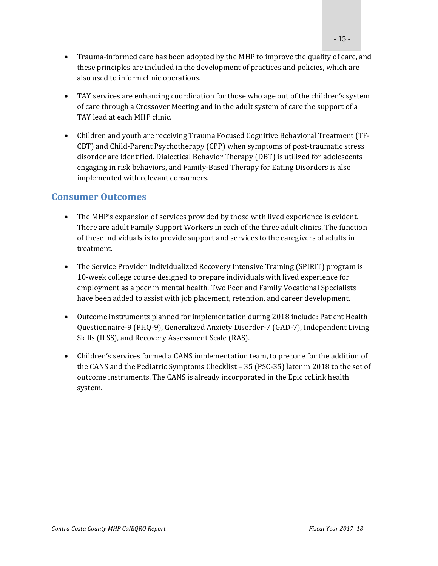- Trauma-informed care has been adopted by the MHP to improve the quality of care, and these principles are included in the development of practices and policies, which are also used to inform clinic operations.
- TAY services are enhancing coordination for those who age out of the children's system of care through a Crossover Meeting and in the adult system of care the support of a TAY lead at each MHP clinic.
- Children and youth are receiving Trauma Focused Cognitive Behavioral Treatment (TF-CBT) and Child-Parent Psychotherapy (CPP) when symptoms of post-traumatic stress disorder are identified. Dialectical Behavior Therapy (DBT) is utilized for adolescents engaging in risk behaviors, and Family-Based Therapy for Eating Disorders is also implemented with relevant consumers.

#### **Consumer Outcomes**

- The MHP's expansion of services provided by those with lived experience is evident. There are adult Family Support Workers in each of the three adult clinics. The function of these individuals is to provide support and services to the caregivers of adults in treatment.
- The Service Provider Individualized Recovery Intensive Training (SPIRIT) program is 10‐week college course designed to prepare individuals with lived experience for employment as a peer in mental health. Two Peer and Family Vocational Specialists have been added to assist with job placement, retention, and career development.
- Outcome instruments planned for implementation during 2018 include: Patient Health Questionnaire‐9 (PHO‐9), Generalized Anxiety Disorder‐7 (GAD‐7), Independent Living Skills (ILSS), and Recovery Assessment Scale (RAS).
- Children's services formed a CANS implementation team, to prepare for the addition of the CANS and the Pediatric Symptoms Checklist – 35 (PSC-35) later in 2018 to the set of outcome instruments. The CANS is already incorporated in the Epic ccLink health system.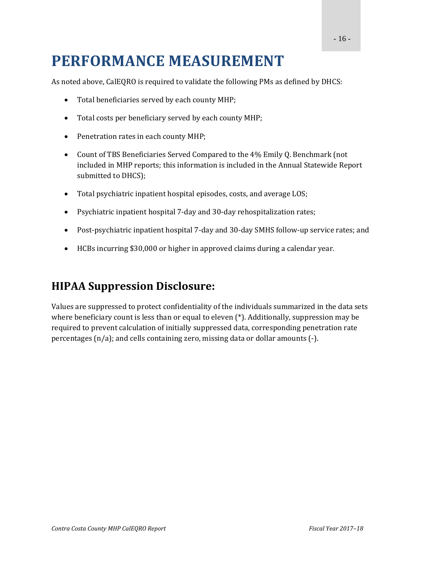## **PERFORMANCE MEASUREMENT**

As noted above, CalEQRO is required to validate the following PMs as defined by DHCS:

- Total beneficiaries served by each county MHP;
- Total costs per beneficiary served by each county MHP;
- Penetration rates in each county MHP;
- Count of TBS Beneficiaries Served Compared to the 4% Emily Q. Benchmark (not included in MHP reports; this information is included in the Annual Statewide Report submitted to DHCS);
- Total psychiatric inpatient hospital episodes, costs, and average LOS;
- Psychiatric inpatient hospital 7-day and 30-day rehospitalization rates;
- Post-psychiatric inpatient hospital 7-day and 30-day SMHS follow-up service rates; and
- HCBs incurring \$30,000 or higher in approved claims during a calendar year.

#### **HIPAA Suppression Disclosure:**

Values are suppressed to protect confidentiality of the individuals summarized in the data sets where beneficiary count is less than or equal to eleven  $(*)$ . Additionally, suppression may be required to prevent calculation of initially suppressed data, corresponding penetration rate percentages  $(n/a)$ ; and cells containing zero, missing data or dollar amounts  $(-)$ .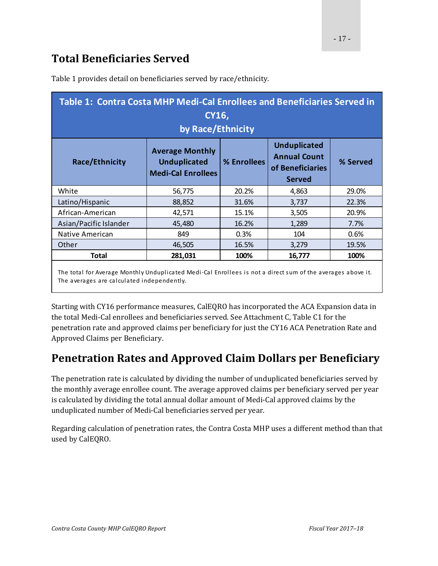### **Total Beneficiaries Served**

| Table 1: Contra Costa MHP Medi-Cal Enrollees and Beneficiaries Served in<br>CY16,<br>by Race/Ethnicity                                                    |                                                                            |             |                                                                                 |          |
|-----------------------------------------------------------------------------------------------------------------------------------------------------------|----------------------------------------------------------------------------|-------------|---------------------------------------------------------------------------------|----------|
| <b>Race/Ethnicity</b>                                                                                                                                     | <b>Average Monthly</b><br><b>Unduplicated</b><br><b>Medi-Cal Enrollees</b> | % Enrollees | <b>Unduplicated</b><br><b>Annual Count</b><br>of Beneficiaries<br><b>Served</b> | % Served |
| White                                                                                                                                                     | 56,775                                                                     | 20.2%       | 4,863                                                                           | 29.0%    |
| Latino/Hispanic                                                                                                                                           | 88,852                                                                     | 31.6%       | 3,737                                                                           | 22.3%    |
| African-American                                                                                                                                          | 42,571                                                                     | 15.1%       | 3,505                                                                           | 20.9%    |
| Asian/Pacific Islander                                                                                                                                    | 45,480                                                                     | 16.2%       | 1,289                                                                           | 7.7%     |
| Native American                                                                                                                                           | 849                                                                        | 0.3%        | 104                                                                             | 0.6%     |
| Other                                                                                                                                                     | 46,505                                                                     | 16.5%       | 3,279                                                                           | 19.5%    |
| Total                                                                                                                                                     | 281,031                                                                    | 100%        | 16,777                                                                          | 100%     |
| The total for Average Monthly Unduplicated Medi-Cal Enrollees is not a direct sum of the averages above it.<br>The averages are calculated independently. |                                                                            |             |                                                                                 |          |

Table 1 provides detail on beneficiaries served by race/ethnicity.

Starting with CY16 performance measures, CalEQRO has incorporated the ACA Expansion data in the total Medi-Cal enrollees and beneficiaries served. See Attachment C, Table C1 for the penetration rate and approved claims per beneficiary for just the CY16 ACA Penetration Rate and Approved Claims per Beneficiary.

### **Penetration Rates and Approved Claim Dollars per Beneficiary**

The penetration rate is calculated by dividing the number of unduplicated beneficiaries served by the monthly average enrollee count. The average approved claims per beneficiary served per year is calculated by dividing the total annual dollar amount of Medi-Cal approved claims by the unduplicated number of Medi-Cal beneficiaries served per year.

Regarding calculation of penetration rates, the Contra Costa MHP uses a different method than that used by CalEQRO.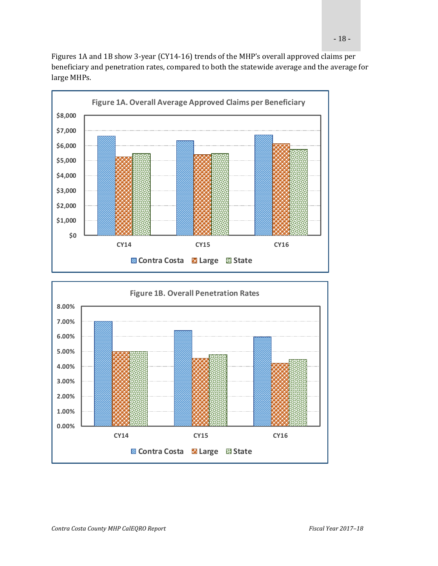Figures 1A and 1B show 3-year (CY14-16) trends of the MHP's overall approved claims per beneficiary and penetration rates, compared to both the statewide average and the average for large MHPs.



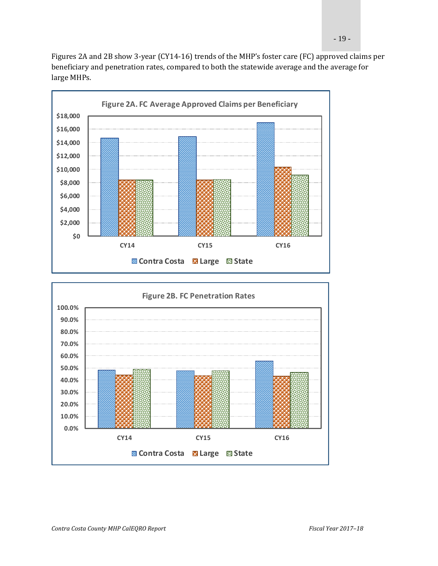- 19 -

Figures 2A and 2B show 3-year (CY14-16) trends of the MHP's foster care (FC) approved claims per beneficiary and penetration rates, compared to both the statewide average and the average for large MHPs.



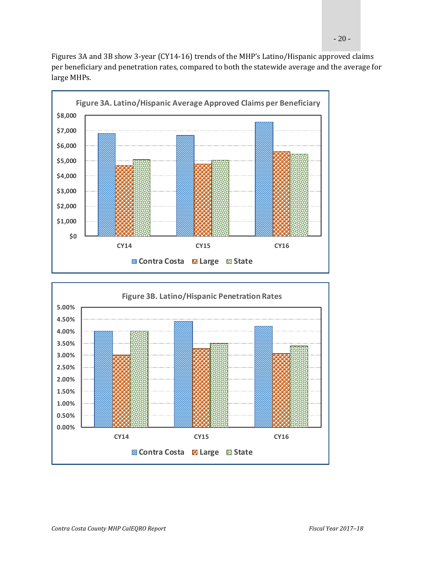



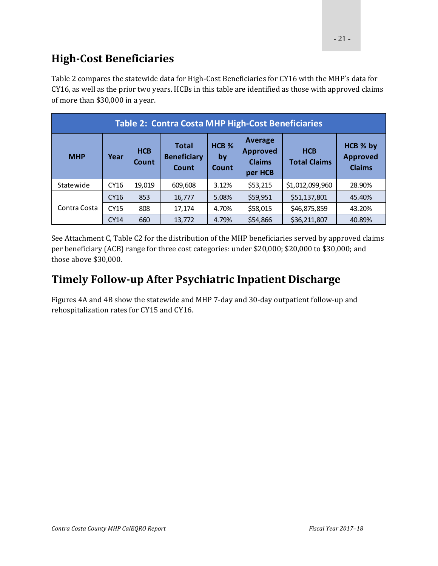### **High‐Cost Beneficiaries**

Table 2 compares the statewide data for High-Cost Beneficiaries for CY16 with the MHP's data for CY16, as well as the prior two years. HCBs in this table are identified as those with approved claims of more than \$30,000 in a year.

| <b>Table 2: Contra Costa MHP High-Cost Beneficiaries</b> |             |                                             |                                 |                                                               |                                   |                                              |        |
|----------------------------------------------------------|-------------|---------------------------------------------|---------------------------------|---------------------------------------------------------------|-----------------------------------|----------------------------------------------|--------|
| <b>HCB</b><br><b>MHP</b><br>Year<br>Count                |             | <b>Total</b><br><b>Beneficiary</b><br>Count | HCB <sub>%</sub><br>by<br>Count | <b>Average</b><br><b>Approved</b><br><b>Claims</b><br>per HCB | <b>HCB</b><br><b>Total Claims</b> | HCB % by<br><b>Approved</b><br><b>Claims</b> |        |
| Statewide                                                | CY16        | 19,019                                      | 609,608                         | 3.12%                                                         | \$53,215                          | \$1,012,099,960                              | 28.90% |
|                                                          | CY16        | 853                                         | 16,777                          | 5.08%                                                         | \$59,951                          | \$51,137,801                                 | 45.40% |
| Contra Costa                                             | CY15        | 808                                         | 17,174                          | 4.70%                                                         | \$58,015                          | \$46,875,859                                 | 43.20% |
|                                                          | <b>CY14</b> | 660                                         | 13,772                          | 4.79%                                                         | \$54,866                          | \$36,211,807                                 | 40.89% |

See Attachment C, Table C2 for the distribution of the MHP beneficiaries served by approved claims per beneficiary (ACB) range for three cost categories: under \$20,000; \$20,000 to \$30,000; and those above \$30,000.

### **Timely Follow‐up After Psychiatric Inpatient Discharge**

Figures 4A and 4B show the statewide and MHP 7-day and 30-day outpatient follow-up and rehospitalization rates for CY15 and CY16.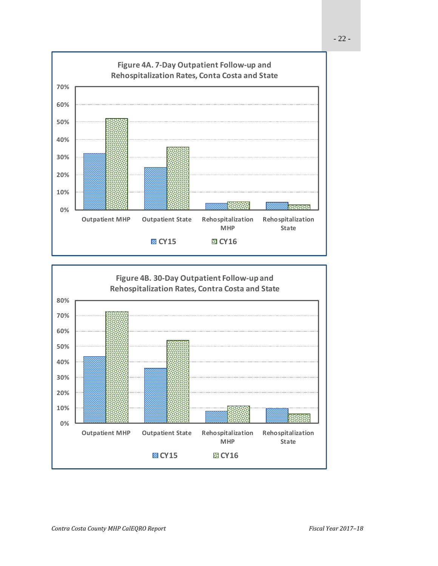

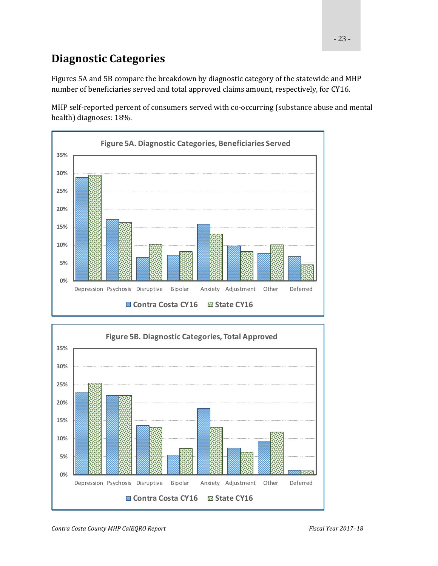### **Diagnostic Categories**

Figures 5A and 5B compare the breakdown by diagnostic category of the statewide and MHP number of beneficiaries served and total approved claims amount, respectively, for CY16.

MHP self-reported percent of consumers served with co-occurring (substance abuse and mental health) diagnoses: 18%.



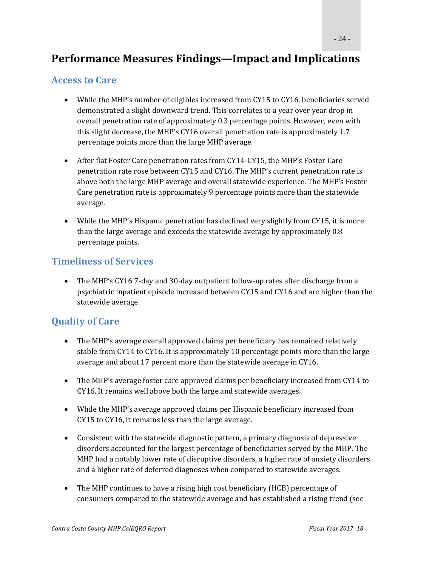#### **Performance Measures Findings—Impact and Implications**

#### **Access to Care**

- While the MHP's number of eligibles increased from CY15 to CY16, beneficiaries served demonstrated a slight downward trend. This correlates to a year over year drop in overall penetration rate of approximately 0.3 percentage points. However, even with this slight decrease, the MHP's CY16 overall penetration rate is approximately  $1.7$ percentage points more than the large MHP average.
- After flat Foster Care penetration rates from CY14-CY15, the MHP's Foster Care penetration rate rose between CY15 and CY16. The MHP's current penetration rate is above both the large MHP average and overall statewide experience. The MHP's Foster Care penetration rate is approximately 9 percentage points more than the statewide average.
- While the MHP's Hispanic penetration has declined very slightly from CY15, it is more than the large average and exceeds the statewide average by approximately 0.8 percentage points.

#### **Timeliness of Services**

• The MHP's CY16 7-day and 30-day outpatient follow-up rates after discharge from a psychiatric inpatient episode increased between CY15 and CY16 and are higher than the statewide average.

#### **Quality of Care**

- The MHP's average overall approved claims per beneficiary has remained relatively stable from CY14 to CY16. It is approximately 10 percentage points more than the large average and about 17 percent more than the statewide average in CY16.
- The MHP's average foster care approved claims per beneficiary increased from CY14 to CY16. It remains well above both the large and statewide averages.
- While the MHP's average approved claims per Hispanic beneficiary increased from CY15 to CY16, it remains less than the large average.
- Consistent with the statewide diagnostic pattern, a primary diagnosis of depressive disorders accounted for the largest percentage of beneficiaries served by the MHP. The MHP had a notably lower rate of disruptive disorders, a higher rate of anxiety disorders and a higher rate of deferred diagnoses when compared to statewide averages.
- The MHP continues to have a rising high cost beneficiary (HCB) percentage of consumers compared to the statewide average and has established a rising trend (see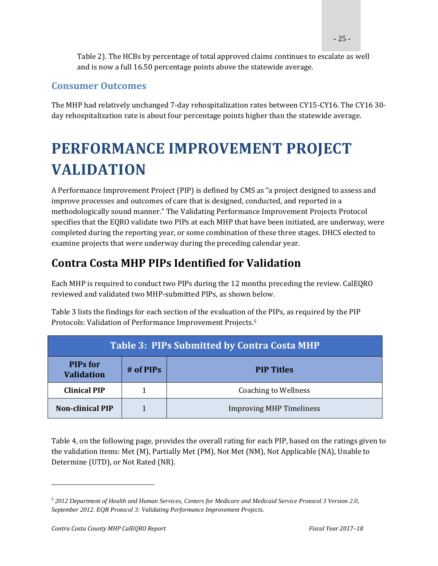- 25 -

Table 2). The HCBs by percentage of total approved claims continues to escalate as well and is now a full 16.50 percentage points above the statewide average.

#### **Consumer Outcomes**

The MHP had relatively unchanged 7-day rehospitalization rates between CY15-CY16. The CY16 30day rehospitalization rate is about four percentage points higher than the statewide average.

# **PERFORMANCE IMPROVEMENT PROJECT VALIDATION**

A Performance Improvement Project (PIP) is defined by CMS as "a project designed to assess and improve processes and outcomes of care that is designed, conducted, and reported in a methodologically sound manner." The Validating Performance Improvement Projects Protocol specifies that the EQRO validate two PIPs at each MHP that have been initiated, are underway, were completed during the reporting year, or some combination of these three stages. DHCS elected to examine projects that were underway during the preceding calendar year.

### **Contra Costa MHP PIPs Identified for Validation**

Each MHP is required to conduct two PIPs during the 12 months preceding the review. CalEQRO reviewed and validated two MHP-submitted PIPs, as shown below.

Table 3 lists the findings for each section of the evaluation of the PIPs, as required by the PIP Protocols: Validation of Performance Improvement Projects.<sup>5</sup>

| <b>Table 3: PIPs Submitted by Contra Costa MHP</b>  |  |                                 |  |
|-----------------------------------------------------|--|---------------------------------|--|
| <b>PIPs for</b><br>$#$ of PIPs<br><b>Validation</b> |  | <b>PIP Titles</b>               |  |
| <b>Clinical PIP</b>                                 |  | <b>Coaching to Wellness</b>     |  |
| <b>Non-clinical PIP</b>                             |  | <b>Improving MHP Timeliness</b> |  |

Table 4, on the following page, provides the overall rating for each PIP, based on the ratings given to the validation items: Met (M), Partially Met (PM), Not Met (NM), Not Applicable (NA), Unable to Determine (UTD), or Not Rated (NR).

*<sup>5</sup> 2012 Department of Health and Human Services, Centers for Medicare and Medicaid Service Protocol 3 Version 2.0, September 2012. EQR Protocol 3: Validating Performance Improvement Projects.*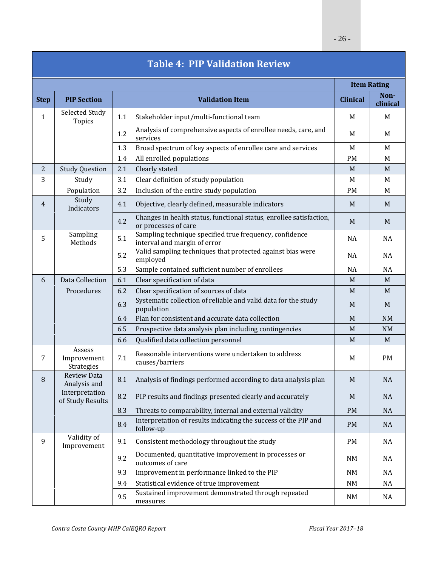| <b>Table 4: PIP Validation Review</b> |                                     |     |                                                                                             |                 |                    |
|---------------------------------------|-------------------------------------|-----|---------------------------------------------------------------------------------------------|-----------------|--------------------|
|                                       |                                     |     |                                                                                             |                 | <b>Item Rating</b> |
| <b>Step</b>                           | <b>PIP Section</b>                  |     | <b>Validation Item</b>                                                                      | <b>Clinical</b> | Non-<br>clinical   |
| $\mathbf{1}$                          | Selected Study<br>Topics            | 1.1 | Stakeholder input/multi-functional team                                                     | M               | M                  |
|                                       |                                     | 1.2 | Analysis of comprehensive aspects of enrollee needs, care, and<br>services                  | M               | M                  |
|                                       |                                     | 1.3 | Broad spectrum of key aspects of enrollee care and services                                 | M               | M                  |
|                                       |                                     | 1.4 | All enrolled populations                                                                    | PM              | M                  |
| $\mathbf{2}$                          | <b>Study Question</b>               | 2.1 | Clearly stated                                                                              | M               | M                  |
| 3                                     | Study                               | 3.1 | Clear definition of study population                                                        | M               | M                  |
|                                       | Population                          | 3.2 | Inclusion of the entire study population                                                    | <b>PM</b>       | M                  |
| 4                                     | Study<br>Indicators                 | 4.1 | Objective, clearly defined, measurable indicators                                           | M               | M                  |
|                                       |                                     | 4.2 | Changes in health status, functional status, enrollee satisfaction,<br>or processes of care | M               | M                  |
| 5                                     | Sampling<br>Methods                 | 5.1 | Sampling technique specified true frequency, confidence<br>interval and margin of error     | <b>NA</b>       | NA                 |
|                                       |                                     | 5.2 | Valid sampling techniques that protected against bias were<br>employed                      | <b>NA</b>       | NA                 |
|                                       |                                     | 5.3 | Sample contained sufficient number of enrollees                                             | <b>NA</b>       | <b>NA</b>          |
| 6                                     | Data Collection                     | 6.1 | Clear specification of data                                                                 | M               | M                  |
|                                       | Procedures                          | 6.2 | Clear specification of sources of data                                                      | M               | M                  |
|                                       |                                     | 6.3 | Systematic collection of reliable and valid data for the study<br>population                | M               | M                  |
|                                       |                                     | 6.4 | Plan for consistent and accurate data collection                                            | M               | <b>NM</b>          |
|                                       |                                     | 6.5 | Prospective data analysis plan including contingencies                                      | M               | <b>NM</b>          |
|                                       |                                     | 6.6 | Qualified data collection personnel                                                         | M               | M                  |
| 7                                     | Assess<br>Improvement<br>Strategies | 7.1 | Reasonable interventions were undertaken to address<br>causes/barriers                      | M               | PM                 |
| 8                                     | <b>Review Data</b><br>Analysis and  | 8.1 | Analysis of findings performed according to data analysis plan                              | M               | <b>NA</b>          |
|                                       | Interpretation<br>of Study Results  | 8.2 | PIP results and findings presented clearly and accurately                                   | M               | <b>NA</b>          |
|                                       |                                     | 8.3 | Threats to comparability, internal and external validity                                    | <b>PM</b>       | NA                 |
|                                       |                                     | 8.4 | Interpretation of results indicating the success of the PIP and<br>follow-up                | <b>PM</b>       | <b>NA</b>          |
| 9                                     | Validity of<br>Improvement          | 9.1 | Consistent methodology throughout the study                                                 | <b>PM</b>       | NA                 |
|                                       |                                     | 9.2 | Documented, quantitative improvement in processes or<br>outcomes of care                    | NM              | NA                 |
|                                       |                                     | 9.3 | Improvement in performance linked to the PIP                                                | <b>NM</b>       | NA                 |
|                                       |                                     | 9.4 | Statistical evidence of true improvement                                                    | NM              | NA                 |
|                                       |                                     | 9.5 | Sustained improvement demonstrated through repeated<br>measures                             | NM              | NA                 |

#### **Table 4: PIP Validation Review**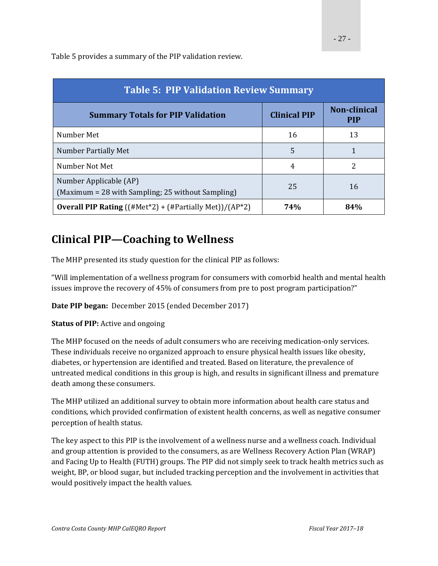Table 5 provides a summary of the PIP validation review.

| <b>Table 5: PIP Validation Review Summary</b>                               |                     |                                   |  |  |
|-----------------------------------------------------------------------------|---------------------|-----------------------------------|--|--|
| <b>Summary Totals for PIP Validation</b>                                    | <b>Clinical PIP</b> | <b>Non-clinical</b><br><b>PIP</b> |  |  |
| Number Met                                                                  | 16                  | 13                                |  |  |
| Number Partially Met                                                        | 5                   |                                   |  |  |
| Number Not Met                                                              | 4                   | 2                                 |  |  |
| Number Applicable (AP)<br>(Maximum = 28 with Sampling; 25 without Sampling) | 25                  | 16                                |  |  |
| <b>Overall PIP Rating</b> ((#Met*2) + (#Partially Met))/(AP*2)              | 74%                 | 84%                               |  |  |

### **Clinical PIP—Coaching to Wellness**

The MHP presented its study question for the clinical PIP as follows:

"Will implementation of a wellness program for consumers with comorbid health and mental health issues improve the recovery of 45% of consumers from pre to post program participation?"

**Date PIP began:** December 2015 (ended December 2017)

#### **Status of PIP:** Active and ongoing

The MHP focused on the needs of adult consumers who are receiving medication-only services. These individuals receive no organized approach to ensure physical health issues like obesity, diabetes, or hypertension are identified and treated. Based on literature, the prevalence of untreated medical conditions in this group is high, and results in significant illness and premature death among these consumers.

The MHP utilized an additional survey to obtain more information about health care status and conditions, which provided confirmation of existent health concerns, as well as negative consumer perception of health status.

The key aspect to this PIP is the involvement of a wellness nurse and a wellness coach. Individual and group attention is provided to the consumers, as are Wellness Recovery Action Plan (WRAP) and Facing Up to Health (FUTH) groups. The PIP did not simply seek to track health metrics such as weight, BP, or blood sugar, but included tracking perception and the involvement in activities that would positively impact the health values.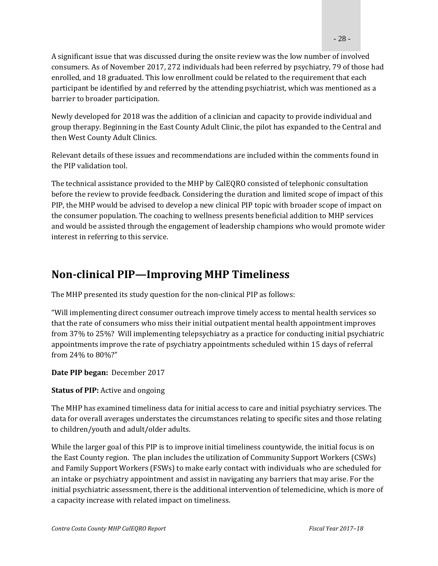A significant issue that was discussed during the onsite review was the low number of involved consumers. As of November 2017, 272 individuals had been referred by psychiatry, 79 of those had enrolled, and 18 graduated. This low enrollment could be related to the requirement that each participant be identified by and referred by the attending psychiatrist, which was mentioned as a barrier to broader participation.

Newly developed for 2018 was the addition of a clinician and capacity to provide individual and group therapy. Beginning in the East County Adult Clinic, the pilot has expanded to the Central and then West County Adult Clinics.

Relevant details of these issues and recommendations are included within the comments found in the PIP validation tool.

The technical assistance provided to the MHP by CalEQRO consisted of telephonic consultation before the review to provide feedback. Considering the duration and limited scope of impact of this PIP, the MHP would be advised to develop a new clinical PIP topic with broader scope of impact on the consumer population. The coaching to wellness presents beneficial addition to MHP services and would be assisted through the engagement of leadership champions who would promote wider interest in referring to this service.

### **Non‐clinical PIP—Improving MHP Timeliness**

The MHP presented its study question for the non-clinical PIP as follows:

"Will implementing direct consumer outreach improve timely access to mental health services so that the rate of consumers who miss their initial outpatient mental health appointment improves from 37% to 25%? Will implementing telepsychiatry as a practice for conducting initial psychiatric appointments improve the rate of psychiatry appointments scheduled within 15 days of referral from 24% to 80%?" 

#### **Date PIP began:** December 2017

#### **Status of PIP:** Active and ongoing

The MHP has examined timeliness data for initial access to care and initial psychiatry services. The data for overall averages understates the circumstances relating to specific sites and those relating to children/youth and adult/older adults.

While the larger goal of this PIP is to improve initial timeliness countywide, the initial focus is on the East County region. The plan includes the utilization of Community Support Workers (CSWs) and Family Support Workers (FSWs) to make early contact with individuals who are scheduled for an intake or psychiatry appointment and assist in navigating any barriers that may arise. For the initial psychiatric assessment, there is the additional intervention of telemedicine, which is more of a capacity increase with related impact on timeliness.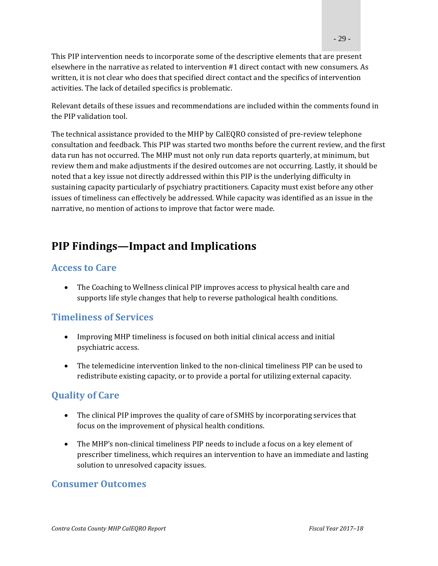This PIP intervention needs to incorporate some of the descriptive elements that are present elsewhere in the narrative as related to intervention #1 direct contact with new consumers. As written, it is not clear who does that specified direct contact and the specifics of intervention activities. The lack of detailed specifics is problematic.

Relevant details of these issues and recommendations are included within the comments found in the PIP validation tool.

The technical assistance provided to the MHP by CalEQRO consisted of pre-review telephone consultation and feedback. This PIP was started two months before the current review, and the first data run has not occurred. The MHP must not only run data reports quarterly, at minimum, but review them and make adjustments if the desired outcomes are not occurring. Lastly, it should be noted that a key issue not directly addressed within this PIP is the underlying difficulty in sustaining capacity particularly of psychiatry practitioners. Capacity must exist before any other issues of timeliness can effectively be addressed. While capacity was identified as an issue in the narrative, no mention of actions to improve that factor were made.

### **PIP Findings—Impact and Implications**

#### **Access to Care**

• The Coaching to Wellness clinical PIP improves access to physical health care and supports life style changes that help to reverse pathological health conditions.

#### **Timeliness of Services**

- Improving MHP timeliness is focused on both initial clinical access and initial psychiatric access.
- The telemedicine intervention linked to the non-clinical timeliness PIP can be used to redistribute existing capacity, or to provide a portal for utilizing external capacity.

#### **Quality of Care**

- The clinical PIP improves the quality of care of SMHS by incorporating services that focus on the improvement of physical health conditions.
- The MHP's non-clinical timeliness PIP needs to include a focus on a key element of prescriber timeliness, which requires an intervention to have an immediate and lasting solution to unresolved capacity issues.

#### **Consumer Outcomes**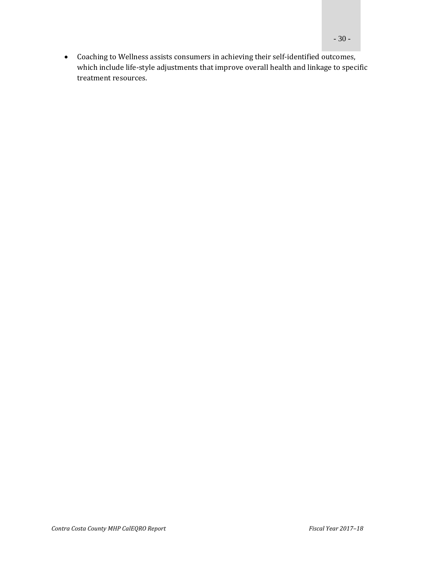• Coaching to Wellness assists consumers in achieving their self-identified outcomes, which include life-style adjustments that improve overall health and linkage to specific treatment resources.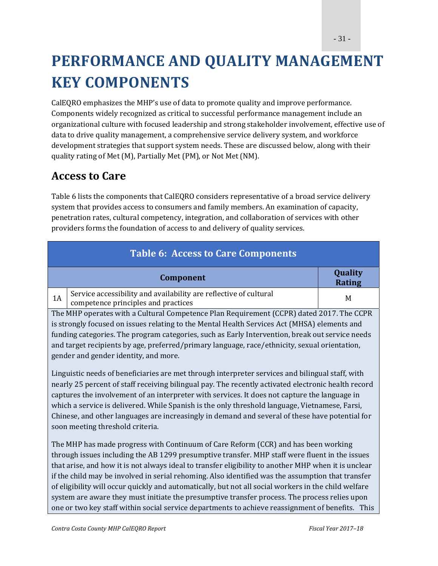# **PERFORMANCE AND QUALITY MANAGEMENT KEY COMPONENTS**

CalEQRO emphasizes the MHP's use of data to promote quality and improve performance. Components widely recognized as critical to successful performance management include an organizational culture with focused leadership and strong stakeholder involvement, effective use of data to drive quality management, a comprehensive service delivery system, and workforce development strategies that support system needs. These are discussed below, along with their quality rating of Met (M), Partially Met (PM), or Not Met (NM).

### **Access to Care**

Table 6 lists the components that CalEQRO considers representative of a broad service delivery system that provides access to consumers and family members. An examination of capacity, penetration rates, cultural competency, integration, and collaboration of services with other providers forms the foundation of access to and delivery of quality services.

|    | <b>Table 6: Access to Care Components</b>                                                                                                                                                                                                                                                                                                                                                                                                                                                                                                                                                                                                                                                                      |                          |  |  |
|----|----------------------------------------------------------------------------------------------------------------------------------------------------------------------------------------------------------------------------------------------------------------------------------------------------------------------------------------------------------------------------------------------------------------------------------------------------------------------------------------------------------------------------------------------------------------------------------------------------------------------------------------------------------------------------------------------------------------|--------------------------|--|--|
|    | Component                                                                                                                                                                                                                                                                                                                                                                                                                                                                                                                                                                                                                                                                                                      | Quality<br><b>Rating</b> |  |  |
| 1A | Service accessibility and availability are reflective of cultural<br>competence principles and practices                                                                                                                                                                                                                                                                                                                                                                                                                                                                                                                                                                                                       | M                        |  |  |
|    | The MHP operates with a Cultural Competence Plan Requirement (CCPR) dated 2017. The CCPR<br>is strongly focused on issues relating to the Mental Health Services Act (MHSA) elements and                                                                                                                                                                                                                                                                                                                                                                                                                                                                                                                       |                          |  |  |
|    | funding categories. The program categories, such as Early Intervention, break out service needs<br>and target recipients by age, preferred/primary language, race/ethnicity, sexual orientation,<br>gender and gender identity, and more.                                                                                                                                                                                                                                                                                                                                                                                                                                                                      |                          |  |  |
|    | Linguistic needs of beneficiaries are met through interpreter services and bilingual staff, with<br>nearly 25 percent of staff receiving bilingual pay. The recently activated electronic health record<br>captures the involvement of an interpreter with services. It does not capture the language in<br>which a service is delivered. While Spanish is the only threshold language, Vietnamese, Farsi,<br>Chinese, and other languages are increasingly in demand and several of these have potential for<br>soon meeting threshold criteria.                                                                                                                                                              |                          |  |  |
|    | The MHP has made progress with Continuum of Care Reform (CCR) and has been working<br>through issues including the AB 1299 presumptive transfer. MHP staff were fluent in the issues<br>that arise, and how it is not always ideal to transfer eligibility to another MHP when it is unclear<br>if the child may be involved in serial rehoming. Also identified was the assumption that transfer<br>of eligibility will occur quickly and automatically, but not all social workers in the child welfare<br>system are aware they must initiate the presumptive transfer process. The process relies upon<br>one or two key staff within social service departments to achieve reassignment of benefits. This |                          |  |  |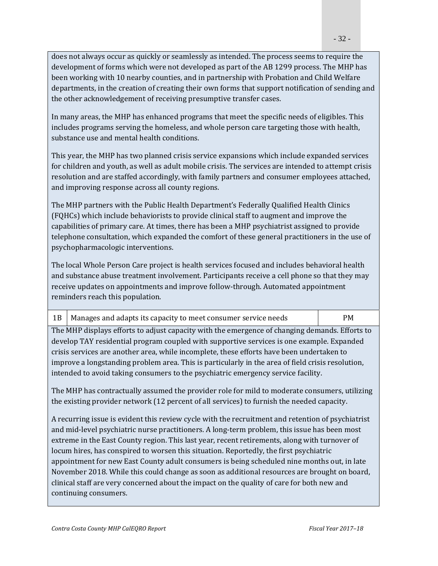does not always occur as quickly or seamlessly as intended. The process seems to require the development of forms which were not developed as part of the AB 1299 process. The MHP has been working with 10 nearby counties, and in partnership with Probation and Child Welfare departments, in the creation of creating their own forms that support notification of sending and the other acknowledgement of receiving presumptive transfer cases.

In many areas, the MHP has enhanced programs that meet the specific needs of eligibles. This includes programs serving the homeless, and whole person care targeting those with health, substance use and mental health conditions.

This year, the MHP has two planned crisis service expansions which include expanded services for children and youth, as well as adult mobile crisis. The services are intended to attempt crisis resolution and are staffed accordingly, with family partners and consumer employees attached, and improving response across all county regions.

The MHP partners with the Public Health Department's Federally Qualified Health Clinics (FQHCs) which include behaviorists to provide clinical staff to augment and improve the capabilities of primary care. At times, there has been a MHP psychiatrist assigned to provide telephone consultation, which expanded the comfort of these general practitioners in the use of psychopharmacologic interventions.

The local Whole Person Care project is health services focused and includes behavioral health and substance abuse treatment involvement. Participants receive a cell phone so that they may receive updates on appointments and improve follow-through. Automated appointment reminders reach this population.

|  | 1B   Manages and adapts its capacity to meet consumer service needs | PM. |
|--|---------------------------------------------------------------------|-----|
|--|---------------------------------------------------------------------|-----|

The MHP displays efforts to adjust capacity with the emergence of changing demands. Efforts to develop TAY residential program coupled with supportive services is one example. Expanded crisis services are another area, while incomplete, these efforts have been undertaken to improve a longstanding problem area. This is particularly in the area of field crisis resolution, intended to avoid taking consumers to the psychiatric emergency service facility.

The MHP has contractually assumed the provider role for mild to moderate consumers, utilizing the existing provider network (12 percent of all services) to furnish the needed capacity.

A recurring issue is evident this review cycle with the recruitment and retention of psychiatrist and mid-level psychiatric nurse practitioners. A long-term problem, this issue has been most extreme in the East County region. This last year, recent retirements, along with turnover of locum hires, has conspired to worsen this situation. Reportedly, the first psychiatric appointment for new East County adult consumers is being scheduled nine months out, in late November 2018. While this could change as soon as additional resources are brought on board, clinical staff are very concerned about the impact on the quality of care for both new and continuing consumers.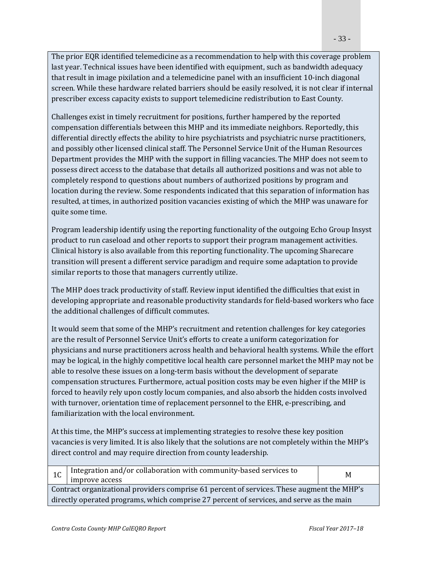The prior EQR identified telemedicine as a recommendation to help with this coverage problem last year. Technical issues have been identified with equipment, such as bandwidth adequacy that result in image pixilation and a telemedicine panel with an insufficient 10-inch diagonal screen. While these hardware related barriers should be easily resolved, it is not clear if internal prescriber excess capacity exists to support telemedicine redistribution to East County.

Challenges exist in timely recruitment for positions, further hampered by the reported compensation differentials between this MHP and its immediate neighbors. Reportedly, this differential directly effects the ability to hire psychiatrists and psychiatric nurse practitioners, and possibly other licensed clinical staff. The Personnel Service Unit of the Human Resources Department provides the MHP with the support in filling vacancies. The MHP does not seem to possess direct access to the database that details all authorized positions and was not able to completely respond to questions about numbers of authorized positions by program and location during the review. Some respondents indicated that this separation of information has resulted, at times, in authorized position vacancies existing of which the MHP was unaware for quite some time.

Program leadership identify using the reporting functionality of the outgoing Echo Group Insyst product to run caseload and other reports to support their program management activities. Clinical history is also available from this reporting functionality. The upcoming Sharecare transition will present a different service paradigm and require some adaptation to provide similar reports to those that managers currently utilize.

The MHP does track productivity of staff. Review input identified the difficulties that exist in developing appropriate and reasonable productivity standards for field-based workers who face the additional challenges of difficult commutes.

It would seem that some of the MHP's recruitment and retention challenges for key categories are the result of Personnel Service Unit's efforts to create a uniform categorization for physicians and nurse practitioners across health and behavioral health systems. While the effort may be logical, in the highly competitive local health care personnel market the MHP may not be able to resolve these issues on a long-term basis without the development of separate compensation structures. Furthermore, actual position costs may be even higher if the MHP is forced to heavily rely upon costly locum companies, and also absorb the hidden costs involved with turnover, orientation time of replacement personnel to the EHR, e-prescribing, and familiarization with the local environment.

At this time, the MHP's success at implementing strategies to resolve these key position vacancies is very limited. It is also likely that the solutions are not completely within the MHP's direct control and may require direction from county leadership.

|                                                                                            | Integration and/or collaboration with community-based services to                        | M |  |  |
|--------------------------------------------------------------------------------------------|------------------------------------------------------------------------------------------|---|--|--|
|                                                                                            | improve access                                                                           |   |  |  |
| Contract organizational providers comprise 61 percent of services. These augment the MHP's |                                                                                          |   |  |  |
|                                                                                            | directly operated programs, which comprise 27 percent of services, and serve as the main |   |  |  |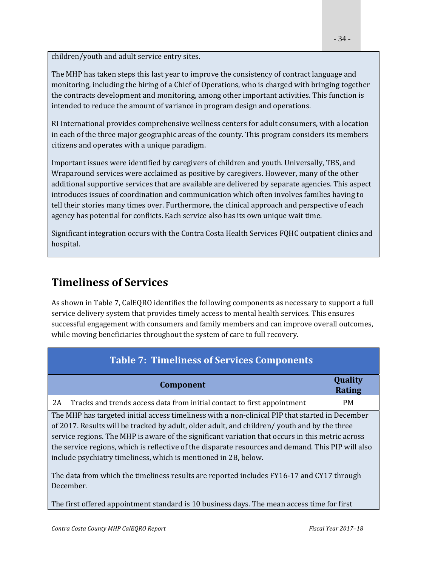children/youth and adult service entry sites.

The MHP has taken steps this last year to improve the consistency of contract language and monitoring, including the hiring of a Chief of Operations, who is charged with bringing together the contracts development and monitoring, among other important activities. This function is intended to reduce the amount of variance in program design and operations.

RI International provides comprehensive wellness centers for adult consumers, with a location in each of the three major geographic areas of the county. This program considers its members citizens and operates with a unique paradigm.

Important issues were identified by caregivers of children and youth. Universally, TBS, and Wraparound services were acclaimed as positive by caregivers. However, many of the other additional supportive services that are available are delivered by separate agencies. This aspect introduces issues of coordination and communication which often involves families having to tell their stories many times over. Furthermore, the clinical approach and perspective of each agency has potential for conflicts. Each service also has its own unique wait time.

Significant integration occurs with the Contra Costa Health Services FOHC outpatient clinics and hospital. 

### **Timeliness of Services**

As shown in Table 7, CalEQRO identifies the following components as necessary to support a full service delivery system that provides timely access to mental health services. This ensures successful engagement with consumers and family members and can improve overall outcomes, while moving beneficiaries throughout the system of care to full recovery.

|                                                                                                    | <b>Table 7: Timeliness of Services Components</b>                                                      |                          |  |  |  |
|----------------------------------------------------------------------------------------------------|--------------------------------------------------------------------------------------------------------|--------------------------|--|--|--|
|                                                                                                    | Component                                                                                              | Quality<br><b>Rating</b> |  |  |  |
| 2A                                                                                                 | Tracks and trends access data from initial contact to first appointment                                | <b>PM</b>                |  |  |  |
|                                                                                                    | The MHP has targeted initial access timeliness with a non-clinical PIP that started in December        |                          |  |  |  |
| of 2017. Results will be tracked by adult, older adult, and children/ youth and by the three       |                                                                                                        |                          |  |  |  |
| service regions. The MHP is aware of the significant variation that occurs in this metric across   |                                                                                                        |                          |  |  |  |
| the service regions, which is reflective of the disparate resources and demand. This PIP will also |                                                                                                        |                          |  |  |  |
|                                                                                                    | include psychiatry timeliness, which is mentioned in 2B, below.                                        |                          |  |  |  |
|                                                                                                    | The data from which the timeliness results are reported includes FY16-17 and CY17 through<br>December. |                          |  |  |  |

The first offered appointment standard is 10 business days. The mean access time for first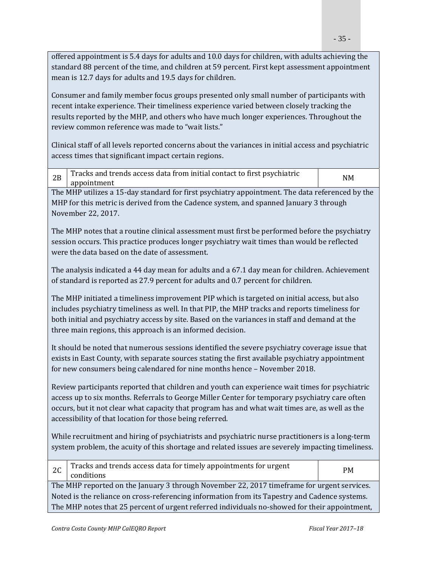offered appointment is 5.4 days for adults and 10.0 days for children, with adults achieving the standard 88 percent of the time, and children at 59 percent. First kept assessment appointment mean is 12.7 days for adults and 19.5 days for children.

Consumer and family member focus groups presented only small number of participants with recent intake experience. Their timeliness experience varied between closely tracking the results reported by the MHP, and others who have much longer experiences. Throughout the review common reference was made to "wait lists."

Clinical staff of all levels reported concerns about the variances in initial access and psychiatric access times that significant impact certain regions.

|     | Tracks and trends access data from initial contact to first psychiatric | <b>NM</b> |
|-----|-------------------------------------------------------------------------|-----------|
| ZD. | appointment                                                             |           |

The MHP utilizes a 15-day standard for first psychiatry appointment. The data referenced by the MHP for this metric is derived from the Cadence system, and spanned January 3 through November 22, 2017. 

The MHP notes that a routine clinical assessment must first be performed before the psychiatry session occurs. This practice produces longer psychiatry wait times than would be reflected were the data based on the date of assessment.

The analysis indicated a 44 day mean for adults and a 67.1 day mean for children. Achievement of standard is reported as 27.9 percent for adults and 0.7 percent for children.

The MHP initiated a timeliness improvement PIP which is targeted on initial access, but also includes psychiatry timeliness as well. In that PIP, the MHP tracks and reports timeliness for both initial and psychiatry access by site. Based on the variances in staff and demand at the three main regions, this approach is an informed decision.

It should be noted that numerous sessions identified the severe psychiatry coverage issue that exists in East County, with separate sources stating the first available psychiatry appointment for new consumers being calendared for nine months hence - November 2018.

Review participants reported that children and youth can experience wait times for psychiatric access up to six months. Referrals to George Miller Center for temporary psychiatry care often occurs, but it not clear what capacity that program has and what wait times are, as well as the accessibility of that location for those being referred.

While recruitment and hiring of psychiatrists and psychiatric nurse practitioners is a long-term system problem, the acuity of this shortage and related issues are severely impacting timeliness.

| 2C                                                                                            | Tracks and trends access data for timely appointments for urgent<br>conditions | <b>PM</b> |
|-----------------------------------------------------------------------------------------------|--------------------------------------------------------------------------------|-----------|
| The MHP reported on the January 3 through November 22, 2017 time frame for urgent services.   |                                                                                |           |
| Noted is the reliance on cross-referencing information from its Tapestry and Cadence systems. |                                                                                |           |
| The MHP notes that 25 percent of urgent referred individuals no-showed for their appointment, |                                                                                |           |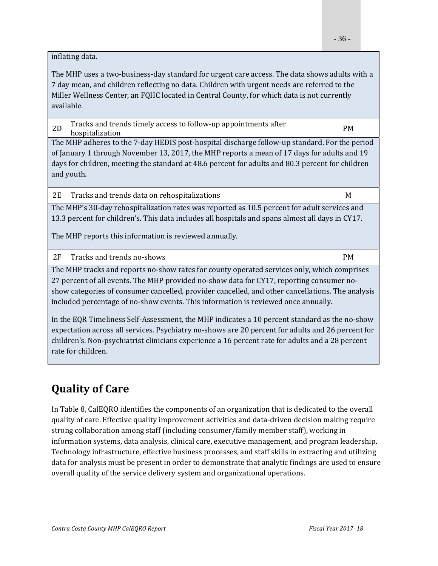inflating data.

The MHP uses a two-business-day standard for urgent care access. The data shows adults with a 7 day mean, and children reflecting no data. Children with urgent needs are referred to the Miller Wellness Center, an FQHC located in Central County, for which data is not currently available. 

| 2D                                                                                               | Tracks and trends timely access to follow-up appointments after<br>hospitalization                | <b>PM</b> |  |
|--------------------------------------------------------------------------------------------------|---------------------------------------------------------------------------------------------------|-----------|--|
| The MHP adheres to the 7-day HEDIS post-hospital discharge follow-up standard. For the period    |                                                                                                   |           |  |
| of January 1 through November 13, 2017, the MHP reports a mean of 17 days for adults and 19      |                                                                                                   |           |  |
| days for children, meeting the standard at 48.6 percent for adults and 80.3 percent for children |                                                                                                   |           |  |
| and youth.                                                                                       |                                                                                                   |           |  |
|                                                                                                  |                                                                                                   |           |  |
| 2E                                                                                               | Tracks and trends data on rehospitalizations                                                      | M         |  |
| The MHP's 30-day rehospitalization rates was reported as 10.5 percent for adult services and     |                                                                                                   |           |  |
| 13.3 percent for children's. This data includes all hospitals and spans almost all days in CY17. |                                                                                                   |           |  |
| The MHP reports this information is reviewed annually.                                           |                                                                                                   |           |  |
| 2F                                                                                               | Tracks and trends no-shows                                                                        | <b>PM</b> |  |
| The MHP tracks and reports no-show rates for county operated services only, which comprises      |                                                                                                   |           |  |
| 27 percent of all events. The MHP provided no-show data for CY17, reporting consumer no-         |                                                                                                   |           |  |
| show categories of consumer cancelled, provider cancelled, and other cancellations. The analysis |                                                                                                   |           |  |
| included percentage of no-show events. This information is reviewed once annually.               |                                                                                                   |           |  |
|                                                                                                  |                                                                                                   |           |  |
|                                                                                                  |                                                                                                   |           |  |
|                                                                                                  | In the EQR Timeliness Self-Assessment, the MHP indicates a 10 percent standard as the no-show     |           |  |
|                                                                                                  | expectation across all services. Psychiatry no-shows are 20 percent for adults and 26 percent for |           |  |

#### rate for children.

### **Quality of Care**

In Table 8, CalEQRO identifies the components of an organization that is dedicated to the overall quality of care. Effective quality improvement activities and data-driven decision making require strong collaboration among staff (including consumer/family member staff), working in information systems, data analysis, clinical care, executive management, and program leadership. Technology infrastructure, effective business processes, and staff skills in extracting and utilizing data for analysis must be present in order to demonstrate that analytic findings are used to ensure overall quality of the service delivery system and organizational operations.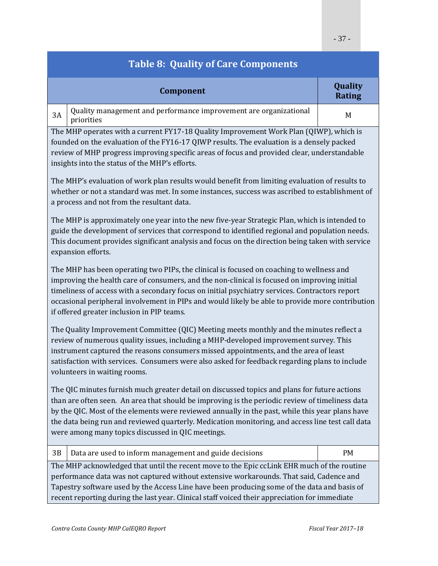| <b>Table 8: Quality of Care Components</b>                                                                                                                                                                                                                                                                                                                                                                                                                  |                          |  |  |
|-------------------------------------------------------------------------------------------------------------------------------------------------------------------------------------------------------------------------------------------------------------------------------------------------------------------------------------------------------------------------------------------------------------------------------------------------------------|--------------------------|--|--|
| Component                                                                                                                                                                                                                                                                                                                                                                                                                                                   | Quality<br><b>Rating</b> |  |  |
| Quality management and performance improvement are organizational<br>3A<br>priorities                                                                                                                                                                                                                                                                                                                                                                       | M                        |  |  |
| The MHP operates with a current FY17-18 Quality Improvement Work Plan (QIWP), which is<br>founded on the evaluation of the FY16-17 QIWP results. The evaluation is a densely packed<br>review of MHP progress improving specific areas of focus and provided clear, understandable<br>insights into the status of the MHP's efforts.                                                                                                                        |                          |  |  |
| The MHP's evaluation of work plan results would benefit from limiting evaluation of results to<br>whether or not a standard was met. In some instances, success was ascribed to establishment of<br>a process and not from the resultant data.                                                                                                                                                                                                              |                          |  |  |
| The MHP is approximately one year into the new five-year Strategic Plan, which is intended to<br>guide the development of services that correspond to identified regional and population needs.<br>This document provides significant analysis and focus on the direction being taken with service<br>expansion efforts.                                                                                                                                    |                          |  |  |
| The MHP has been operating two PIPs, the clinical is focused on coaching to wellness and<br>improving the health care of consumers, and the non-clinical is focused on improving initial<br>timeliness of access with a secondary focus on initial psychiatry services. Contractors report<br>occasional peripheral involvement in PIPs and would likely be able to provide more contribution<br>if offered greater inclusion in PIP teams.                 |                          |  |  |
| The Quality Improvement Committee (QIC) Meeting meets monthly and the minutes reflect a<br>review of numerous quality issues, including a MHP-developed improvement survey. This<br>instrument captured the reasons consumers missed appointments, and the area of least<br>satisfaction with services. Consumers were also asked for feedback regarding plans to include<br>volunteers in waiting rooms.                                                   |                          |  |  |
| The QIC minutes furnish much greater detail on discussed topics and plans for future actions<br>than are often seen. An area that should be improving is the periodic review of timeliness data<br>by the QIC. Most of the elements were reviewed annually in the past, while this year plans have<br>the data being run and reviewed quarterly. Medication monitoring, and access line test call data<br>were among many topics discussed in QIC meetings. |                          |  |  |
| 3B<br>Data are used to inform management and guide decisions                                                                                                                                                                                                                                                                                                                                                                                                | PM                       |  |  |
| The MHP acknowledged that until the recent move to the Epic ccLink EHR much of the routine<br>performance data was not captured without extensive workarounds. That said, Cadence and<br>Tapestry software used by the Access Line have been producing some of the data and basis of<br>recent reporting during the last year. Clinical staff voiced their appreciation for immediate                                                                       |                          |  |  |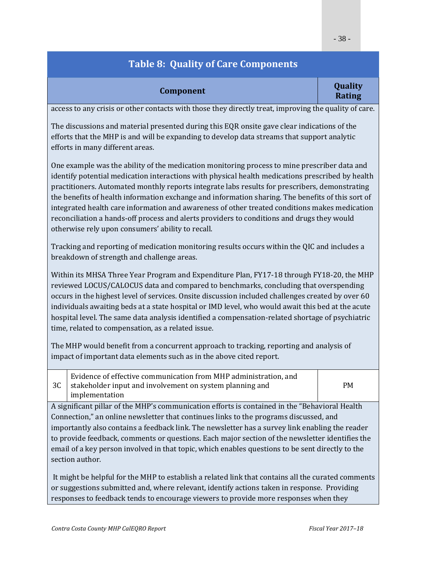|           | Quality            |
|-----------|--------------------|
| Component | D <sub>other</sub> |

# **Rating**

access to any crisis or other contacts with those they directly treat, improving the quality of care.

The discussions and material presented during this EQR onsite gave clear indications of the efforts that the MHP is and will be expanding to develop data streams that support analytic efforts in many different areas.

One example was the ability of the medication monitoring process to mine prescriber data and identify potential medication interactions with physical health medications prescribed by health practitioners. Automated monthly reports integrate labs results for prescribers, demonstrating the benefits of health information exchange and information sharing. The benefits of this sort of integrated health care information and awareness of other treated conditions makes medication reconciliation a hands-off process and alerts providers to conditions and drugs they would otherwise rely upon consumers' ability to recall.

Tracking and reporting of medication monitoring results occurs within the QIC and includes a breakdown of strength and challenge areas.

Within its MHSA Three Year Program and Expenditure Plan, FY17-18 through FY18-20, the MHP reviewed LOCUS/CALOCUS data and compared to benchmarks, concluding that overspending occurs in the highest level of services. Onsite discussion included challenges created by over 60 individuals awaiting beds at a state hospital or IMD level, who would await this bed at the acute hospital level. The same data analysis identified a compensation-related shortage of psychiatric time, related to compensation, as a related issue.

The MHP would benefit from a concurrent approach to tracking, reporting and analysis of impact of important data elements such as in the above cited report.

| Evidence of effective communication from MHP administration, and<br>stakeholder input and involvement on system planning and | <b>PM</b> |
|------------------------------------------------------------------------------------------------------------------------------|-----------|
| implementation                                                                                                               |           |

A significant pillar of the MHP's communication efforts is contained in the "Behavioral Health Connection," an online newsletter that continues links to the programs discussed, and importantly also contains a feedback link. The newsletter has a survey link enabling the reader to provide feedback, comments or questions. Each major section of the newsletter identifies the email of a key person involved in that topic, which enables questions to be sent directly to the section author.

It might be helpful for the MHP to establish a related link that contains all the curated comments or suggestions submitted and, where relevant, identify actions taken in response. Providing responses to feedback tends to encourage viewers to provide more responses when they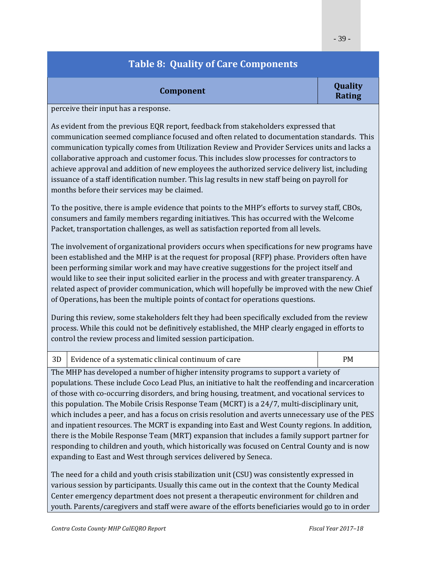#### **Component Component Quality Rating**

perceive their input has a response.

As evident from the previous EQR report, feedback from stakeholders expressed that communication seemed compliance focused and often related to documentation standards. This communication typically comes from Utilization Review and Provider Services units and lacks a collaborative approach and customer focus. This includes slow processes for contractors to achieve approval and addition of new employees the authorized service delivery list, including issuance of a staff identification number. This lag results in new staff being on payroll for months before their services may be claimed.

To the positive, there is ample evidence that points to the MHP's efforts to survey staff, CBOs, consumers and family members regarding initiatives. This has occurred with the Welcome Packet, transportation challenges, as well as satisfaction reported from all levels.

The involvement of organizational providers occurs when specifications for new programs have been established and the MHP is at the request for proposal (RFP) phase. Providers often have been performing similar work and may have creative suggestions for the project itself and would like to see their input solicited earlier in the process and with greater transparency. A related aspect of provider communication, which will hopefully be improved with the new Chief of Operations, has been the multiple points of contact for operations questions.

During this review, some stakeholders felt they had been specifically excluded from the review process. While this could not be definitively established, the MHP clearly engaged in efforts to control the review process and limited session participation.

| 3D   Evidence of a systematic clinical continuum of care | <b>PM</b> |
|----------------------------------------------------------|-----------|

The MHP has developed a number of higher intensity programs to support a variety of populations. These include Coco Lead Plus, an initiative to halt the reoffending and incarceration of those with co-occurring disorders, and bring housing, treatment, and vocational services to this population. The Mobile Crisis Response Team (MCRT) is a  $24/7$ , multi-disciplinary unit, which includes a peer, and has a focus on crisis resolution and averts unnecessary use of the PES and inpatient resources. The MCRT is expanding into East and West County regions. In addition, there is the Mobile Response Team (MRT) expansion that includes a family support partner for responding to children and youth, which historically was focused on Central County and is now expanding to East and West through services delivered by Seneca.

The need for a child and youth crisis stabilization unit (CSU) was consistently expressed in various session by participants. Usually this came out in the context that the County Medical Center emergency department does not present a therapeutic environment for children and youth. Parents/caregivers and staff were aware of the efforts beneficiaries would go to in order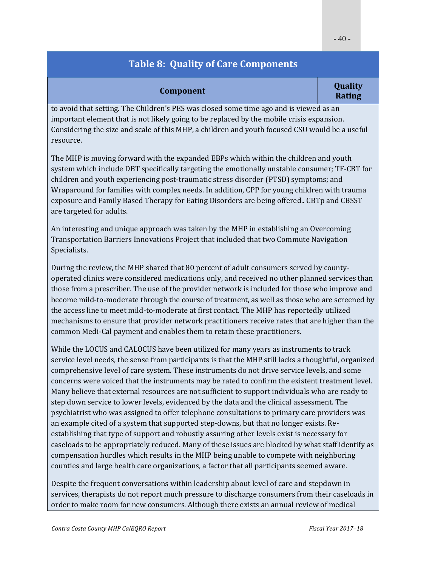| <b>Component</b> |  |
|------------------|--|
|------------------|--|

#### **Component Quality Rating**

to avoid that setting. The Children's PES was closed some time ago and is viewed as an important element that is not likely going to be replaced by the mobile crisis expansion. Considering the size and scale of this MHP, a children and youth focused CSU would be a useful resource. 

The MHP is moving forward with the expanded EBPs which within the children and youth system which include DBT specifically targeting the emotionally unstable consumer; TF-CBT for children and youth experiencing post-traumatic stress disorder (PTSD) symptoms; and Wraparound for families with complex needs. In addition, CPP for young children with trauma exposure and Family Based Therapy for Eating Disorders are being offered.. CBTp and CBSST are targeted for adults.

An interesting and unique approach was taken by the MHP in establishing an Overcoming Transportation Barriers Innovations Project that included that two Commute Navigation Specialists. 

During the review, the MHP shared that 80 percent of adult consumers served by countyoperated clinics were considered medications only, and received no other planned services than those from a prescriber. The use of the provider network is included for those who improve and become mild-to-moderate through the course of treatment, as well as those who are screened by the access line to meet mild-to-moderate at first contact. The MHP has reportedly utilized mechanisms to ensure that provider network practitioners receive rates that are higher than the common Medi-Cal payment and enables them to retain these practitioners.

While the LOCUS and CALOCUS have been utilized for many years as instruments to track service level needs, the sense from participants is that the MHP still lacks a thoughtful, organized comprehensive level of care system. These instruments do not drive service levels, and some concerns were voiced that the instruments may be rated to confirm the existent treatment level. Many believe that external resources are not sufficient to support individuals who are ready to step down service to lower levels, evidenced by the data and the clinical assessment. The psychiatrist who was assigned to offer telephone consultations to primary care providers was an example cited of a system that supported step-downs, but that no longer exists. Reestablishing that type of support and robustly assuring other levels exist is necessary for caseloads to be appropriately reduced. Many of these issues are blocked by what staff identify as compensation hurdles which results in the MHP being unable to compete with neighboring counties and large health care organizations, a factor that all participants seemed aware.

Despite the frequent conversations within leadership about level of care and stepdown in services, therapists do not report much pressure to discharge consumers from their caseloads in order to make room for new consumers. Although there exists an annual review of medical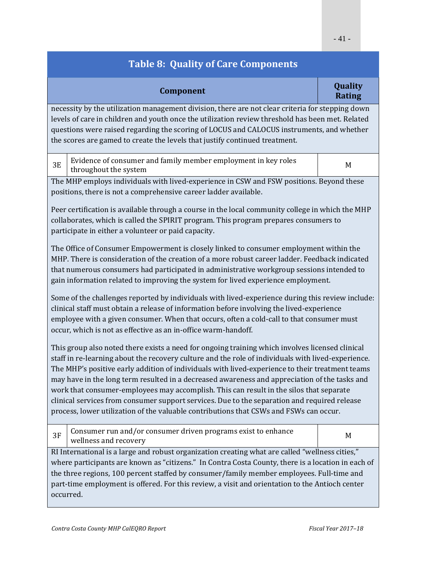| Component                                                                                                                                                                                                                                                                                                                                                                                                                                                                                                                                                                                                                                                                                      | Quality<br><b>Rating</b> |
|------------------------------------------------------------------------------------------------------------------------------------------------------------------------------------------------------------------------------------------------------------------------------------------------------------------------------------------------------------------------------------------------------------------------------------------------------------------------------------------------------------------------------------------------------------------------------------------------------------------------------------------------------------------------------------------------|--------------------------|
| necessity by the utilization management division, there are not clear criteria for stepping down<br>levels of care in children and youth once the utilization review threshold has been met. Related<br>questions were raised regarding the scoring of LOCUS and CALOCUS instruments, and whether<br>the scores are gamed to create the levels that justify continued treatment.                                                                                                                                                                                                                                                                                                               |                          |
| Evidence of consumer and family member employment in key roles<br><b>3E</b><br>throughout the system                                                                                                                                                                                                                                                                                                                                                                                                                                                                                                                                                                                           | M                        |
| The MHP employs individuals with lived-experience in CSW and FSW positions. Beyond these<br>positions, there is not a comprehensive career ladder available.                                                                                                                                                                                                                                                                                                                                                                                                                                                                                                                                   |                          |
| Peer certification is available through a course in the local community college in which the MHP<br>collaborates, which is called the SPIRIT program. This program prepares consumers to<br>participate in either a volunteer or paid capacity.                                                                                                                                                                                                                                                                                                                                                                                                                                                |                          |
| The Office of Consumer Empowerment is closely linked to consumer employment within the<br>MHP. There is consideration of the creation of a more robust career ladder. Feedback indicated<br>that numerous consumers had participated in administrative workgroup sessions intended to<br>gain information related to improving the system for lived experience employment.                                                                                                                                                                                                                                                                                                                     |                          |
| Some of the challenges reported by individuals with lived-experience during this review include:<br>clinical staff must obtain a release of information before involving the lived-experience<br>employee with a given consumer. When that occurs, often a cold-call to that consumer must<br>occur, which is not as effective as an in-office warm-handoff.                                                                                                                                                                                                                                                                                                                                   |                          |
| This group also noted there exists a need for ongoing training which involves licensed clinical<br>staff in re-learning about the recovery culture and the role of individuals with lived-experience.<br>The MHP's positive early addition of individuals with lived-experience to their treatment teams<br>may have in the long term resulted in a decreased awareness and appreciation of the tasks and<br>work that consumer-employees may accomplish. This can result in the silos that separate<br>clinical services from consumer support services. Due to the separation and required release<br>process, lower utilization of the valuable contributions that CSWs and FSWs can occur. |                          |
| Consumer run and/or consumer driven programs exist to enhance<br>3F<br>wellness and recovery                                                                                                                                                                                                                                                                                                                                                                                                                                                                                                                                                                                                   | M                        |
| RI International is a large and robust organization creating what are called "wellness cities,"                                                                                                                                                                                                                                                                                                                                                                                                                                                                                                                                                                                                |                          |

where participants are known as "citizens." In Contra Costa County, there is a location in each of the three regions, 100 percent staffed by consumer/family member employees. Full-time and part-time employment is offered. For this review, a visit and orientation to the Antioch center occurred.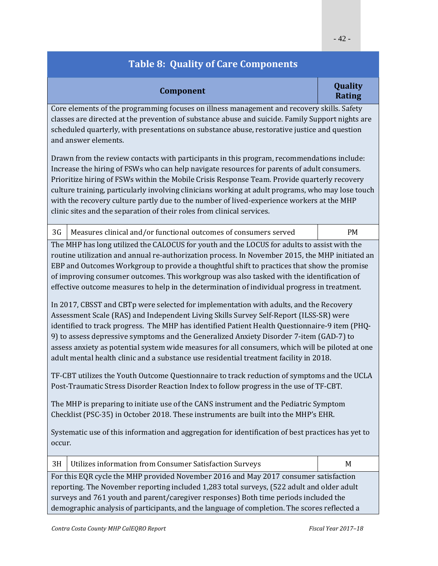|                  | Quality            |
|------------------|--------------------|
| <b>Component</b> | D <sub>ofina</sub> |

# **Rating**

Core elements of the programming focuses on illness management and recovery skills. Safety classes are directed at the prevention of substance abuse and suicide. Family Support nights are scheduled quarterly, with presentations on substance abuse, restorative justice and question and answer elements.

Drawn from the review contacts with participants in this program, recommendations include: Increase the hiring of FSWs who can help navigate resources for parents of adult consumers. Prioritize hiring of FSWs within the Mobile Crisis Response Team. Provide quarterly recovery culture training, particularly involving clinicians working at adult programs, who may lose touch with the recovery culture partly due to the number of lived-experience workers at the MHP clinic sites and the separation of their roles from clinical services.

|  | 3G   Measures clinical and/or functional outcomes of consumers served | <b>PM</b> |
|--|-----------------------------------------------------------------------|-----------|
|--|-----------------------------------------------------------------------|-----------|

The MHP has long utilized the CALOCUS for youth and the LOCUS for adults to assist with the routine utilization and annual re-authorization process. In November 2015, the MHP initiated an EBP and Outcomes Workgroup to provide a thoughtful shift to practices that show the promise of improving consumer outcomes. This workgroup was also tasked with the identification of effective outcome measures to help in the determination of individual progress in treatment.

In 2017, CBSST and CBTp were selected for implementation with adults, and the Recovery Assessment Scale (RAS) and Independent Living Skills Survey Self-Report (ILSS-SR) were identified to track progress. The MHP has identified Patient Health Questionnaire-9 item (PHQ-9) to assess depressive symptoms and the Generalized Anxiety Disorder 7-item (GAD-7) to assess anxiety as potential system wide measures for all consumers, which will be piloted at one adult mental health clinic and a substance use residential treatment facility in 2018.

TF-CBT utilizes the Youth Outcome Questionnaire to track reduction of symptoms and the UCLA Post-Traumatic Stress Disorder Reaction Index to follow progress in the use of TF-CBT.

The MHP is preparing to initiate use of the CANS instrument and the Pediatric Symptom Checklist (PSC-35) in October 2018. These instruments are built into the MHP's EHR.

Systematic use of this information and aggregation for identification of best practices has yet to occur. 

| 3H                                                                                           | Utilizes information from Consumer Satisfaction Surveys                              | M |  |
|----------------------------------------------------------------------------------------------|--------------------------------------------------------------------------------------|---|--|
|                                                                                              | For this EQR cycle the MHP provided November 2016 and May 2017 consumer satisfaction |   |  |
| reporting. The November reporting included 1,283 total surveys, (522 adult and older adult   |                                                                                      |   |  |
| surveys and 761 youth and parent/caregiver responses) Both time periods included the         |                                                                                      |   |  |
| demographic analysis of participants, and the language of completion. The scores reflected a |                                                                                      |   |  |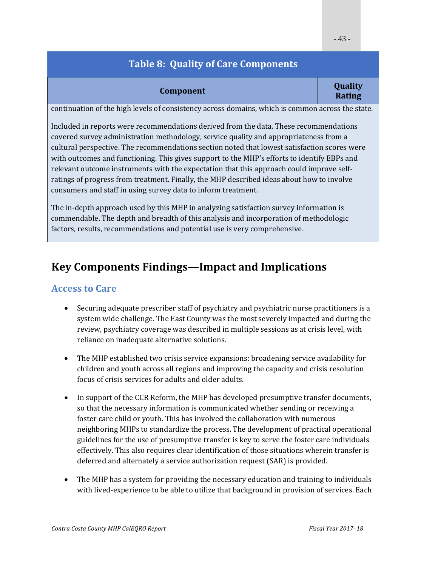#### **Component Component Quality Rating**

continuation of the high levels of consistency across domains, which is common across the state.

Included in reports were recommendations derived from the data. These recommendations covered survey administration methodology, service quality and appropriateness from a cultural perspective. The recommendations section noted that lowest satisfaction scores were with outcomes and functioning. This gives support to the MHP's efforts to identify EBPs and relevant outcome instruments with the expectation that this approach could improve selfratings of progress from treatment. Finally, the MHP described ideas about how to involve consumers and staff in using survey data to inform treatment.

The in-depth approach used by this MHP in analyzing satisfaction survey information is commendable. The depth and breadth of this analysis and incorporation of methodologic factors, results, recommendations and potential use is very comprehensive.

### **Key Components Findings—Impact and Implications**

### **Access to Care**

- Securing adequate prescriber staff of psychiatry and psychiatric nurse practitioners is a system wide challenge. The East County was the most severely impacted and during the review, psychiatry coverage was described in multiple sessions as at crisis level, with reliance on inadequate alternative solutions.
- The MHP established two crisis service expansions: broadening service availability for children and youth across all regions and improving the capacity and crisis resolution focus of crisis services for adults and older adults.
- In support of the CCR Reform, the MHP has developed presumptive transfer documents, so that the necessary information is communicated whether sending or receiving a foster care child or youth. This has involved the collaboration with numerous neighboring MHPs to standardize the process. The development of practical operational guidelines for the use of presumptive transfer is key to serve the foster care individuals effectively. This also requires clear identification of those situations wherein transfer is deferred and alternately a service authorization request (SAR) is provided.
- The MHP has a system for providing the necessary education and training to individuals with lived-experience to be able to utilize that background in provision of services. Each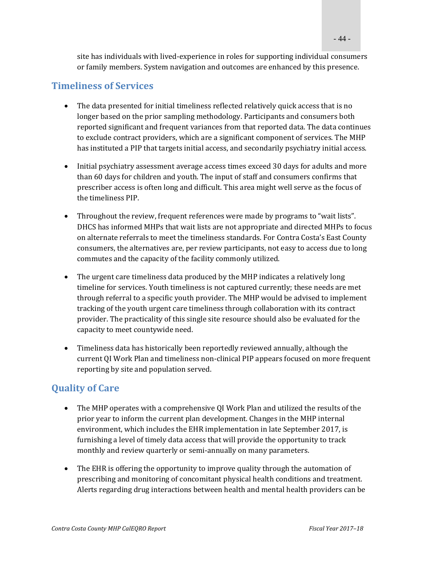site has individuals with lived-experience in roles for supporting individual consumers or family members. System navigation and outcomes are enhanced by this presence.

#### **Timeliness of Services**

- The data presented for initial timeliness reflected relatively quick access that is no longer based on the prior sampling methodology. Participants and consumers both reported significant and frequent variances from that reported data. The data continues to exclude contract providers, which are a significant component of services. The MHP has instituted a PIP that targets initial access, and secondarily psychiatry initial access.
- Initial psychiatry assessment average access times exceed 30 days for adults and more than 60 days for children and youth. The input of staff and consumers confirms that prescriber access is often long and difficult. This area might well serve as the focus of the timeliness PIP.
- Throughout the review, frequent references were made by programs to "wait lists". DHCS has informed MHPs that wait lists are not appropriate and directed MHPs to focus on alternate referrals to meet the timeliness standards. For Contra Costa's East County consumers, the alternatives are, per review participants, not easy to access due to long commutes and the capacity of the facility commonly utilized.
- The urgent care timeliness data produced by the MHP indicates a relatively long timeline for services. Youth timeliness is not captured currently; these needs are met through referral to a specific youth provider. The MHP would be advised to implement tracking of the youth urgent care timeliness through collaboration with its contract provider. The practicality of this single site resource should also be evaluated for the capacity to meet countywide need.
- Timeliness data has historically been reportedly reviewed annually, although the current QI Work Plan and timeliness non-clinical PIP appears focused on more frequent reporting by site and population served.

#### **Quality of Care**

- The MHP operates with a comprehensive QI Work Plan and utilized the results of the prior year to inform the current plan development. Changes in the MHP internal environment, which includes the EHR implementation in late September 2017, is furnishing a level of timely data access that will provide the opportunity to track monthly and review quarterly or semi-annually on many parameters.
- The EHR is offering the opportunity to improve quality through the automation of prescribing and monitoring of concomitant physical health conditions and treatment. Alerts regarding drug interactions between health and mental health providers can be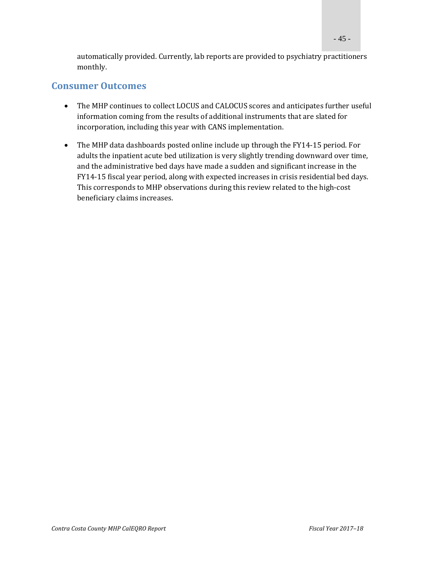automatically provided. Currently, lab reports are provided to psychiatry practitioners monthly. 

#### **Consumer Outcomes**

- The MHP continues to collect LOCUS and CALOCUS scores and anticipates further useful information coming from the results of additional instruments that are slated for incorporation, including this year with CANS implementation.
- The MHP data dashboards posted online include up through the FY14-15 period. For adults the inpatient acute bed utilization is very slightly trending downward over time, and the administrative bed days have made a sudden and significant increase in the FY14-15 fiscal year period, along with expected increases in crisis residential bed days. This corresponds to MHP observations during this review related to the high-cost beneficiary claims increases.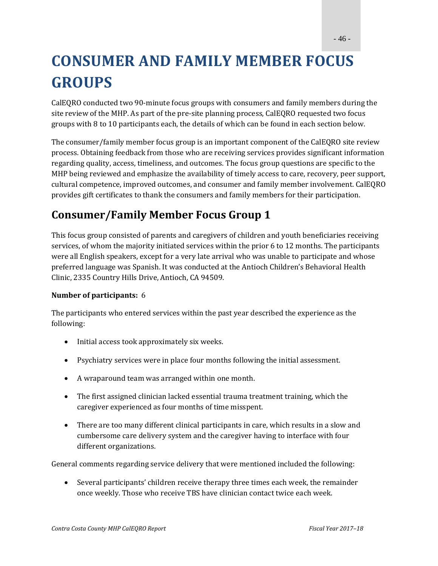# **CONSUMER AND FAMILY MEMBER FOCUS GROUPS**

CalEQRO conducted two 90-minute focus groups with consumers and family members during the site review of the MHP. As part of the pre-site planning process, CalEQRO requested two focus groups with 8 to 10 participants each, the details of which can be found in each section below.

The consumer/family member focus group is an important component of the CalEQRO site review process. Obtaining feedback from those who are receiving services provides significant information regarding quality, access, timeliness, and outcomes. The focus group questions are specific to the MHP being reviewed and emphasize the availability of timely access to care, recovery, peer support, cultural competence, improved outcomes, and consumer and family member involvement. CalEQRO provides gift certificates to thank the consumers and family members for their participation.

## **Consumer/Family Member Focus Group 1**

This focus group consisted of parents and caregivers of children and youth beneficiaries receiving services, of whom the majority initiated services within the prior 6 to 12 months. The participants were all English speakers, except for a very late arrival who was unable to participate and whose preferred language was Spanish. It was conducted at the Antioch Children's Behavioral Health Clinic, 2335 Country Hills Drive, Antioch, CA 94509.

#### **Number of participants:** 6

The participants who entered services within the past year described the experience as the following: 

- Initial access took approximately six weeks.
- Psychiatry services were in place four months following the initial assessment.
- A wraparound team was arranged within one month.
- The first assigned clinician lacked essential trauma treatment training, which the caregiver experienced as four months of time misspent.
- There are too many different clinical participants in care, which results in a slow and cumbersome care delivery system and the caregiver having to interface with four different organizations.

General comments regarding service delivery that were mentioned included the following:

• Several participants' children receive therapy three times each week, the remainder once weekly. Those who receive TBS have clinician contact twice each week.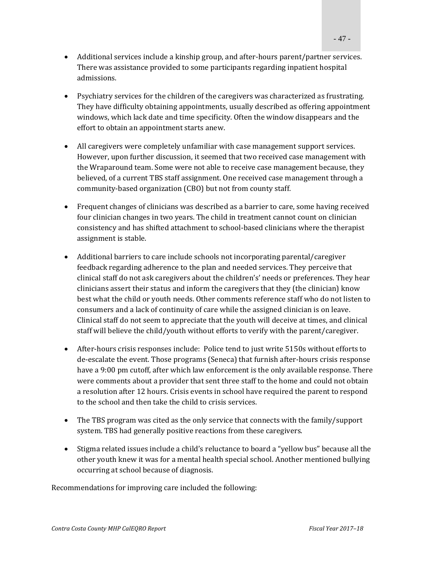- Additional services include a kinship group, and after-hours parent/partner services. There was assistance provided to some participants regarding inpatient hospital admissions.
- Psychiatry services for the children of the caregivers was characterized as frustrating. They have difficulty obtaining appointments, usually described as offering appointment windows, which lack date and time specificity. Often the window disappears and the effort to obtain an appointment starts anew.
- All caregivers were completely unfamiliar with case management support services. However, upon further discussion, it seemed that two received case management with the Wraparound team. Some were not able to receive case management because, they believed, of a current TBS staff assignment. One received case management through a community-based organization (CBO) but not from county staff.
- Frequent changes of clinicians was described as a barrier to care, some having received four clinician changes in two years. The child in treatment cannot count on clinician consistency and has shifted attachment to school-based clinicians where the therapist assignment is stable.
- Additional barriers to care include schools not incorporating parental/caregiver feedback regarding adherence to the plan and needed services. They perceive that clinical staff do not ask caregivers about the children's' needs or preferences. They hear clinicians assert their status and inform the caregivers that they (the clinician) know best what the child or youth needs. Other comments reference staff who do not listen to consumers and a lack of continuity of care while the assigned clinician is on leave. Clinical staff do not seem to appreciate that the youth will deceive at times, and clinical staff will believe the child/youth without efforts to verify with the parent/caregiver.
- After-hours crisis responses include: Police tend to just write 5150s without efforts to de-escalate the event. Those programs (Seneca) that furnish after-hours crisis response have a 9:00 pm cutoff, after which law enforcement is the only available response. There were comments about a provider that sent three staff to the home and could not obtain a resolution after 12 hours. Crisis events in school have required the parent to respond to the school and then take the child to crisis services.
- The TBS program was cited as the only service that connects with the family/support system. TBS had generally positive reactions from these caregivers.
- Stigma related issues include a child's reluctance to board a "yellow bus" because all the other youth knew it was for a mental health special school. Another mentioned bullying occurring at school because of diagnosis.

Recommendations for improving care included the following: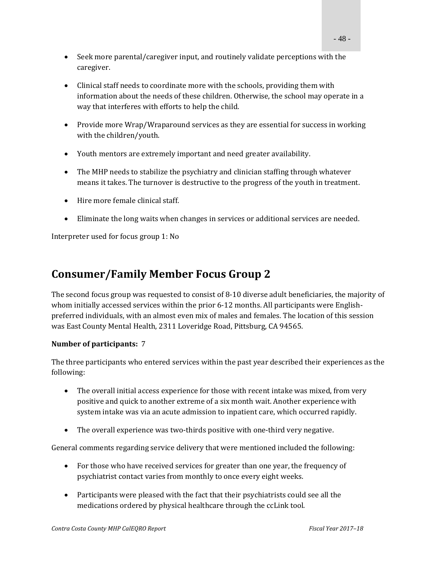- Seek more parental/caregiver input, and routinely validate perceptions with the caregiver.
- Clinical staff needs to coordinate more with the schools, providing them with information about the needs of these children. Otherwise, the school may operate in a way that interferes with efforts to help the child.
- Provide more Wrap/Wraparound services as they are essential for success in working with the children/youth.
- Youth mentors are extremely important and need greater availability.
- The MHP needs to stabilize the psychiatry and clinician staffing through whatever means it takes. The turnover is destructive to the progress of the youth in treatment.
- $\bullet$  Hire more female clinical staff.
- Eliminate the long waits when changes in services or additional services are needed.

Interpreter used for focus group 1: No

### **Consumer/Family Member Focus Group 2**

The second focus group was requested to consist of 8-10 diverse adult beneficiaries, the majority of whom initially accessed services within the prior  $6-12$  months. All participants were Englishpreferred individuals, with an almost even mix of males and females. The location of this session was East County Mental Health, 2311 Loveridge Road, Pittsburg, CA 94565.

#### **Number of participants:** 7

The three participants who entered services within the past year described their experiences as the following: 

- The overall initial access experience for those with recent intake was mixed, from very positive and quick to another extreme of a six month wait. Another experience with system intake was via an acute admission to inpatient care, which occurred rapidly.
- The overall experience was two-thirds positive with one-third very negative.

General comments regarding service delivery that were mentioned included the following:

- For those who have received services for greater than one year, the frequency of psychiatrist contact varies from monthly to once every eight weeks.
- Participants were pleased with the fact that their psychiatrists could see all the medications ordered by physical healthcare through the ccLink tool.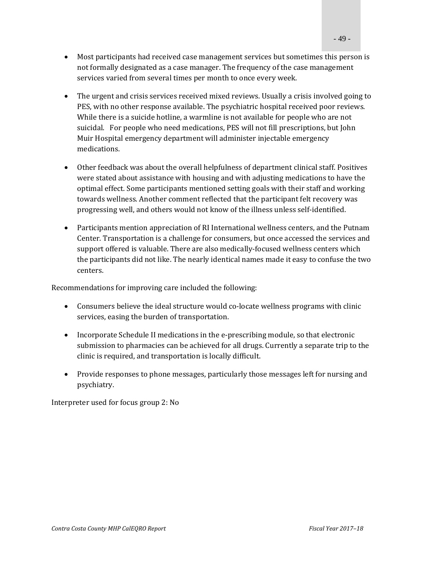- Most participants had received case management services but sometimes this person is not formally designated as a case manager. The frequency of the case management services varied from several times per month to once every week.
- The urgent and crisis services received mixed reviews. Usually a crisis involved going to PES, with no other response available. The psychiatric hospital received poor reviews. While there is a suicide hotline, a warmline is not available for people who are not suicidal. For people who need medications, PES will not fill prescriptions, but John Muir Hospital emergency department will administer injectable emergency medications.
- Other feedback was about the overall helpfulness of department clinical staff. Positives were stated about assistance with housing and with adjusting medications to have the optimal effect. Some participants mentioned setting goals with their staff and working towards wellness. Another comment reflected that the participant felt recovery was progressing well, and others would not know of the illness unless self-identified.
- Participants mention appreciation of RI International wellness centers, and the Putnam Center. Transportation is a challenge for consumers, but once accessed the services and support offered is valuable. There are also medically-focused wellness centers which the participants did not like. The nearly identical names made it easy to confuse the two centers.

Recommendations for improving care included the following:

- Consumers believe the ideal structure would co-locate wellness programs with clinic services, easing the burden of transportation.
- Incorporate Schedule II medications in the e-prescribing module, so that electronic submission to pharmacies can be achieved for all drugs. Currently a separate trip to the clinic is required, and transportation is locally difficult.
- Provide responses to phone messages, particularly those messages left for nursing and psychiatry.

Interpreter used for focus group 2: No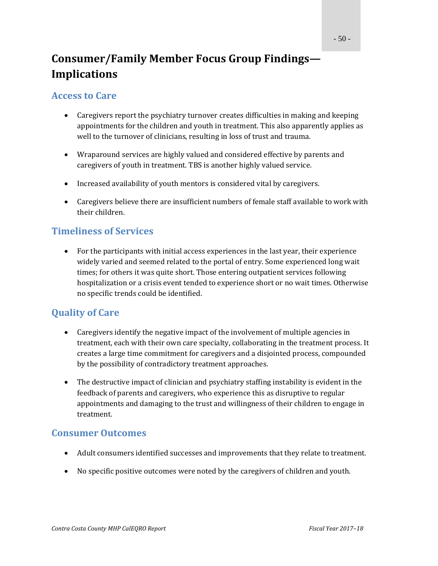## **Consumer/Family Member Focus Group Findings— Implications**

#### **Access to Care**

- Caregivers report the psychiatry turnover creates difficulties in making and keeping appointments for the children and youth in treatment. This also apparently applies as well to the turnover of clinicians, resulting in loss of trust and trauma.
- Wraparound services are highly valued and considered effective by parents and caregivers of youth in treatment. TBS is another highly valued service.
- Increased availability of youth mentors is considered vital by caregivers.
- Caregivers believe there are insufficient numbers of female staff available to work with their children.

### **Timeliness of Services**

• For the participants with initial access experiences in the last year, their experience widely varied and seemed related to the portal of entry. Some experienced long wait times; for others it was quite short. Those entering outpatient services following hospitalization or a crisis event tended to experience short or no wait times. Otherwise no specific trends could be identified.

### **Quality of Care**

- Caregivers identify the negative impact of the involvement of multiple agencies in treatment, each with their own care specialty, collaborating in the treatment process. It creates a large time commitment for caregivers and a disjointed process, compounded by the possibility of contradictory treatment approaches.
- The destructive impact of clinician and psychiatry staffing instability is evident in the feedback of parents and caregivers, who experience this as disruptive to regular appointments and damaging to the trust and willingness of their children to engage in treatment.

### **Consumer Outcomes**

- Adult consumers identified successes and improvements that they relate to treatment.
- No specific positive outcomes were noted by the caregivers of children and youth.

- 50 -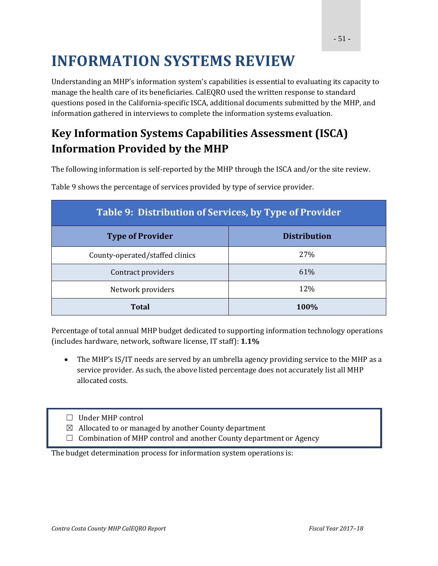# **INFORMATION SYSTEMS REVIEW**

Understanding an MHP's information system's capabilities is essential to evaluating its capacity to manage the health care of its beneficiaries. CalEORO used the written response to standard questions posed in the California-specific ISCA, additional documents submitted by the MHP, and information gathered in interviews to complete the information systems evaluation.

## **Key Information Systems Capabilities Assessment (ISCA) Information Provided by the MHP**

The following information is self-reported by the MHP through the ISCA and/or the site review.

| Table 9: Distribution of Services, by Type of Provider |                     |  |  |
|--------------------------------------------------------|---------------------|--|--|
| <b>Type of Provider</b>                                | <b>Distribution</b> |  |  |
| County-operated/staffed clinics                        | 27\%                |  |  |
| Contract providers                                     | 61%                 |  |  |
| Network providers                                      | 12\%                |  |  |
| Total                                                  | 100%                |  |  |

Table 9 shows the percentage of services provided by type of service provider.

Percentage of total annual MHP budget dedicated to supporting information technology operations (includes hardware, network, software license, IT staff): **1.1%**

- The MHP's IS/IT needs are served by an umbrella agency providing service to the MHP as a service provider. As such, the above listed percentage does not accurately list all MHP allocated costs.
- $\Box$  Under MHP control
- $\boxtimes$  Allocated to or managed by another County department
- $\Box$  Combination of MHP control and another County department or Agency

The budget determination process for information system operations is: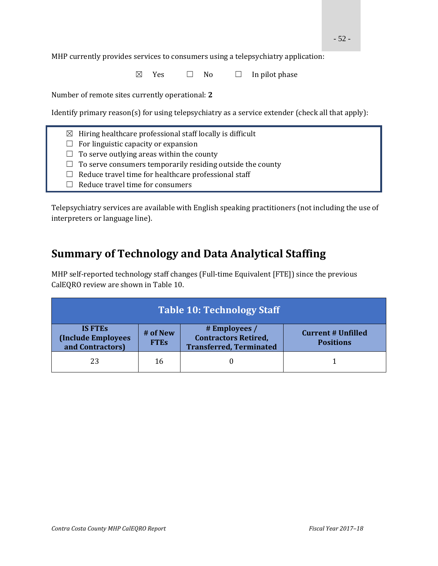MHP currently provides services to consumers using a telepsychiatry application:

 $\boxtimes$  Yes  $\Box$  No  $\Box$  In pilot phase

Number of remote sites currently operational: 2

Identify primary  $reason(s)$  for using telepsychiatry as a service extender (check all that apply):

- $\boxtimes$  Hiring healthcare professional staff locally is difficult
- $\Box$  For linguistic capacity or expansion
- $\Box$  To serve outlying areas within the county
- $\Box$  To serve consumers temporarily residing outside the county
- $\Box$  Reduce travel time for healthcare professional staff
- $\Box$  Reduce travel time for consumers

Telepsychiatry services are available with English speaking practitioners (not including the use of interpreters or language line).

### **Summary of Technology and Data Analytical Staffing**

MHP self-reported technology staff changes (Full-time Equivalent [FTE]) since the previous CalEQRO review are shown in Table 10.

| <b>Table 10: Technology Staff</b>                               |                         |                                                                                |                                               |
|-----------------------------------------------------------------|-------------------------|--------------------------------------------------------------------------------|-----------------------------------------------|
| <b>IS FTES</b><br><b>(Include Employees</b><br>and Contractors) | # of New<br><b>FTEs</b> | # Employees /<br><b>Contractors Retired,</b><br><b>Transferred, Terminated</b> | <b>Current # Unfilled</b><br><b>Positions</b> |
| 23                                                              | 16                      |                                                                                |                                               |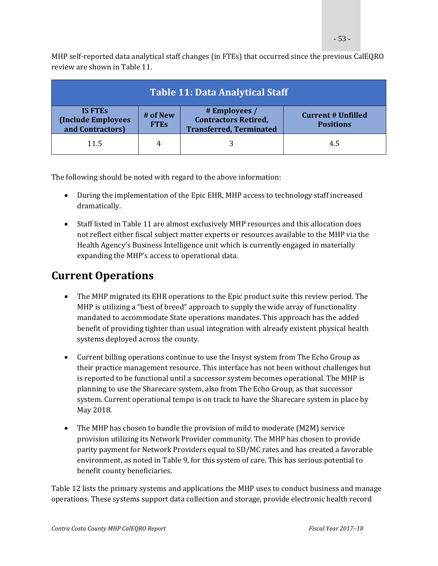MHP self-reported data analytical staff changes (in FTEs) that occurred since the previous CalEQRO review are shown in Table 11.

| <b>Table 11: Data Analytical Staff</b>                           |                         |                                                                                |                                               |
|------------------------------------------------------------------|-------------------------|--------------------------------------------------------------------------------|-----------------------------------------------|
| <b>IS FTES</b><br><b>(Include Employees)</b><br>and Contractors) | # of New<br><b>FTES</b> | # Employees /<br><b>Contractors Retired,</b><br><b>Transferred, Terminated</b> | <b>Current # Unfilled</b><br><b>Positions</b> |
| 11.5                                                             | 4                       |                                                                                | 4.5                                           |

The following should be noted with regard to the above information:

- During the implementation of the Epic EHR, MHP access to technology staff increased dramatically.
- Staff listed in Table 11 are almost exclusively MHP resources and this allocation does not reflect either fiscal subject matter experts or resources available to the MHP via the Health Agency's Business Intelligence unit which is currently engaged in materially expanding the MHP's access to operational data.

### **Current Operations**

- The MHP migrated its EHR operations to the Epic product suite this review period. The MHP is utilizing a "best of breed" approach to supply the wide array of functionality mandated to accommodate State operations mandates. This approach has the added benefit of providing tighter than usual integration with already existent physical health systems deployed across the county.
- Current billing operations continue to use the Insyst system from The Echo Group as their practice management resource. This interface has not been without challenges but is reported to be functional until a successor system becomes operational. The MHP is planning to use the Sharecare system, also from The Echo Group, as that successor system. Current operational tempo is on track to have the Sharecare system in place by May 2018.
- The MHP has chosen to handle the provision of mild to moderate (M2M) service provision utilizing its Network Provider community. The MHP has chosen to provide parity payment for Network Providers equal to SD/MC rates and has created a favorable environment, as noted in Table 9, for this system of care. This has serious potential to benefit county beneficiaries.

Table 12 lists the primary systems and applications the MHP uses to conduct business and manage operations. These systems support data collection and storage, provide electronic health record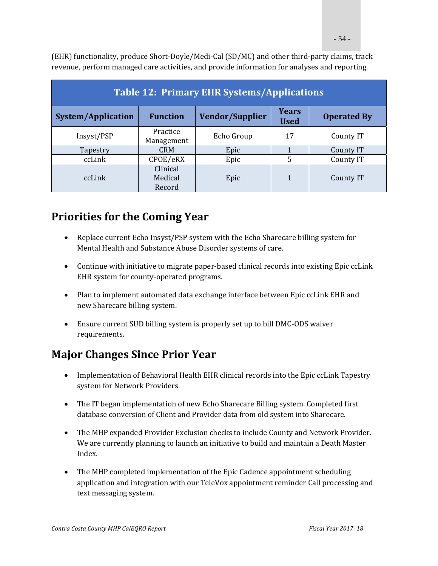$(EHR)$  functionality, produce Short-Doyle/Medi-Cal  $(SD/MC)$  and other third-party claims, track revenue, perform managed care activities, and provide information for analyses and reporting.

| <b>Table 12: Primary EHR Systems/Applications</b> |                               |                        |                             |                    |  |  |
|---------------------------------------------------|-------------------------------|------------------------|-----------------------------|--------------------|--|--|
| System/Application                                | <b>Function</b>               | <b>Vendor/Supplier</b> | <b>Years</b><br><b>Used</b> | <b>Operated By</b> |  |  |
| Insyst/PSP                                        | Practice<br>Management        | Echo Group             | 17                          | County IT          |  |  |
| Tapestry                                          | <b>CRM</b>                    | Epic                   |                             | County IT          |  |  |
| ccLink                                            | CPOE/eRX                      | Epic                   | 5                           | County IT          |  |  |
| ccLink                                            | Clinical<br>Medical<br>Record | Epic                   | 1                           | County IT          |  |  |

### **Priorities for the Coming Year**

- Replace current Echo Insyst/PSP system with the Echo Sharecare billing system for Mental Health and Substance Abuse Disorder systems of care.
- Continue with initiative to migrate paper-based clinical records into existing Epic ccLink EHR system for county-operated programs.
- Plan to implement automated data exchange interface between Epic ccLink EHR and new Sharecare billing system.
- Ensure current SUD billing system is properly set up to bill DMC-ODS waiver requirements.

### **Major Changes Since Prior Year**

- Implementation of Behavioral Health EHR clinical records into the Epic ccLink Tapestry system for Network Providers.
- The IT began implementation of new Echo Sharecare Billing system. Completed first database conversion of Client and Provider data from old system into Sharecare.
- The MHP expanded Provider Exclusion checks to include County and Network Provider. We are currently planning to launch an initiative to build and maintain a Death Master Index.
- The MHP completed implementation of the Epic Cadence appointment scheduling application and integration with our TeleVox appointment reminder Call processing and text messaging system.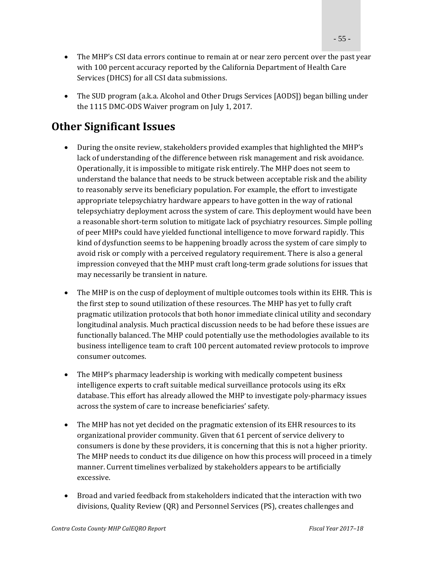- The MHP's CSI data errors continue to remain at or near zero percent over the past year with 100 percent accuracy reported by the California Department of Health Care Services (DHCS) for all CSI data submissions.
- The SUD program (a.k.a. Alcohol and Other Drugs Services [AODS]) began billing under the  $1115$  DMC-ODS Waiver program on July 1, 2017.

### **Other Significant Issues**

- During the onsite review, stakeholders provided examples that highlighted the MHP's lack of understanding of the difference between risk management and risk avoidance. Operationally, it is impossible to mitigate risk entirely. The MHP does not seem to understand the balance that needs to be struck between acceptable risk and the ability to reasonably serve its beneficiary population. For example, the effort to investigate appropriate telepsychiatry hardware appears to have gotten in the way of rational telepsychiatry deployment across the system of care. This deployment would have been a reasonable short-term solution to mitigate lack of psychiatry resources. Simple polling of peer MHPs could have yielded functional intelligence to move forward rapidly. This kind of dysfunction seems to be happening broadly across the system of care simply to avoid risk or comply with a perceived regulatory requirement. There is also a general impression conveyed that the MHP must craft long-term grade solutions for issues that may necessarily be transient in nature.
- The MHP is on the cusp of deployment of multiple outcomes tools within its EHR. This is the first step to sound utilization of these resources. The MHP has yet to fully craft pragmatic utilization protocols that both honor immediate clinical utility and secondary longitudinal analysis. Much practical discussion needs to be had before these issues are functionally balanced. The MHP could potentially use the methodologies available to its business intelligence team to craft 100 percent automated review protocols to improve consumer outcomes.
- The MHP's pharmacy leadership is working with medically competent business intelligence experts to craft suitable medical surveillance protocols using its eRx database. This effort has already allowed the MHP to investigate poly-pharmacy issues across the system of care to increase beneficiaries' safety.
- The MHP has not yet decided on the pragmatic extension of its EHR resources to its organizational provider community. Given that 61 percent of service delivery to consumers is done by these providers, it is concerning that this is not a higher priority. The MHP needs to conduct its due diligence on how this process will proceed in a timely manner. Current timelines verbalized by stakeholders appears to be artificially excessive.
- Broad and varied feedback from stakeholders indicated that the interaction with two divisions, Quality Review (QR) and Personnel Services (PS), creates challenges and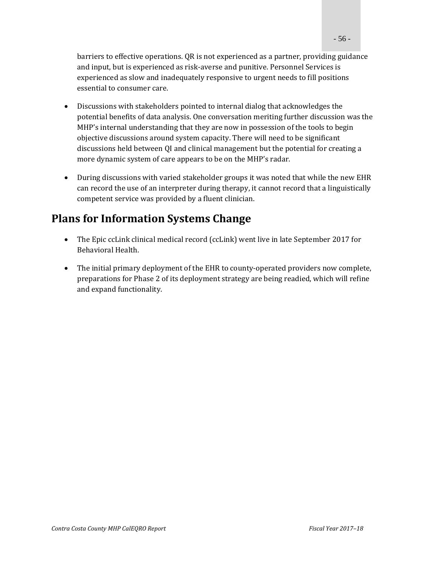barriers to effective operations. QR is not experienced as a partner, providing guidance and input, but is experienced as risk-averse and punitive. Personnel Services is experienced as slow and inadequately responsive to urgent needs to fill positions essential to consumer care.

- Discussions with stakeholders pointed to internal dialog that acknowledges the potential benefits of data analysis. One conversation meriting further discussion was the MHP's internal understanding that they are now in possession of the tools to begin objective discussions around system capacity. There will need to be significant discussions held between QI and clinical management but the potential for creating a more dynamic system of care appears to be on the MHP's radar.
- During discussions with varied stakeholder groups it was noted that while the new EHR can record the use of an interpreter during therapy, it cannot record that a linguistically competent service was provided by a fluent clinician.

### **Plans for Information Systems Change**

- The Epic ccLink clinical medical record (ccLink) went live in late September 2017 for Behavioral Health.
- The initial primary deployment of the EHR to county-operated providers now complete, preparations for Phase 2 of its deployment strategy are being readied, which will refine and expand functionality.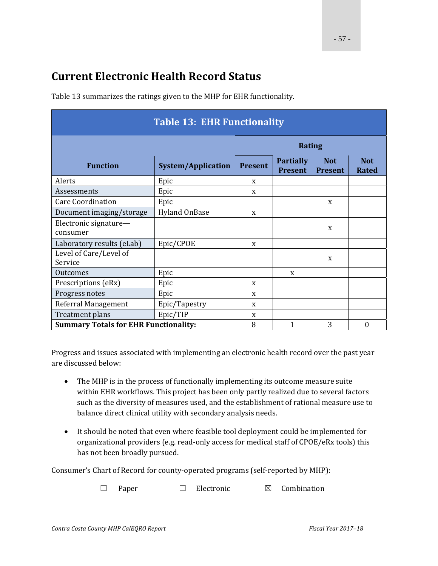### **Current Electronic Health Record Status**

| <b>Table 13: EHR Functionality</b>           |                           |                |                                    |                              |                            |  |
|----------------------------------------------|---------------------------|----------------|------------------------------------|------------------------------|----------------------------|--|
|                                              | <b>Rating</b>             |                |                                    |                              |                            |  |
| <b>Function</b>                              | <b>System/Application</b> | <b>Present</b> | <b>Partially</b><br><b>Present</b> | <b>Not</b><br><b>Present</b> | <b>Not</b><br><b>Rated</b> |  |
| Alerts                                       | Epic                      | X              |                                    |                              |                            |  |
| Assessments                                  | Epic                      | X              |                                    |                              |                            |  |
| <b>Care Coordination</b>                     | Epic                      |                |                                    | X                            |                            |  |
| Document imaging/storage                     | Hyland OnBase             | X              |                                    |                              |                            |  |
| Electronic signature-<br>consumer            |                           |                |                                    | $\mathbf x$                  |                            |  |
| Laboratory results (eLab)                    | Epic/CPOE                 | X              |                                    |                              |                            |  |
| Level of Care/Level of<br>Service            |                           |                |                                    | X                            |                            |  |
| Outcomes                                     | Epic                      |                | X                                  |                              |                            |  |
| Prescriptions (eRx)                          | Epic                      | X              |                                    |                              |                            |  |
| Progress notes                               | Epic                      | X              |                                    |                              |                            |  |
| Referral Management                          | Epic/Tapestry             | X              |                                    |                              |                            |  |
| Treatment plans                              | Epic/TIP                  | X              |                                    |                              |                            |  |
| <b>Summary Totals for EHR Functionality:</b> | 8                         | $\mathbf{1}$   | 3                                  | $\boldsymbol{0}$             |                            |  |

Table 13 summarizes the ratings given to the MHP for EHR functionality.

Progress and issues associated with implementing an electronic health record over the past year are discussed below:

- The MHP is in the process of functionally implementing its outcome measure suite within EHR workflows. This project has been only partly realized due to several factors such as the diversity of measures used, and the establishment of rational measure use to balance direct clinical utility with secondary analysis needs.
- It should be noted that even where feasible tool deployment could be implemented for organizational providers (e.g. read-only access for medical staff of CPOE/eRx tools) this has not been broadly pursued.

Consumer's Chart of Record for county-operated programs (self-reported by MHP):

☐ Paper ☐ Electronic ☒ Combination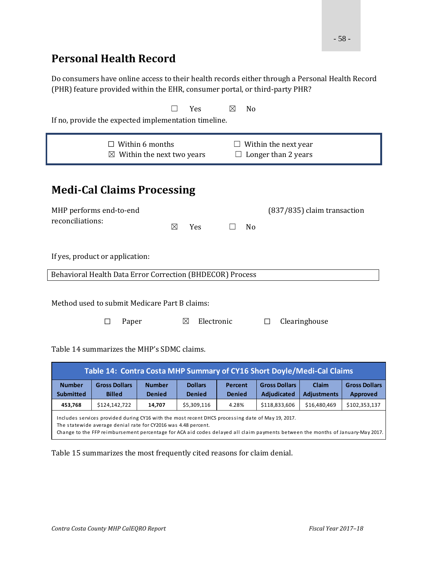### **Personal Health Record**

Do consumers have online access to their health records either through a Personal Health Record (PHR) feature provided within the EHR, consumer portal, or third-party PHR?

| Yes<br>⊠<br>N <sub>o</sub><br>If no, provide the expected implementation timeline.                                                            |                                       |                                                     |                                 |                          |  |                                             |                             |                                         |
|-----------------------------------------------------------------------------------------------------------------------------------------------|---------------------------------------|-----------------------------------------------------|---------------------------------|--------------------------|--|---------------------------------------------|-----------------------------|-----------------------------------------|
|                                                                                                                                               | $\boxtimes$                           | $\Box$ Within 6 months<br>Within the next two years |                                 |                          |  | Within the next year<br>Longer than 2 years |                             |                                         |
| <b>Medi-Cal Claims Processing</b><br>MHP performs end-to-end<br>(837/835) claim transaction<br>reconciliations:<br>Yes<br>⊠<br>N <sub>0</sub> |                                       |                                                     |                                 |                          |  |                                             |                             |                                         |
| If yes, product or application:                                                                                                               |                                       |                                                     |                                 |                          |  |                                             |                             |                                         |
| Behavioral Health Data Error Correction (BHDECOR) Process                                                                                     |                                       |                                                     |                                 |                          |  |                                             |                             |                                         |
| Method used to submit Medicare Part B claims:<br>Electronic<br>Clearinghouse<br>Paper<br>⊠<br>П<br>П                                          |                                       |                                                     |                                 |                          |  |                                             |                             |                                         |
| Table 14 summarizes the MHP's SDMC claims.                                                                                                    |                                       |                                                     |                                 |                          |  |                                             |                             |                                         |
| Table 14: Contra Costa MHP Summary of CY16 Short Doyle/Medi-Cal Claims                                                                        |                                       |                                                     |                                 |                          |  |                                             |                             |                                         |
| <b>Number</b><br><b>Submitted</b>                                                                                                             | <b>Gross Dollars</b><br><b>Billed</b> | <b>Number</b><br><b>Denied</b>                      | <b>Dollars</b><br><b>Denied</b> | Percent<br><b>Denied</b> |  | <b>Gross Dollars</b><br>Adjudicated         | Claim<br><b>Adjustments</b> | <b>Gross Dollars</b><br><b>Approved</b> |

Includes services provided during CY16 with the most recent DHCS processing date of May 19, 2017. The statewide average denial rate for CY2016 was 4.48 percent. Change to the FFP reimbursement percentage for ACA aid codes delayed all claim payments be tween the months of Janua ry‐May 2017.

**453,768** \$124,142,722 **14,707** \$5,309,116 4.28% \$118,833,606 \$16,480,469 \$102,353,137

Table 15 summarizes the most frequently cited reasons for claim denial.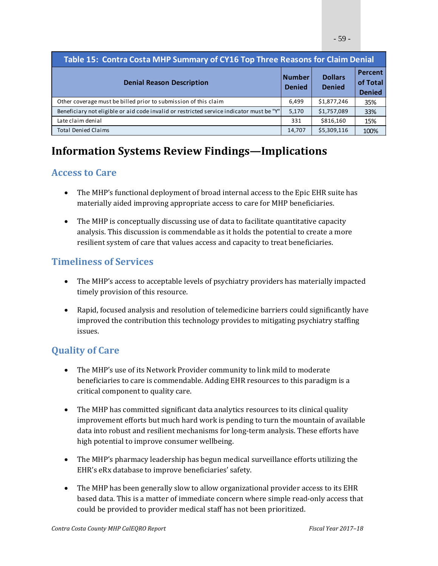| Table 15: Contra Costa MHP Summary of CY16 Top Three Reasons for Claim Denial            |                                |                                 |                                      |  |  |  |
|------------------------------------------------------------------------------------------|--------------------------------|---------------------------------|--------------------------------------|--|--|--|
| <b>Denial Reason Description</b>                                                         | <b>Number</b><br><b>Denied</b> | <b>Dollars</b><br><b>Denied</b> | Percent<br>of Total<br><b>Denied</b> |  |  |  |
| Other coverage must be billed prior to submission of this claim                          | 6.499                          | \$1,877,246                     | 35%                                  |  |  |  |
| Beneficiary not eligible or aid code invalid or restricted service indicator must be "Y" | 5,170                          | \$1,757,089                     | 33%                                  |  |  |  |
| Late claim denial                                                                        | 331                            | \$816,160                       | 15%                                  |  |  |  |
| <b>Total Denied Claims</b>                                                               | 14,707                         | \$5,309,116                     | 100%                                 |  |  |  |

### **Information Systems Review Findings—Implications**

### **Access to Care**

- The MHP's functional deployment of broad internal access to the Epic EHR suite has materially aided improving appropriate access to care for MHP beneficiaries.
- The MHP is conceptually discussing use of data to facilitate quantitative capacity analysis. This discussion is commendable as it holds the potential to create a more resilient system of care that values access and capacity to treat beneficiaries.

### **Timeliness of Services**

- The MHP's access to acceptable levels of psychiatry providers has materially impacted timely provision of this resource.
- Rapid, focused analysis and resolution of telemedicine barriers could significantly have improved the contribution this technology provides to mitigating psychiatry staffing issues.

### **Quality of Care**

- The MHP's use of its Network Provider community to link mild to moderate beneficiaries to care is commendable. Adding EHR resources to this paradigm is a critical component to quality care.
- The MHP has committed significant data analytics resources to its clinical quality improvement efforts but much hard work is pending to turn the mountain of available data into robust and resilient mechanisms for long-term analysis. These efforts have high potential to improve consumer wellbeing.
- The MHP's pharmacy leadership has begun medical surveillance efforts utilizing the EHR's eRx database to improve beneficiaries' safety.
- The MHP has been generally slow to allow organizational provider access to its EHR based data. This is a matter of immediate concern where simple read-only access that could be provided to provider medical staff has not been prioritized.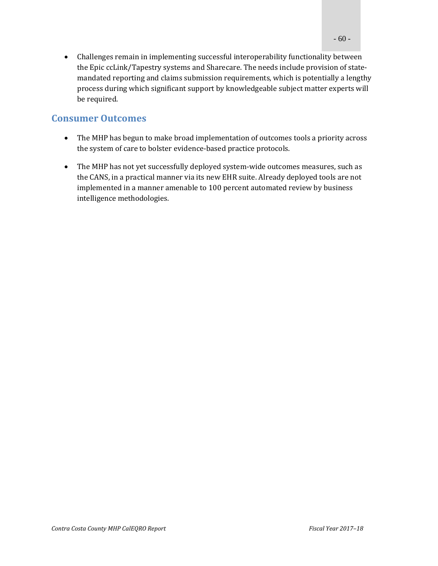• Challenges remain in implementing successful interoperability functionality between the Epic ccLink/Tapestry systems and Sharecare. The needs include provision of statemandated reporting and claims submission requirements, which is potentially a lengthy process during which significant support by knowledgeable subject matter experts will be required.

### **Consumer Outcomes**

- The MHP has begun to make broad implementation of outcomes tools a priority across the system of care to bolster evidence-based practice protocols.
- The MHP has not yet successfully deployed system-wide outcomes measures, such as the CANS, in a practical manner via its new EHR suite. Already deployed tools are not implemented in a manner amenable to 100 percent automated review by business intelligence methodologies.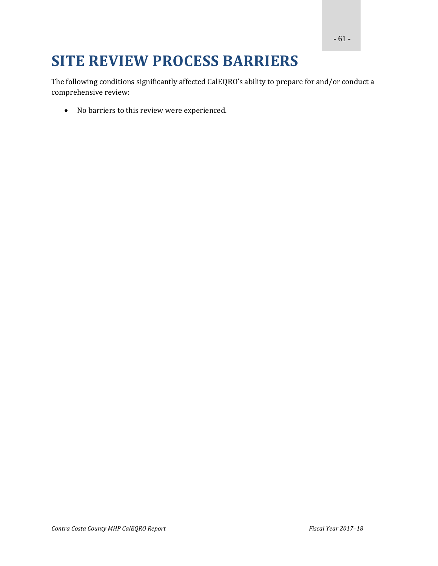# **SITE REVIEW PROCESS BARRIERS**

The following conditions significantly affected CalEQRO's ability to prepare for and/or conduct a comprehensive review:

• No barriers to this review were experienced.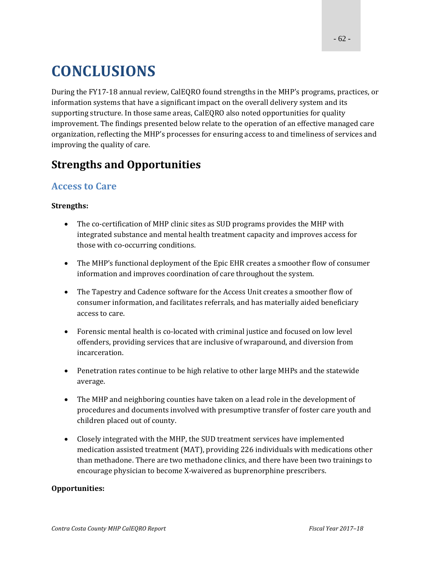# **CONCLUSIONS**

During the FY17-18 annual review, CalEQRO found strengths in the MHP's programs, practices, or information systems that have a significant impact on the overall delivery system and its supporting structure. In those same areas, CalEQRO also noted opportunities for quality improvement. The findings presented below relate to the operation of an effective managed care organization, reflecting the MHP's processes for ensuring access to and timeliness of services and improving the quality of care.

### **Strengths and Opportunities**

### **Access to Care**

#### **Strengths:**

- The co-certification of MHP clinic sites as SUD programs provides the MHP with integrated substance and mental health treatment capacity and improves access for those with co-occurring conditions.
- The MHP's functional deployment of the Epic EHR creates a smoother flow of consumer information and improves coordination of care throughout the system.
- The Tapestry and Cadence software for the Access Unit creates a smoother flow of consumer information, and facilitates referrals, and has materially aided beneficiary access to care.
- Forensic mental health is co-located with criminal justice and focused on low level offenders, providing services that are inclusive of wraparound, and diversion from incarceration.
- Penetration rates continue to be high relative to other large MHPs and the statewide average.
- The MHP and neighboring counties have taken on a lead role in the development of procedures and documents involved with presumptive transfer of foster care youth and children placed out of county.
- Closely integrated with the MHP, the SUD treatment services have implemented medication assisted treatment (MAT), providing 226 individuals with medications other than methadone. There are two methadone clinics, and there have been two trainings to encourage physician to become X-waivered as buprenorphine prescribers.

#### **Opportunities:**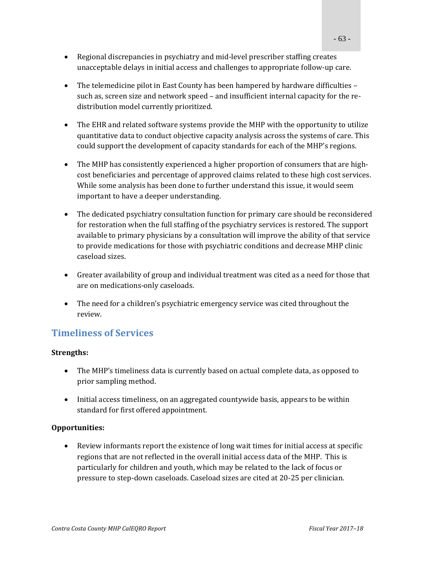- Regional discrepancies in psychiatry and mid-level prescriber staffing creates unacceptable delays in initial access and challenges to appropriate follow-up care.
- The telemedicine pilot in East County has been hampered by hardware difficulties such as, screen size and network speed – and insufficient internal capacity for the redistribution model currently prioritized.
- The EHR and related software systems provide the MHP with the opportunity to utilize quantitative data to conduct objective capacity analysis across the systems of care. This could support the development of capacity standards for each of the MHP's regions.
- The MHP has consistently experienced a higher proportion of consumers that are highcost beneficiaries and percentage of approved claims related to these high cost services. While some analysis has been done to further understand this issue, it would seem important to have a deeper understanding.
- The dedicated psychiatry consultation function for primary care should be reconsidered for restoration when the full staffing of the psychiatry services is restored. The support available to primary physicians by a consultation will improve the ability of that service to provide medications for those with psychiatric conditions and decrease MHP clinic caseload sizes.
- Greater availability of group and individual treatment was cited as a need for those that are on medications-only caseloads.
- The need for a children's psychiatric emergency service was cited throughout the review.

### **Timeliness of Services**

#### **Strengths:**

- The MHP's timeliness data is currently based on actual complete data, as opposed to prior sampling method.
- Initial access timeliness, on an aggregated countywide basis, appears to be within standard for first offered appointment.

#### **Opportunities:**

• Review informants report the existence of long wait times for initial access at specific regions that are not reflected in the overall initial access data of the MHP. This is particularly for children and youth, which may be related to the lack of focus or pressure to step-down caseloads. Caseload sizes are cited at 20-25 per clinician.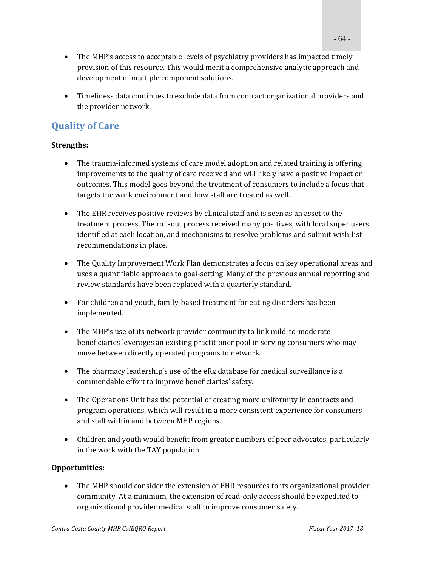- The MHP's access to acceptable levels of psychiatry providers has impacted timely provision of this resource. This would merit a comprehensive analytic approach and development of multiple component solutions.
- Timeliness data continues to exclude data from contract organizational providers and the provider network.

### **Quality of Care**

#### **Strengths:**

- The trauma-informed systems of care model adoption and related training is offering improvements to the quality of care received and will likely have a positive impact on outcomes. This model goes beyond the treatment of consumers to include a focus that targets the work environment and how staff are treated as well.
- The EHR receives positive reviews by clinical staff and is seen as an asset to the treatment process. The roll-out process received many positives, with local super users identified at each location, and mechanisms to resolve problems and submit wish-list recommendations in place.
- The Quality Improvement Work Plan demonstrates a focus on key operational areas and uses a quantifiable approach to goal-setting. Many of the previous annual reporting and review standards have been replaced with a quarterly standard.
- For children and youth, family-based treatment for eating disorders has been implemented.
- The MHP's use of its network provider community to link mild-to-moderate beneficiaries leverages an existing practitioner pool in serving consumers who may move between directly operated programs to network.
- The pharmacy leadership's use of the eRx database for medical surveillance is a commendable effort to improve beneficiaries' safety.
- The Operations Unit has the potential of creating more uniformity in contracts and program operations, which will result in a more consistent experience for consumers and staff within and between MHP regions.
- Children and youth would benefit from greater numbers of peer advocates, particularly in the work with the TAY population.

#### **Opportunities:**

• The MHP should consider the extension of EHR resources to its organizational provider community. At a minimum, the extension of read-only access should be expedited to organizational provider medical staff to improve consumer safety.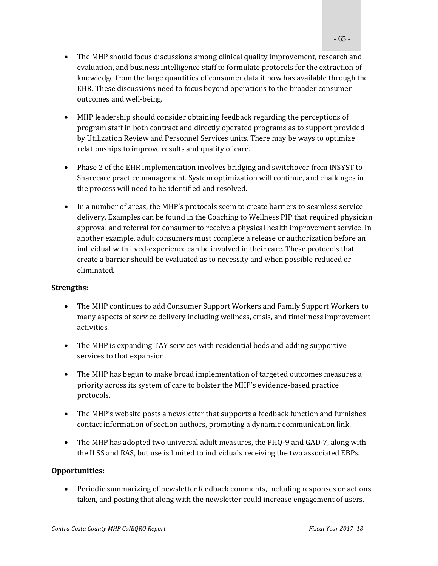- The MHP should focus discussions among clinical quality improvement, research and evaluation, and business intelligence staff to formulate protocols for the extraction of knowledge from the large quantities of consumer data it now has available through the EHR. These discussions need to focus beyond operations to the broader consumer outcomes and well-being.
- MHP leadership should consider obtaining feedback regarding the perceptions of program staff in both contract and directly operated programs as to support provided by Utilization Review and Personnel Services units. There may be ways to optimize relationships to improve results and quality of care.
- Phase 2 of the EHR implementation involves bridging and switchover from INSYST to Sharecare practice management. System optimization will continue, and challenges in the process will need to be identified and resolved.
- In a number of areas, the MHP's protocols seem to create barriers to seamless service delivery. Examples can be found in the Coaching to Wellness PIP that required physician approval and referral for consumer to receive a physical health improvement service. In another example, adult consumers must complete a release or authorization before an individual with lived-experience can be involved in their care. These protocols that create a barrier should be evaluated as to necessity and when possible reduced or eliminated.

#### **Strengths:**

- The MHP continues to add Consumer Support Workers and Family Support Workers to many aspects of service delivery including wellness, crisis, and timeliness improvement activities.
- The MHP is expanding TAY services with residential beds and adding supportive services to that expansion.
- The MHP has begun to make broad implementation of targeted outcomes measures a priority across its system of care to bolster the MHP's evidence-based practice protocols.
- The MHP's website posts a newsletter that supports a feedback function and furnishes contact information of section authors, promoting a dynamic communication link.
- The MHP has adopted two universal adult measures, the PHQ-9 and GAD-7, along with the ILSS and RAS, but use is limited to individuals receiving the two associated EBPs.

#### **Opportunities:**

• Periodic summarizing of newsletter feedback comments, including responses or actions taken, and posting that along with the newsletter could increase engagement of users.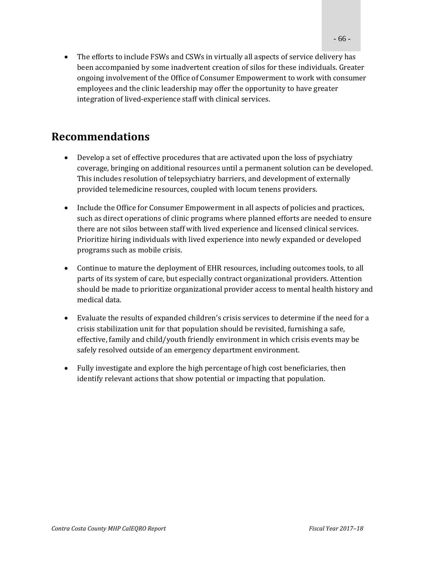• The efforts to include FSWs and CSWs in virtually all aspects of service delivery has been accompanied by some inadvertent creation of silos for these individuals. Greater ongoing involvement of the Office of Consumer Empowerment to work with consumer employees and the clinic leadership may offer the opportunity to have greater integration of lived-experience staff with clinical services.

### **Recommendations**

- Develop a set of effective procedures that are activated upon the loss of psychiatry coverage, bringing on additional resources until a permanent solution can be developed. This includes resolution of telepsychiatry barriers, and development of externally provided telemedicine resources, coupled with locum tenens providers.
- Include the Office for Consumer Empowerment in all aspects of policies and practices, such as direct operations of clinic programs where planned efforts are needed to ensure there are not silos between staff with lived experience and licensed clinical services. Prioritize hiring individuals with lived experience into newly expanded or developed programs such as mobile crisis.
- Continue to mature the deployment of EHR resources, including outcomes tools, to all parts of its system of care, but especially contract organizational providers. Attention should be made to prioritize organizational provider access to mental health history and medical data.
- Evaluate the results of expanded children's crisis services to determine if the need for a crisis stabilization unit for that population should be revisited, furnishing a safe, effective, family and child/youth friendly environment in which crisis events may be safely resolved outside of an emergency department environment.
- Fully investigate and explore the high percentage of high cost beneficiaries, then identify relevant actions that show potential or impacting that population.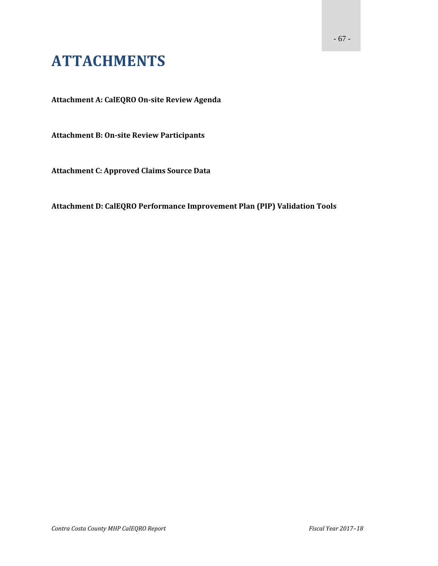# **ATTACHMENTS**

**Attachment A: CalEQRO On‐site Review Agenda**

**Attachment B: On‐site Review Participants**

**Attachment C: Approved Claims Source Data**

**Attachment D: CalEQRO Performance Improvement Plan (PIP) Validation Tools**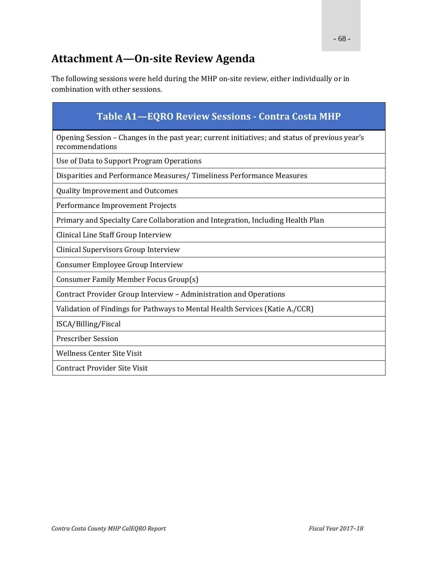### **Attachment A—On‐site Review Agenda**

The following sessions were held during the MHP on-site review, either individually or in combination with other sessions.

| <b>Table A1-EQRO Review Sessions - Contra Costa MHP</b>                                                           |
|-------------------------------------------------------------------------------------------------------------------|
| Opening Session – Changes in the past year; current initiatives; and status of previous year's<br>recommendations |
| Use of Data to Support Program Operations                                                                         |
| Disparities and Performance Measures/Timeliness Performance Measures                                              |
| <b>Quality Improvement and Outcomes</b>                                                                           |
| Performance Improvement Projects                                                                                  |
| Primary and Specialty Care Collaboration and Integration, Including Health Plan                                   |
| Clinical Line Staff Group Interview                                                                               |
| Clinical Supervisors Group Interview                                                                              |
| Consumer Employee Group Interview                                                                                 |
| Consumer Family Member Focus Group(s)                                                                             |
| Contract Provider Group Interview - Administration and Operations                                                 |
| Validation of Findings for Pathways to Mental Health Services (Katie A./CCR)                                      |
| ISCA/Billing/Fiscal                                                                                               |
| <b>Prescriber Session</b>                                                                                         |
| <b>Wellness Center Site Visit</b>                                                                                 |
| <b>Contract Provider Site Visit</b>                                                                               |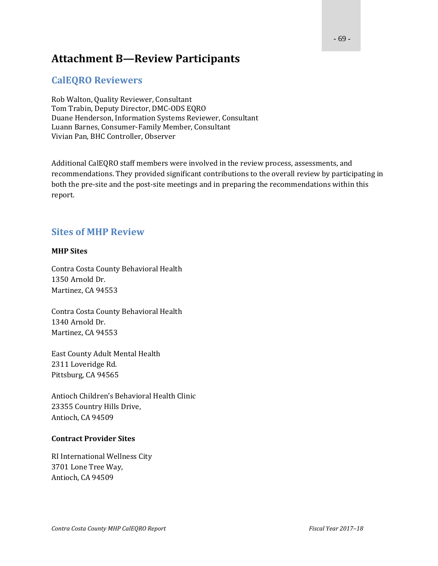### **Attachment B—Review Participants**

#### **CalEQRO Reviewers**

Rob Walton, Quality Reviewer, Consultant Tom Trabin, Deputy Director, DMC-ODS EQRO Duane Henderson, Information Systems Reviewer, Consultant Luann Barnes, Consumer-Family Member, Consultant Vivian Pan, BHC Controller, Observer

Additional CalEQRO staff members were involved in the review process, assessments, and recommendations. They provided significant contributions to the overall review by participating in both the pre-site and the post-site meetings and in preparing the recommendations within this report. 

#### **Sites of MHP Review**

#### **MHP Sites**

Contra Costa County Behavioral Health 1350 Arnold Dr. Martinez, CA 94553

Contra Costa County Behavioral Health 1340 Arnold Dr. Martinez, CA 94553

East County Adult Mental Health 2311 Loveridge Rd. Pittsburg, CA 94565

Antioch Children's Behavioral Health Clinic 23355 Country Hills Drive, Antioch, CA 94509

#### **Contract Provider Sites**

RI International Wellness City 3701 Lone Tree Way, Antioch, CA 94509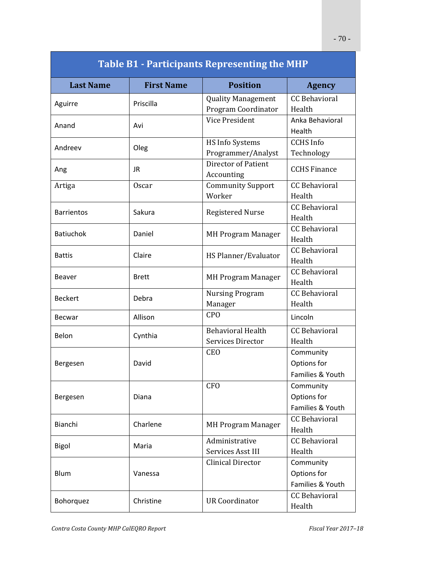| <b>Table B1 - Participants Representing the MHP</b> |                   |                                   |                      |  |  |  |
|-----------------------------------------------------|-------------------|-----------------------------------|----------------------|--|--|--|
| <b>Last Name</b>                                    | <b>First Name</b> | <b>Position</b>                   | <b>Agency</b>        |  |  |  |
| Aguirre                                             | Priscilla         | <b>Quality Management</b>         | <b>CC Behavioral</b> |  |  |  |
|                                                     |                   | Program Coordinator               | Health               |  |  |  |
| Anand                                               | Avi               | Vice President                    | Anka Behavioral      |  |  |  |
|                                                     |                   |                                   | Health               |  |  |  |
| Andreev                                             | Oleg              | <b>HS Info Systems</b>            | <b>CCHS</b> Info     |  |  |  |
|                                                     |                   | Programmer/Analyst                | Technology           |  |  |  |
| Ang                                                 | JR.               | Director of Patient<br>Accounting | <b>CCHS Finance</b>  |  |  |  |
| Artiga                                              | <b>Oscar</b>      | <b>Community Support</b>          | <b>CC Behavioral</b> |  |  |  |
|                                                     |                   | Worker                            | Health               |  |  |  |
| <b>Barrientos</b>                                   | Sakura            | <b>Registered Nurse</b>           | <b>CC</b> Behavioral |  |  |  |
|                                                     |                   |                                   | Health               |  |  |  |
| <b>Batiuchok</b>                                    | Daniel            | <b>MH Program Manager</b>         | <b>CC Behavioral</b> |  |  |  |
|                                                     |                   |                                   | Health               |  |  |  |
| <b>Battis</b>                                       | Claire            | HS Planner/Evaluator              | <b>CC</b> Behavioral |  |  |  |
|                                                     |                   |                                   | Health               |  |  |  |
| <b>Beaver</b>                                       | <b>Brett</b>      | <b>MH Program Manager</b>         | <b>CC Behavioral</b> |  |  |  |
|                                                     |                   |                                   | Health               |  |  |  |
| <b>Beckert</b>                                      | Debra             | <b>Nursing Program</b>            | <b>CC Behavioral</b> |  |  |  |
|                                                     |                   | Manager                           | Health               |  |  |  |
| <b>Becwar</b>                                       | Allison           | CP <sub>O</sub>                   | Lincoln              |  |  |  |
| Belon                                               | Cynthia           | <b>Behavioral Health</b>          | <b>CC Behavioral</b> |  |  |  |
|                                                     |                   | Services Director                 | Health               |  |  |  |
|                                                     |                   | <b>CEO</b>                        | Community            |  |  |  |
| Bergesen                                            | David             |                                   | Options for          |  |  |  |
|                                                     |                   |                                   | Families & Youth     |  |  |  |
|                                                     |                   | <b>CFO</b>                        | Community            |  |  |  |
| Bergesen                                            | Diana             |                                   | Options for          |  |  |  |
|                                                     |                   |                                   | Families & Youth     |  |  |  |
| Bianchi                                             | Charlene          |                                   | <b>CC Behavioral</b> |  |  |  |
|                                                     |                   | <b>MH Program Manager</b>         | Health               |  |  |  |
| Bigol                                               | Maria             | Administrative                    | <b>CC Behavioral</b> |  |  |  |
|                                                     |                   | Services Asst III                 | Health               |  |  |  |
|                                                     |                   | <b>Clinical Director</b>          | Community            |  |  |  |
| Blum                                                | Vanessa           |                                   | Options for          |  |  |  |
|                                                     |                   |                                   | Families & Youth     |  |  |  |
|                                                     | Christine         |                                   | <b>CC Behavioral</b> |  |  |  |
| Bohorquez                                           |                   | <b>UR Coordinator</b>             | Health               |  |  |  |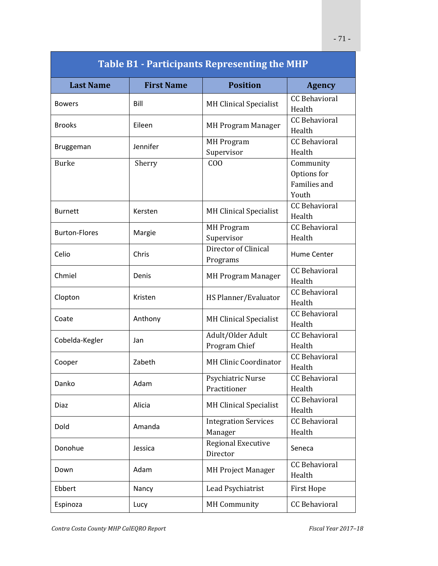| <b>Table B1 - Participants Representing the MHP</b> |                   |                                        |                                                          |  |  |
|-----------------------------------------------------|-------------------|----------------------------------------|----------------------------------------------------------|--|--|
| <b>Last Name</b>                                    | <b>First Name</b> | <b>Position</b>                        | <b>Agency</b>                                            |  |  |
| <b>Bowers</b>                                       | Bill              | <b>MH Clinical Specialist</b>          | <b>CC</b> Behavioral<br>Health                           |  |  |
| <b>Brooks</b>                                       | Eileen            | <b>MH Program Manager</b>              | <b>CC Behavioral</b><br>Health                           |  |  |
| <b>Bruggeman</b>                                    | Jennifer          | <b>MH</b> Program<br>Supervisor        | CC Behavioral<br>Health                                  |  |  |
| <b>Burke</b>                                        | Sherry            | C <sub>0</sub>                         | Community<br>Options for<br><b>Families and</b><br>Youth |  |  |
| <b>Burnett</b>                                      | Kersten           | <b>MH Clinical Specialist</b>          | <b>CC</b> Behavioral<br>Health                           |  |  |
| <b>Burton-Flores</b>                                | Margie            | <b>MH</b> Program<br>Supervisor        | <b>CC</b> Behavioral<br>Health                           |  |  |
| Celio                                               | Chris             | Director of Clinical<br>Programs       | <b>Hume Center</b>                                       |  |  |
| Chmiel                                              | Denis             | <b>MH Program Manager</b>              | <b>CC</b> Behavioral<br>Health                           |  |  |
| Clopton                                             | Kristen           | HS Planner/Evaluator                   | <b>CC Behavioral</b><br>Health                           |  |  |
| Coate                                               | Anthony           | <b>MH Clinical Specialist</b>          | <b>CC Behavioral</b><br>Health                           |  |  |
| Cobelda-Kegler                                      | Jan               | Adult/Older Adult<br>Program Chief     | <b>CC Behavioral</b><br>Health                           |  |  |
| Cooper                                              | Zabeth            | <b>MH Clinic Coordinator</b>           | <b>CC Behavioral</b><br>Health                           |  |  |
| Danko                                               | Adam              | Psychiatric Nurse<br>Practitioner      | <b>CC Behavioral</b><br>Health                           |  |  |
| Diaz                                                | Alicia            | <b>MH Clinical Specialist</b>          | <b>CC Behavioral</b><br>Health                           |  |  |
| Dold                                                | Amanda            | <b>Integration Services</b><br>Manager | <b>CC Behavioral</b><br>Health                           |  |  |
| Donohue                                             | Jessica           | <b>Regional Executive</b><br>Director  | Seneca                                                   |  |  |
| Down                                                | Adam              | <b>MH Project Manager</b>              | <b>CC Behavioral</b><br>Health                           |  |  |
| Ebbert                                              | Nancy             | Lead Psychiatrist                      | <b>First Hope</b>                                        |  |  |
| Espinoza                                            | Lucy              | <b>MH</b> Community                    | <b>CC Behavioral</b>                                     |  |  |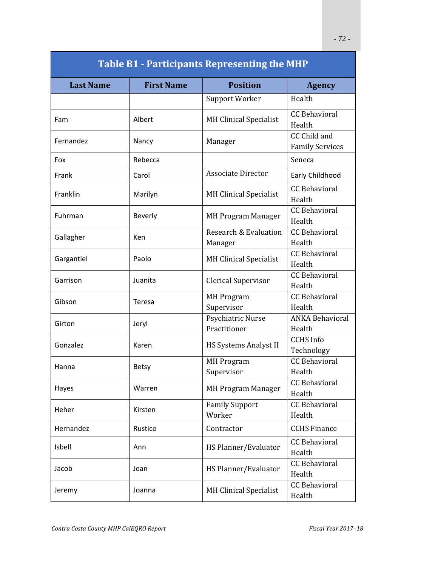| <b>Table B1 - Participants Representing the MHP</b> |                   |                                   |                                        |  |  |
|-----------------------------------------------------|-------------------|-----------------------------------|----------------------------------------|--|--|
| <b>Last Name</b>                                    | <b>First Name</b> | <b>Position</b>                   | <b>Agency</b>                          |  |  |
|                                                     |                   | Support Worker                    | Health                                 |  |  |
| Fam                                                 | Albert            | <b>MH Clinical Specialist</b>     | <b>CC Behavioral</b><br>Health         |  |  |
| Fernandez                                           | Nancy             | Manager                           | CC Child and<br><b>Family Services</b> |  |  |
| Fox                                                 | Rebecca           |                                   | Seneca                                 |  |  |
| Frank                                               | Carol             | <b>Associate Director</b>         | Early Childhood                        |  |  |
| Franklin                                            | Marilyn           | <b>MH Clinical Specialist</b>     | <b>CC</b> Behavioral<br>Health         |  |  |
| Fuhrman                                             | Beverly           | <b>MH Program Manager</b>         | <b>CC Behavioral</b><br>Health         |  |  |
| Gallagher                                           | Ken               | Research & Evaluation<br>Manager  | <b>CC Behavioral</b><br>Health         |  |  |
| Gargantiel                                          | Paolo             | <b>MH Clinical Specialist</b>     | <b>CC Behavioral</b><br>Health         |  |  |
| Garrison                                            | Juanita           | Clerical Supervisor               | <b>CC Behavioral</b><br>Health         |  |  |
| Gibson                                              | Teresa            | <b>MH Program</b><br>Supervisor   | <b>CC Behavioral</b><br>Health         |  |  |
| Girton                                              | Jeryl             | Psychiatric Nurse<br>Practitioner | <b>ANKA Behavioral</b><br>Health       |  |  |
| Gonzalez                                            | Karen             | HS Systems Analyst II             | <b>CCHS</b> Info<br>Technology         |  |  |
| Hanna                                               | <b>Betsy</b>      | <b>MH Program</b><br>Supervisor   | <b>CC Behavioral</b><br>Health         |  |  |
| Hayes                                               | Warren            | <b>MH Program Manager</b>         | <b>CC Behavioral</b><br>Health         |  |  |
| Heher                                               | Kirsten           | <b>Family Support</b><br>Worker   | <b>CC Behavioral</b><br>Health         |  |  |
| Hernandez                                           | Rustico           | Contractor                        | <b>CCHS Finance</b>                    |  |  |
| Isbell                                              | Ann               | HS Planner/Evaluator              | <b>CC Behavioral</b><br>Health         |  |  |
| Jacob                                               | Jean              | HS Planner/Evaluator              | <b>CC Behavioral</b><br>Health         |  |  |
| Jeremy                                              | Joanna            | <b>MH Clinical Specialist</b>     | <b>CC Behavioral</b><br>Health         |  |  |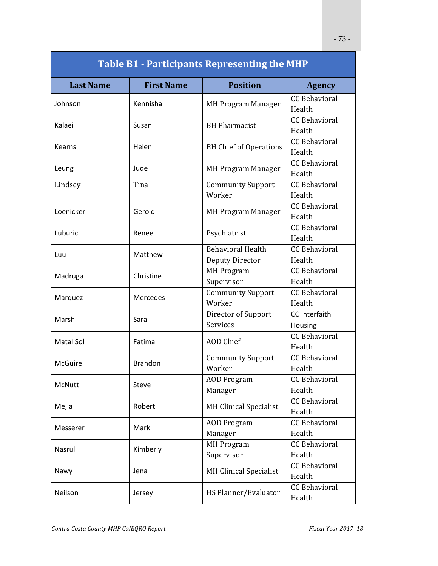| <b>Table B1 - Participants Representing the MHP</b> |                   |                                             |                                 |  |  |  |  |
|-----------------------------------------------------|-------------------|---------------------------------------------|---------------------------------|--|--|--|--|
| <b>Last Name</b>                                    | <b>First Name</b> | <b>Position</b>                             | <b>Agency</b>                   |  |  |  |  |
| Johnson                                             | Kennisha          | <b>MH Program Manager</b>                   | <b>CC Behavioral</b><br>Health  |  |  |  |  |
| Kalaei                                              | Susan             | <b>BH</b> Pharmacist                        | <b>CC</b> Behavioral<br>Health  |  |  |  |  |
| <b>Kearns</b>                                       | Helen             | <b>BH Chief of Operations</b>               | <b>CC</b> Behavioral<br>Health  |  |  |  |  |
| Leung                                               | Jude              | <b>MH Program Manager</b>                   | <b>CC</b> Behavioral<br>Health  |  |  |  |  |
| Lindsey                                             | Tina              | <b>Community Support</b><br>Worker          | <b>CC Behavioral</b><br>Health  |  |  |  |  |
| Loenicker                                           | Gerold            | <b>MH Program Manager</b>                   | <b>CC Behavioral</b><br>Health  |  |  |  |  |
| Luburic                                             | Renee             | Psychiatrist                                | <b>CC Behavioral</b><br>Health  |  |  |  |  |
| Luu                                                 | Matthew           | <b>Behavioral Health</b><br>Deputy Director | <b>CC Behavioral</b><br>Health  |  |  |  |  |
| Madruga                                             | Christine         | <b>MH</b> Program<br>Supervisor             | <b>CC Behavioral</b><br>Health  |  |  |  |  |
| Marquez                                             | Mercedes          | <b>Community Support</b><br>Worker          | <b>CC Behavioral</b><br>Health  |  |  |  |  |
| Marsh                                               | Sara              | Director of Support<br><b>Services</b>      | <b>CC</b> Interfaith<br>Housing |  |  |  |  |
| Matal Sol                                           | Fatima            | <b>AOD</b> Chief                            | <b>CC Behavioral</b><br>Health  |  |  |  |  |
| <b>McGuire</b>                                      | <b>Brandon</b>    | <b>Community Support</b><br>Worker          | <b>CC</b> Behavioral<br>Health  |  |  |  |  |
| McNutt                                              | Steve             | <b>AOD Program</b><br>Manager               | <b>CC Behavioral</b><br>Health  |  |  |  |  |
| Mejia                                               | Robert            | <b>MH Clinical Specialist</b>               | <b>CC Behavioral</b><br>Health  |  |  |  |  |
| Messerer                                            | Mark              | <b>AOD</b> Program<br>Manager               | <b>CC Behavioral</b><br>Health  |  |  |  |  |
| Nasrul                                              | Kimberly          | <b>MH Program</b><br>Supervisor             | <b>CC Behavioral</b><br>Health  |  |  |  |  |
| Nawy                                                | Jena              | <b>MH Clinical Specialist</b>               | <b>CC Behavioral</b><br>Health  |  |  |  |  |
| Neilson                                             | Jersey            | HS Planner/Evaluator                        | <b>CC Behavioral</b><br>Health  |  |  |  |  |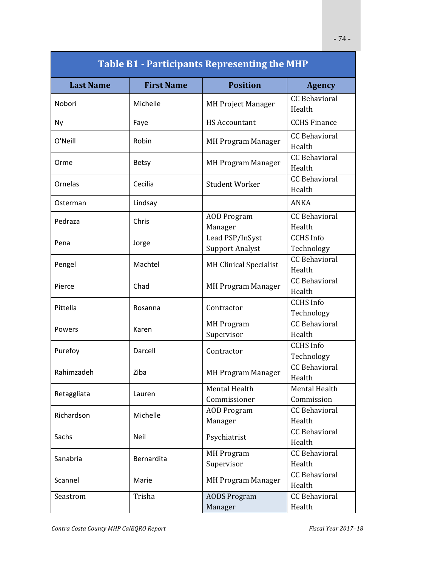| <b>Table B1 - Participants Representing the MHP</b> |                   |                                           |                                |  |  |  |  |
|-----------------------------------------------------|-------------------|-------------------------------------------|--------------------------------|--|--|--|--|
| <b>Last Name</b>                                    | <b>First Name</b> | <b>Position</b>                           | <b>Agency</b>                  |  |  |  |  |
| Nobori                                              | Michelle          | <b>MH Project Manager</b>                 | <b>CC Behavioral</b><br>Health |  |  |  |  |
| <b>Ny</b>                                           | Faye              | <b>HS Accountant</b>                      | <b>CCHS Finance</b>            |  |  |  |  |
| O'Neill                                             | Robin             | <b>MH Program Manager</b>                 | <b>CC Behavioral</b><br>Health |  |  |  |  |
| Orme                                                | Betsy             | <b>MH Program Manager</b>                 | <b>CC Behavioral</b><br>Health |  |  |  |  |
| Ornelas                                             | Cecilia           | <b>Student Worker</b>                     | <b>CC Behavioral</b><br>Health |  |  |  |  |
| Osterman                                            | Lindsay           |                                           | ANKA                           |  |  |  |  |
| Pedraza                                             | Chris             | <b>AOD</b> Program<br>Manager             | <b>CC Behavioral</b><br>Health |  |  |  |  |
| Pena                                                | Jorge             | Lead PSP/InSyst<br><b>Support Analyst</b> | <b>CCHS</b> Info<br>Technology |  |  |  |  |
| Pengel                                              | Machtel           | <b>MH Clinical Specialist</b>             | <b>CC</b> Behavioral<br>Health |  |  |  |  |
| Pierce                                              | Chad              | <b>MH Program Manager</b>                 | <b>CC Behavioral</b><br>Health |  |  |  |  |
| Pittella                                            | Rosanna           | Contractor                                | <b>CCHS</b> Info<br>Technology |  |  |  |  |
| Powers                                              | Karen             | <b>MH</b> Program<br>Supervisor           | <b>CC Behavioral</b><br>Health |  |  |  |  |
| Purefoy                                             | Darcell           | Contractor                                | <b>CCHS</b> Info<br>Technology |  |  |  |  |
| Rahimzadeh                                          | Ziba              | <b>MH Program Manager</b>                 | <b>CC Behavioral</b><br>Health |  |  |  |  |
| Retaggliata                                         | Lauren            | Mental Health<br>Commissioner             | Mental Health<br>Commission    |  |  |  |  |
| Richardson                                          | Michelle          | <b>AOD</b> Program<br>Manager             | <b>CC Behavioral</b><br>Health |  |  |  |  |
| Sachs                                               | Neil              | Psychiatrist                              | <b>CC Behavioral</b><br>Health |  |  |  |  |
| Sanabria                                            | Bernardita        | <b>MH Program</b><br>Supervisor           | <b>CC Behavioral</b><br>Health |  |  |  |  |
| Scannel                                             | Marie             | <b>MH Program Manager</b>                 | <b>CC Behavioral</b><br>Health |  |  |  |  |
| Seastrom                                            | Trisha            | <b>AODS Program</b><br>Manager            | <b>CC Behavioral</b><br>Health |  |  |  |  |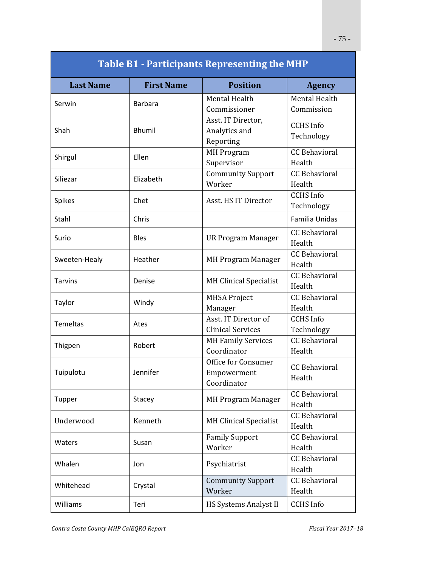| <b>Table B1 - Participants Representing the MHP</b> |                   |                                                   |                                    |  |  |  |  |
|-----------------------------------------------------|-------------------|---------------------------------------------------|------------------------------------|--|--|--|--|
| <b>Last Name</b>                                    | <b>First Name</b> | <b>Position</b>                                   | <b>Agency</b>                      |  |  |  |  |
| Serwin                                              | <b>Barbara</b>    | Mental Health<br>Commissioner                     | <b>Mental Health</b><br>Commission |  |  |  |  |
| Shah                                                | <b>Bhumil</b>     | Asst. IT Director,<br>Analytics and<br>Reporting  | <b>CCHS</b> Info<br>Technology     |  |  |  |  |
| Shirgul                                             | Ellen             | <b>MH Program</b><br>Supervisor                   | <b>CC Behavioral</b><br>Health     |  |  |  |  |
| Siliezar                                            | Elizabeth         | <b>Community Support</b><br>Worker                | <b>CC Behavioral</b><br>Health     |  |  |  |  |
| <b>Spikes</b>                                       | Chet              | Asst. HS IT Director                              | <b>CCHS</b> Info<br>Technology     |  |  |  |  |
| Stahl                                               | Chris             |                                                   | Familia Unidas                     |  |  |  |  |
| Surio                                               | <b>Bles</b>       | <b>UR Program Manager</b>                         | <b>CC Behavioral</b><br>Health     |  |  |  |  |
| Sweeten-Healy                                       | Heather           | <b>MH Program Manager</b>                         | <b>CC Behavioral</b><br>Health     |  |  |  |  |
| <b>Tarvins</b>                                      | Denise            | <b>MH Clinical Specialist</b>                     | <b>CC Behavioral</b><br>Health     |  |  |  |  |
| Taylor                                              | Windy             | <b>MHSA Project</b><br>Manager                    | <b>CC Behavioral</b><br>Health     |  |  |  |  |
| Temeltas                                            | Ates              | Asst. IT Director of<br><b>Clinical Services</b>  | <b>CCHS</b> Info<br>Technology     |  |  |  |  |
| Thigpen                                             | Robert            | <b>MH Family Services</b><br>Coordinator          | <b>CC Behavioral</b><br>Health     |  |  |  |  |
| Tuipulotu                                           | Jennifer          | Office for Consumer<br>Empowerment<br>Coordinator | <b>CC Behavioral</b><br>Health     |  |  |  |  |
| Tupper                                              | Stacey            | <b>MH Program Manager</b>                         | <b>CC Behavioral</b><br>Health     |  |  |  |  |
| Underwood                                           | Kenneth           | <b>MH Clinical Specialist</b>                     | <b>CC Behavioral</b><br>Health     |  |  |  |  |
| Waters                                              | Susan             | <b>Family Support</b><br>Worker                   | <b>CC Behavioral</b><br>Health     |  |  |  |  |
| Whalen                                              | Jon               | Psychiatrist                                      | CC Behavioral<br>Health            |  |  |  |  |
| Whitehead                                           | Crystal           | <b>Community Support</b><br>Worker                | <b>CC Behavioral</b><br>Health     |  |  |  |  |
| Williams                                            | Teri              | HS Systems Analyst II<br><b>CCHS</b> Info         |                                    |  |  |  |  |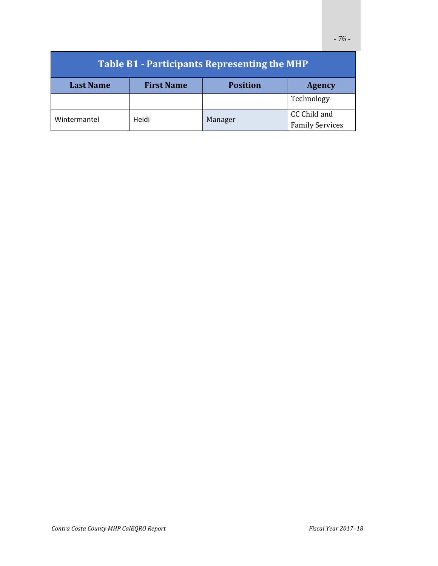| <b>Table B1 - Participants Representing the MHP</b> |                   |                 |                                        |  |  |  |
|-----------------------------------------------------|-------------------|-----------------|----------------------------------------|--|--|--|
| <b>Last Name</b>                                    | <b>First Name</b> | <b>Position</b> | <b>Agency</b>                          |  |  |  |
|                                                     |                   |                 | Technology                             |  |  |  |
| Wintermantel                                        | Heidi             | Manager         | CC Child and<br><b>Family Services</b> |  |  |  |
|                                                     |                   |                 |                                        |  |  |  |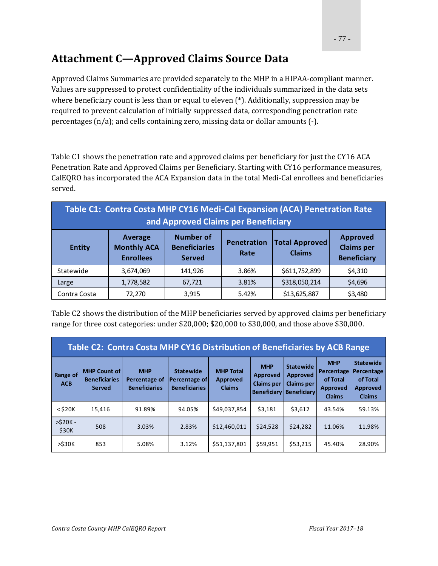# **Attachment C—Approved Claims Source Data**

Approved Claims Summaries are provided separately to the MHP in a HIPAA-compliant manner. Values are suppressed to protect confidentiality of the individuals summarized in the data sets where beneficiary count is less than or equal to eleven  $(*)$ . Additionally, suppression may be required to prevent calculation of initially suppressed data, corresponding penetration rate percentages  $(n/a)$ ; and cells containing zero, missing data or dollar amounts  $(-)$ .

Table C1 shows the penetration rate and approved claims per beneficiary for just the CY16 ACA Penetration Rate and Approved Claims per Beneficiary. Starting with CY16 performance measures, CalEQRO has incorporated the ACA Expansion data in the total Medi-Cal enrollees and beneficiaries served. 

| Table C1: Contra Costa MHP CY16 Medi-Cal Expansion (ACA) Penetration Rate<br>and Approved Claims per Beneficiary |                                                   |                                                           |                            |                                        |                                                            |  |  |
|------------------------------------------------------------------------------------------------------------------|---------------------------------------------------|-----------------------------------------------------------|----------------------------|----------------------------------------|------------------------------------------------------------|--|--|
| <b>Entity</b>                                                                                                    | Average<br><b>Monthly ACA</b><br><b>Enrollees</b> | <b>Number of</b><br><b>Beneficiaries</b><br><b>Served</b> | <b>Penetration</b><br>Rate | <b>Total Approved</b><br><b>Claims</b> | <b>Approved</b><br><b>Claims per</b><br><b>Beneficiary</b> |  |  |
| Statewide                                                                                                        | 3,674,069                                         | 141,926                                                   | 3.86%                      | \$611,752,899                          | \$4,310                                                    |  |  |
| Large                                                                                                            | 1,778,582                                         | 67,721                                                    | 3.81%                      | \$318,050,214                          | \$4,696                                                    |  |  |
| Contra Costa                                                                                                     | 72,270                                            | 3,915                                                     | 5.42%                      | \$13,625,887                           | \$3,480                                                    |  |  |

Table C2 shows the distribution of the MHP beneficiaries served by approved claims per beneficiary range for three cost categories: under \$20,000; \$20,000 to \$30,000, and those above \$30,000.

| Table C2: Contra Costa MHP CY16 Distribution of Beneficiaries by ACB Range |                                                              |                                                     |                                                           |                                               |                                                                   |                                                                         |                                                                   |                                                                                |
|----------------------------------------------------------------------------|--------------------------------------------------------------|-----------------------------------------------------|-----------------------------------------------------------|-----------------------------------------------|-------------------------------------------------------------------|-------------------------------------------------------------------------|-------------------------------------------------------------------|--------------------------------------------------------------------------------|
| <b>Range of</b><br><b>ACB</b>                                              | <b>MHP Count of</b><br><b>Beneficiaries</b><br><b>Served</b> | <b>MHP</b><br>Percentage of<br><b>Beneficiaries</b> | <b>Statewide</b><br>Percentage of<br><b>Beneficiaries</b> | <b>MHP Total</b><br>Approved<br><b>Claims</b> | <b>MHP</b><br>Approved<br><b>Claims per</b><br><b>Beneficiary</b> | <b>Statewide</b><br>Approved<br><b>Claims per</b><br><b>Beneficiary</b> | <b>MHP</b><br>Percentage<br>of Total<br>Approved<br><b>Claims</b> | <b>Statewide</b><br>Percentage<br>of Total<br><b>Approved</b><br><b>Claims</b> |
| $<$ \$20 $K$                                                               | 15,416                                                       | 91.89%                                              | 94.05%                                                    | \$49,037,854                                  | \$3,181                                                           | \$3,612                                                                 | 43.54%                                                            | 59.13%                                                                         |
| $>520K -$<br>\$30K                                                         | 508                                                          | 3.03%                                               | 2.83%                                                     | \$12,460,011                                  | \$24,528                                                          | \$24,282                                                                | 11.06%                                                            | 11.98%                                                                         |
| $>$ \$30 $K$                                                               | 853                                                          | 5.08%                                               | 3.12%                                                     | \$51,137,801                                  | \$59,951                                                          | \$53,215                                                                | 45.40%                                                            | 28.90%                                                                         |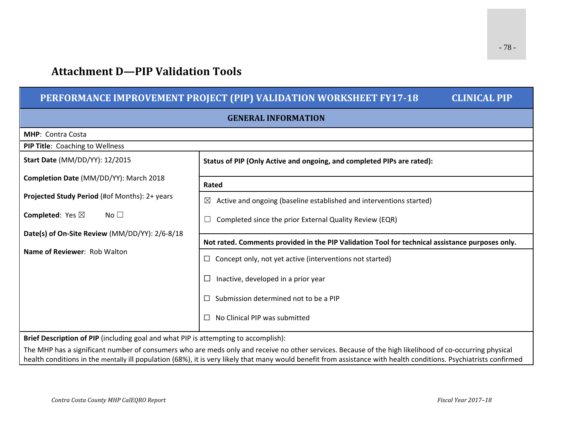## **Attachment D—PIP Validation Tools**

## **PERFORMANCE IMPROVEMENT PROJECT (PIP) VALIDATION WORKSHEET FY17‐18 CLINICAL PIP GENERAL INFORMATIONMHP**: Contra Costa **PIP Title**: Coaching to Wellness **Start Date** (MM/DD/YY): 12/2015 **Completion Date** (MM/DD/YY): March 2018 **Projected Study Period** (#of Months): 2+ years **Completed**: Yes ⊠ No □ **Date(s) of On‐Site Review** (MM/DD/YY): 2/6‐8/18 **Name of Reviewer**: Rob Walton **Status of PIP (Only Active and ongoing, and completed PIPs are rated): Rated** $\boxtimes$  Active and ongoing (baseline established and interventions started)  $\Box$  Completed since the prior External Quality Review (EQR) **Not rated. Comments provided in the PIP Validation Tool for technical assistance purposes only.**  $\Box$  Concept only, not yet active (interventions not started)  $\Box$  Inactive, developed in a prior year  $\Box$  Submission determined not to be a PIP  $\square$  No Clinical PIP was submitted **Brief Description of PIP** (including goal and what PIP is attempting to accomplish): The MHP has <sup>a</sup> significant number of consumers who are meds only and receive no other services. Because of the high likelihood of co‐occurring physical

health conditions in the mentally ill population (68%), it is very likely that many would benefit from assistance with health conditions. Psychiatrists confirmed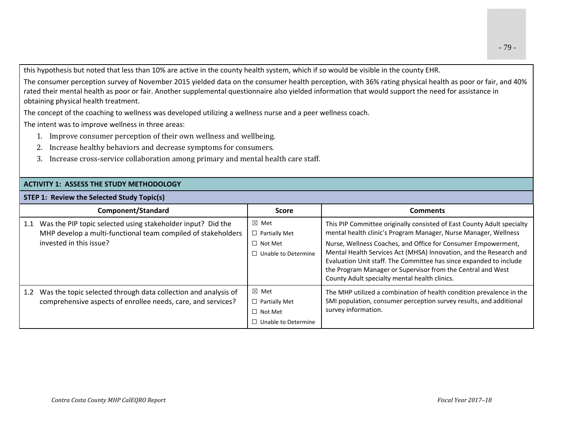this hypothesis but noted that less than 10% are active in the county health system, which if so would be visible in the county EHR.

The consumer perception survey of November 2015 yielded data on the consumer health perception, with 36% rating physical health as poor or fair, and 40% rated their mental health as poor or fair. Another supplemental questionnaire also yielded information that would support the need for assistance in obtaining physical health treatment.

The concept of the coaching to wellness was developed utilizing <sup>a</sup> wellness nurse and <sup>a</sup> peer wellness coach.

The intent was to improve wellness in three areas:

- 1. Improve consumer perception of their own wellness and wellbeing.
- 2. Increase healthy behaviors and decrease symptoms for consumers.
- 3. Increase cross-service collaboration among primary and mental health care staff.

## **ACTIVITY 1: ASSESS THE STUDY METHODOLOGY**

**STEP 1: Review the Selected Study Topic(s)**

|     | Component/Standard                                                                                                                                         | Score                                                                                   | <b>Comments</b>                                                                                                                                                                                                                                                                                                                                                                                                                                                        |
|-----|------------------------------------------------------------------------------------------------------------------------------------------------------------|-----------------------------------------------------------------------------------------|------------------------------------------------------------------------------------------------------------------------------------------------------------------------------------------------------------------------------------------------------------------------------------------------------------------------------------------------------------------------------------------------------------------------------------------------------------------------|
|     | 1.1 Was the PIP topic selected using stakeholder input? Did the<br>MHP develop a multi-functional team compiled of stakeholders<br>invested in this issue? | $\boxtimes$ Met<br>$\Box$ Partially Met<br>$\Box$ Not Met<br>$\Box$ Unable to Determine | This PIP Committee originally consisted of East County Adult specialty<br>mental health clinic's Program Manager, Nurse Manager, Wellness<br>Nurse, Wellness Coaches, and Office for Consumer Empowerment,<br>Mental Health Services Act (MHSA) Innovation, and the Research and<br>Evaluation Unit staff. The Committee has since expanded to include<br>the Program Manager or Supervisor from the Central and West<br>County Adult specialty mental health clinics. |
| 1.2 | Was the topic selected through data collection and analysis of<br>comprehensive aspects of enrollee needs, care, and services?                             | $\boxtimes$ Met<br>$\Box$ Partially Met<br>$\Box$ Not Met<br>$\Box$ Unable to Determine | The MHP utilized a combination of health condition prevalence in the<br>SMI population, consumer perception survey results, and additional<br>survey information.                                                                                                                                                                                                                                                                                                      |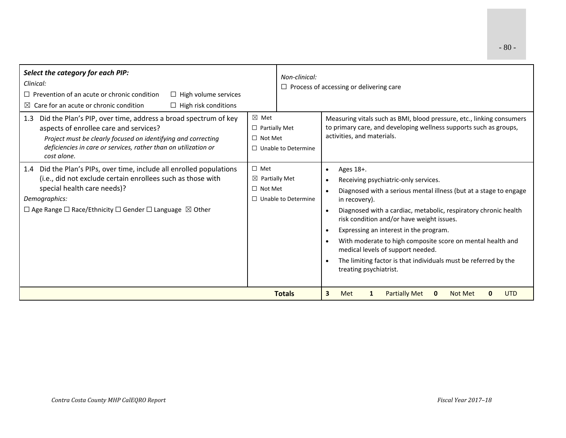| Select the category for each PIP:<br>Clinical:<br>$\Box$ Prevention of an acute or chronic condition<br>$\Box$ High volume services<br>Care for an acute or chronic condition<br>$\Box$ High risk conditions<br>$\boxtimes$                                                   |                                                                                         | Non-clinical:<br>$\Box$ Process of accessing or delivering care                                                                                                                                                                                                                                                                                                                                                                                                                                                             |
|-------------------------------------------------------------------------------------------------------------------------------------------------------------------------------------------------------------------------------------------------------------------------------|-----------------------------------------------------------------------------------------|-----------------------------------------------------------------------------------------------------------------------------------------------------------------------------------------------------------------------------------------------------------------------------------------------------------------------------------------------------------------------------------------------------------------------------------------------------------------------------------------------------------------------------|
| Did the Plan's PIP, over time, address a broad spectrum of key<br>1.3<br>aspects of enrollee care and services?<br>Project must be clearly focused on identifying and correcting<br>deficiencies in care or services, rather than on utilization or<br>cost alone.            | $\boxtimes$ Met<br>$\Box$ Partially Met<br>$\Box$ Not Met<br>$\Box$ Unable to Determine | Measuring vitals such as BMI, blood pressure, etc., linking consumers<br>to primary care, and developing wellness supports such as groups,<br>activities, and materials.                                                                                                                                                                                                                                                                                                                                                    |
| 1.4 Did the Plan's PIPs, over time, include all enrolled populations<br>(i.e., did not exclude certain enrollees such as those with<br>special health care needs)?<br>Demographics:<br>$\Box$ Age Range $\Box$ Race/Ethnicity $\Box$ Gender $\Box$ Language $\boxtimes$ Other | $\Box$ Met<br>$\boxtimes$ Partially Met<br>$\Box$ Not Met<br>$\Box$ Unable to Determine | Ages 18+.<br>$\bullet$<br>Receiving psychiatric-only services.<br>Diagnosed with a serious mental illness (but at a stage to engage<br>in recovery).<br>Diagnosed with a cardiac, metabolic, respiratory chronic health<br>$\bullet$<br>risk condition and/or have weight issues.<br>Expressing an interest in the program.<br>With moderate to high composite score on mental health and<br>medical levels of support needed.<br>The limiting factor is that individuals must be referred by the<br>treating psychiatrist. |
|                                                                                                                                                                                                                                                                               | <b>Totals</b>                                                                           | <b>Partially Met</b><br>3<br>Not Met<br>Met<br>1<br>$\mathbf{0}$<br>0<br><b>UTD</b>                                                                                                                                                                                                                                                                                                                                                                                                                                         |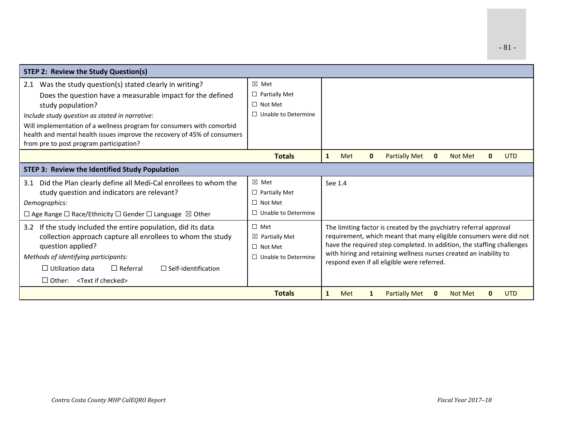| <b>STEP 2: Review the Study Question(s)</b>                                                                                                       |                                         |                                             |                                                                                                                                          |              |                                                                        |              |                |   |            |
|---------------------------------------------------------------------------------------------------------------------------------------------------|-----------------------------------------|---------------------------------------------|------------------------------------------------------------------------------------------------------------------------------------------|--------------|------------------------------------------------------------------------|--------------|----------------|---|------------|
| Was the study question(s) stated clearly in writing?<br>2.1<br>Does the question have a measurable impact for the defined                         | ⊠ Met<br>$\Box$ Partially Met           |                                             |                                                                                                                                          |              |                                                                        |              |                |   |            |
| study population?                                                                                                                                 | $\Box$ Not Met                          |                                             |                                                                                                                                          |              |                                                                        |              |                |   |            |
| Include study question as stated in narrative:                                                                                                    | $\Box$ Unable to Determine              |                                             |                                                                                                                                          |              |                                                                        |              |                |   |            |
| Will implementation of a wellness program for consumers with comorbid<br>health and mental health issues improve the recovery of 45% of consumers |                                         |                                             |                                                                                                                                          |              |                                                                        |              |                |   |            |
| from pre to post program participation?                                                                                                           |                                         |                                             |                                                                                                                                          |              |                                                                        |              |                |   |            |
|                                                                                                                                                   | <b>Totals</b>                           | $\mathbf{1}$                                | Met                                                                                                                                      | $\mathbf{0}$ | <b>Partially Met</b>                                                   | $\mathbf{0}$ | <b>Not Met</b> | 0 | <b>UTD</b> |
| <b>STEP 3: Review the Identified Study Population</b>                                                                                             |                                         |                                             |                                                                                                                                          |              |                                                                        |              |                |   |            |
| Did the Plan clearly define all Medi-Cal enrollees to whom the<br>3.1                                                                             | $\boxtimes$ Met                         |                                             | See 1.4                                                                                                                                  |              |                                                                        |              |                |   |            |
| study question and indicators are relevant?                                                                                                       | $\Box$ Partially Met                    |                                             |                                                                                                                                          |              |                                                                        |              |                |   |            |
| Demographics:                                                                                                                                     | $\Box$ Not Met                          |                                             |                                                                                                                                          |              |                                                                        |              |                |   |            |
| $\Box$ Age Range $\Box$ Race/Ethnicity $\Box$ Gender $\Box$ Language $\boxtimes$ Other                                                            | $\Box$ Unable to Determine              |                                             |                                                                                                                                          |              |                                                                        |              |                |   |            |
| 3.2 If the study included the entire population, did its data                                                                                     | $\Box$ Met<br>$\boxtimes$ Partially Met |                                             | The limiting factor is created by the psychiatry referral approval<br>requirement, which meant that many eligible consumers were did not |              |                                                                        |              |                |   |            |
| collection approach capture all enrollees to whom the study<br>question applied?                                                                  | $\Box$ Not Met                          |                                             |                                                                                                                                          |              | have the required step completed. In addition, the staffing challenges |              |                |   |            |
| Methods of identifying participants:                                                                                                              | $\Box$ Unable to Determine              |                                             |                                                                                                                                          |              | with hiring and retaining wellness nurses created an inability to      |              |                |   |            |
| $\Box$ Utilization data<br>$\Box$ Referral<br>$\Box$ Self-identification                                                                          |                                         | respond even if all eligible were referred. |                                                                                                                                          |              |                                                                        |              |                |   |            |
| $\Box$ Other: <text checked="" if=""></text>                                                                                                      |                                         |                                             |                                                                                                                                          |              |                                                                        |              |                |   |            |
|                                                                                                                                                   | <b>Totals</b>                           | 1                                           | Met                                                                                                                                      | 1            | <b>Partially Met</b>                                                   | 0            | <b>Not Met</b> |   | <b>UTD</b> |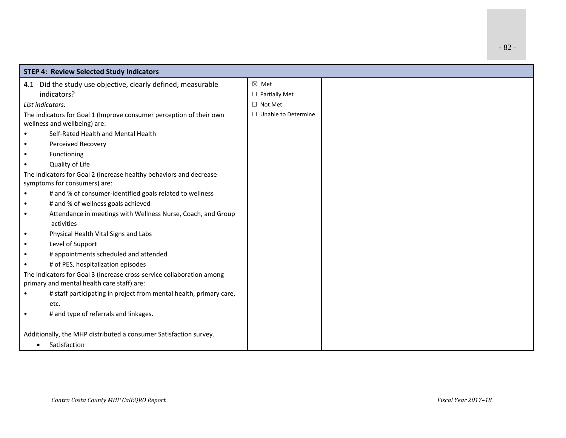| <b>STEP 4: Review Selected Study Indicators</b>                                                                     |                            |  |  |  |  |
|---------------------------------------------------------------------------------------------------------------------|----------------------------|--|--|--|--|
| Did the study use objective, clearly defined, measurable<br>4.1                                                     | $\boxtimes$ Met            |  |  |  |  |
| indicators?                                                                                                         | $\Box$ Partially Met       |  |  |  |  |
| List indicators:                                                                                                    | $\Box$ Not Met             |  |  |  |  |
| The indicators for Goal 1 (Improve consumer perception of their own<br>wellness and wellbeing) are:                 | $\Box$ Unable to Determine |  |  |  |  |
| Self-Rated Health and Mental Health                                                                                 |                            |  |  |  |  |
| Perceived Recovery                                                                                                  |                            |  |  |  |  |
| Functioning                                                                                                         |                            |  |  |  |  |
| Quality of Life                                                                                                     |                            |  |  |  |  |
| The indicators for Goal 2 (Increase healthy behaviors and decrease<br>symptoms for consumers) are:                  |                            |  |  |  |  |
| # and % of consumer-identified goals related to wellness                                                            |                            |  |  |  |  |
| # and % of wellness goals achieved<br>$\bullet$                                                                     |                            |  |  |  |  |
| Attendance in meetings with Wellness Nurse, Coach, and Group<br>$\bullet$<br>activities                             |                            |  |  |  |  |
| Physical Health Vital Signs and Labs                                                                                |                            |  |  |  |  |
| Level of Support<br>$\bullet$                                                                                       |                            |  |  |  |  |
| # appointments scheduled and attended                                                                               |                            |  |  |  |  |
| # of PES, hospitalization episodes                                                                                  |                            |  |  |  |  |
| The indicators for Goal 3 (Increase cross-service collaboration among<br>primary and mental health care staff) are: |                            |  |  |  |  |
| # staff participating in project from mental health, primary care,                                                  |                            |  |  |  |  |
| etc.                                                                                                                |                            |  |  |  |  |
| # and type of referrals and linkages.                                                                               |                            |  |  |  |  |
| Additionally, the MHP distributed a consumer Satisfaction survey.                                                   |                            |  |  |  |  |
| Satisfaction<br>$\bullet$                                                                                           |                            |  |  |  |  |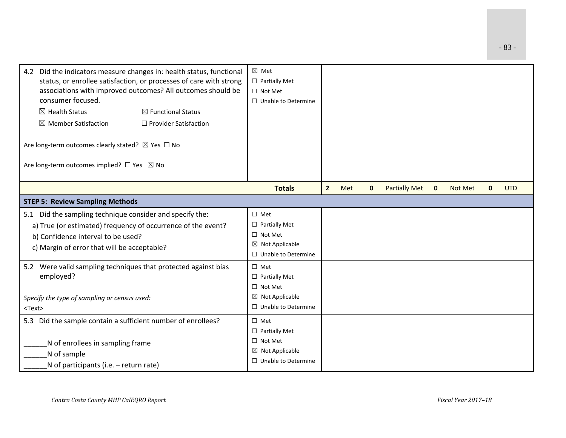| Did the indicators measure changes in: health status, functional<br>4.2<br>status, or enrollee satisfaction, or processes of care with strong<br>associations with improved outcomes? All outcomes should be<br>consumer focused.<br>$\boxtimes$ Health Status<br>$\boxtimes$ Member Satisfaction<br>Are long-term outcomes clearly stated? $\boxtimes$ Yes $\Box$ No<br>Are long-term outcomes implied? □ Yes ⊠ No | $\boxtimes$ Functional Status<br>$\Box$ Provider Satisfaction | ⊠ Met<br>$\Box$ Partially Met<br>$\Box$ Not Met<br>$\Box$ Unable to Determine                                       |                |     |              |                      |              |                |              |            |
|---------------------------------------------------------------------------------------------------------------------------------------------------------------------------------------------------------------------------------------------------------------------------------------------------------------------------------------------------------------------------------------------------------------------|---------------------------------------------------------------|---------------------------------------------------------------------------------------------------------------------|----------------|-----|--------------|----------------------|--------------|----------------|--------------|------------|
|                                                                                                                                                                                                                                                                                                                                                                                                                     |                                                               | <b>Totals</b>                                                                                                       | $\overline{2}$ | Met | $\mathbf{0}$ | <b>Partially Met</b> | $\mathbf{0}$ | <b>Not Met</b> | $\mathbf{0}$ | <b>UTD</b> |
| <b>STEP 5: Review Sampling Methods</b>                                                                                                                                                                                                                                                                                                                                                                              |                                                               |                                                                                                                     |                |     |              |                      |              |                |              |            |
| 5.1 Did the sampling technique consider and specify the:<br>a) True (or estimated) frequency of occurrence of the event?<br>b) Confidence interval to be used?<br>c) Margin of error that will be acceptable?                                                                                                                                                                                                       |                                                               | $\square$ Met<br>$\Box$ Partially Met<br>$\Box$ Not Met<br>$\boxtimes$ Not Applicable<br>□ Unable to Determine      |                |     |              |                      |              |                |              |            |
| 5.2 Were valid sampling techniques that protected against bias<br>employed?<br>Specify the type of sampling or census used:<br>$<$ Text $>$                                                                                                                                                                                                                                                                         |                                                               | $\Box$ Met<br>$\Box$ Partially Met<br>$\Box$ Not Met<br>$\boxtimes$ Not Applicable<br>$\Box$ Unable to Determine    |                |     |              |                      |              |                |              |            |
| 5.3 Did the sample contain a sufficient number of enrollees?<br>N of enrollees in sampling frame<br>N of sample<br>N of participants (i.e. – return rate)                                                                                                                                                                                                                                                           |                                                               | $\square$ Met<br>$\Box$ Partially Met<br>$\Box$ Not Met<br>$\boxtimes$ Not Applicable<br>$\Box$ Unable to Determine |                |     |              |                      |              |                |              |            |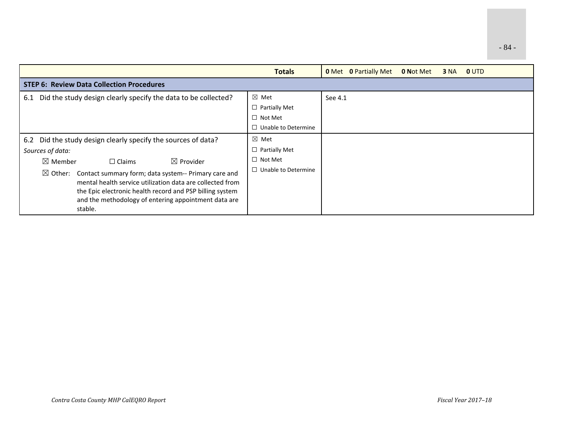|                                                                                                                                                                                                                                                                                                                                                                                                                            | <b>Totals</b>                                                                           | <b>0</b> Met <b>0</b> Partially Met<br><b>0 Not Met</b><br><b>OUTD</b><br><b>3 NA</b> |
|----------------------------------------------------------------------------------------------------------------------------------------------------------------------------------------------------------------------------------------------------------------------------------------------------------------------------------------------------------------------------------------------------------------------------|-----------------------------------------------------------------------------------------|---------------------------------------------------------------------------------------|
| <b>STEP 6: Review Data Collection Procedures</b>                                                                                                                                                                                                                                                                                                                                                                           |                                                                                         |                                                                                       |
| 6.1 Did the study design clearly specify the data to be collected?                                                                                                                                                                                                                                                                                                                                                         | ⊠ Met<br>$\Box$ Partially Met<br>$\Box$ Not Met<br>$\Box$ Unable to Determine           | See 4.1                                                                               |
| 6.2 Did the study design clearly specify the sources of data?<br>Sources of data:<br>$\boxtimes$ Member<br>$\boxtimes$ Provider<br>$\Box$ Claims<br>Contact summary form; data system-- Primary care and<br>$\boxtimes$ Other:<br>mental health service utilization data are collected from<br>the Epic electronic health record and PSP billing system<br>and the methodology of entering appointment data are<br>stable. | $\boxtimes$ Met<br>$\Box$ Partially Met<br>$\Box$ Not Met<br>$\Box$ Unable to Determine |                                                                                       |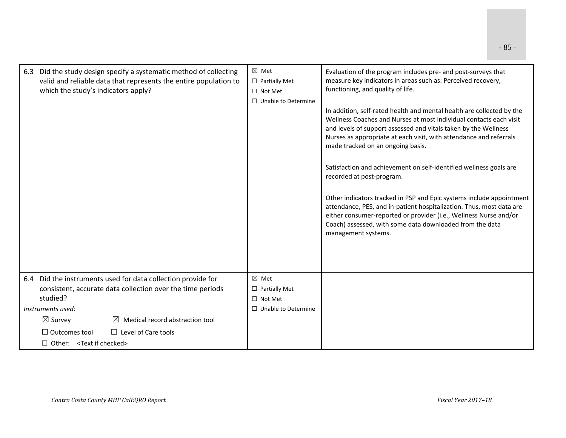| 6.3 Did the study design specify a systematic method of collecting<br>valid and reliable data that represents the entire population to<br>which the study's indicators apply?                                                                                                                                              | $\boxtimes$ Met<br>$\Box$ Partially Met<br>$\Box$ Not Met<br>$\Box$ Unable to Determine | Evaluation of the program includes pre- and post-surveys that<br>measure key indicators in areas such as: Perceived recovery,<br>functioning, and quality of life.<br>In addition, self-rated health and mental health are collected by the<br>Wellness Coaches and Nurses at most individual contacts each visit<br>and levels of support assessed and vitals taken by the Wellness<br>Nurses as appropriate at each visit, with attendance and referrals<br>made tracked on an ongoing basis.<br>Satisfaction and achievement on self-identified wellness goals are<br>recorded at post-program.<br>Other indicators tracked in PSP and Epic systems include appointment<br>attendance, PES, and in-patient hospitalization. Thus, most data are<br>either consumer-reported or provider (i.e., Wellness Nurse and/or<br>Coach) assessed, with some data downloaded from the data<br>management systems. |
|----------------------------------------------------------------------------------------------------------------------------------------------------------------------------------------------------------------------------------------------------------------------------------------------------------------------------|-----------------------------------------------------------------------------------------|------------------------------------------------------------------------------------------------------------------------------------------------------------------------------------------------------------------------------------------------------------------------------------------------------------------------------------------------------------------------------------------------------------------------------------------------------------------------------------------------------------------------------------------------------------------------------------------------------------------------------------------------------------------------------------------------------------------------------------------------------------------------------------------------------------------------------------------------------------------------------------------------------------|
| 6.4 Did the instruments used for data collection provide for<br>consistent, accurate data collection over the time periods<br>studied?<br>Instruments used:<br>$\boxtimes$ Survey<br>Medical record abstraction tool<br>$\Box$ Level of Care tools<br>$\Box$ Outcomes tool<br>$\Box$ Other: <text checked="" if=""></text> | $\boxtimes$ Met<br>$\Box$ Partially Met<br>$\Box$ Not Met<br>$\Box$ Unable to Determine |                                                                                                                                                                                                                                                                                                                                                                                                                                                                                                                                                                                                                                                                                                                                                                                                                                                                                                            |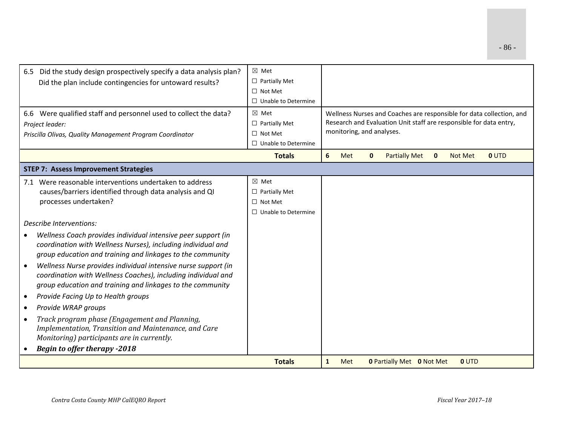| 6.5 Did the study design prospectively specify a data analysis plan?        | $\boxtimes$ Met            |              |                           |              |                                  |              |                |                                                                      |
|-----------------------------------------------------------------------------|----------------------------|--------------|---------------------------|--------------|----------------------------------|--------------|----------------|----------------------------------------------------------------------|
|                                                                             | $\Box$ Partially Met       |              |                           |              |                                  |              |                |                                                                      |
| Did the plan include contingencies for untoward results?                    | $\Box$ Not Met             |              |                           |              |                                  |              |                |                                                                      |
|                                                                             | $\Box$ Unable to Determine |              |                           |              |                                  |              |                |                                                                      |
|                                                                             |                            |              |                           |              |                                  |              |                |                                                                      |
| 6.6 Were qualified staff and personnel used to collect the data?            | $\boxtimes$ Met            |              |                           |              |                                  |              |                | Wellness Nurses and Coaches are responsible for data collection, and |
| Project leader:                                                             | $\Box$ Partially Met       |              |                           |              |                                  |              |                | Research and Evaluation Unit staff are responsible for data entry,   |
| Priscilla Olivas, Quality Management Program Coordinator                    | $\Box$ Not Met             |              | monitoring, and analyses. |              |                                  |              |                |                                                                      |
|                                                                             | $\Box$ Unable to Determine |              |                           |              |                                  |              |                |                                                                      |
|                                                                             | <b>Totals</b>              | 6            | Met                       | $\mathbf{0}$ | <b>Partially Met</b>             | $\mathbf{0}$ | <b>Not Met</b> | <b>0 UTD</b>                                                         |
| <b>STEP 7: Assess Improvement Strategies</b>                                |                            |              |                           |              |                                  |              |                |                                                                      |
| 7.1 Were reasonable interventions undertaken to address                     | $\boxtimes$ Met            |              |                           |              |                                  |              |                |                                                                      |
| causes/barriers identified through data analysis and QI                     | $\Box$ Partially Met       |              |                           |              |                                  |              |                |                                                                      |
| processes undertaken?                                                       | $\Box$ Not Met             |              |                           |              |                                  |              |                |                                                                      |
|                                                                             | $\Box$ Unable to Determine |              |                           |              |                                  |              |                |                                                                      |
| Describe Interventions:                                                     |                            |              |                           |              |                                  |              |                |                                                                      |
| Wellness Coach provides individual intensive peer support (in               |                            |              |                           |              |                                  |              |                |                                                                      |
| coordination with Wellness Nurses), including individual and                |                            |              |                           |              |                                  |              |                |                                                                      |
| group education and training and linkages to the community                  |                            |              |                           |              |                                  |              |                |                                                                      |
| Wellness Nurse provides individual intensive nurse support (in<br>$\bullet$ |                            |              |                           |              |                                  |              |                |                                                                      |
| coordination with Wellness Coaches), including individual and               |                            |              |                           |              |                                  |              |                |                                                                      |
| group education and training and linkages to the community                  |                            |              |                           |              |                                  |              |                |                                                                      |
| Provide Facing Up to Health groups<br>$\bullet$                             |                            |              |                           |              |                                  |              |                |                                                                      |
| Provide WRAP groups<br>$\bullet$                                            |                            |              |                           |              |                                  |              |                |                                                                      |
| Track program phase (Engagement and Planning,<br>$\bullet$                  |                            |              |                           |              |                                  |              |                |                                                                      |
| Implementation, Transition and Maintenance, and Care                        |                            |              |                           |              |                                  |              |                |                                                                      |
| Monitoring) participants are in currently.                                  |                            |              |                           |              |                                  |              |                |                                                                      |
| <b>Begin to offer therapy -2018</b>                                         |                            |              |                           |              |                                  |              |                |                                                                      |
|                                                                             | <b>Totals</b>              | $\mathbf{1}$ | Met                       |              | <b>0 Partially Met 0 Not Met</b> |              | <b>0 UTD</b>   |                                                                      |
|                                                                             |                            |              |                           |              |                                  |              |                |                                                                      |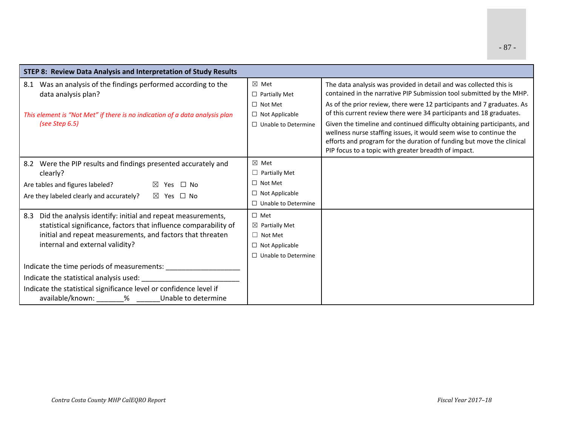| STEP 8: Review Data Analysis and Interpretation of Study Results                                                                                                                                                                         |                                                                                                                  |                                                                                                                                                                                                                                                                                                                                                                                                                                              |
|------------------------------------------------------------------------------------------------------------------------------------------------------------------------------------------------------------------------------------------|------------------------------------------------------------------------------------------------------------------|----------------------------------------------------------------------------------------------------------------------------------------------------------------------------------------------------------------------------------------------------------------------------------------------------------------------------------------------------------------------------------------------------------------------------------------------|
| Was an analysis of the findings performed according to the<br>8.1<br>data analysis plan?<br>This element is "Not Met" if there is no indication of a data analysis plan<br>(see Step $6.5$ )                                             | $\boxtimes$ Met<br>$\Box$ Partially Met<br>$\Box$ Not Met<br>$\Box$ Not Applicable<br>$\Box$ Unable to Determine | The data analysis was provided in detail and was collected this is<br>contained in the narrative PIP Submission tool submitted by the MHP.<br>As of the prior review, there were 12 participants and 7 graduates. As<br>of this current review there were 34 participants and 18 graduates.<br>Given the timeline and continued difficulty obtaining participants, and<br>wellness nurse staffing issues, it would seem wise to continue the |
|                                                                                                                                                                                                                                          |                                                                                                                  | efforts and program for the duration of funding but move the clinical<br>PIP focus to a topic with greater breadth of impact.                                                                                                                                                                                                                                                                                                                |
| 8.2 Were the PIP results and findings presented accurately and<br>clearly?<br>Are tables and figures labeled?<br>⊠ Yes □ No<br>Are they labeled clearly and accurately?<br>⊠ Yes □ No                                                    | $\boxtimes$ Met<br>$\Box$ Partially Met<br>$\Box$ Not Met<br>$\Box$ Not Applicable<br>$\Box$ Unable to Determine |                                                                                                                                                                                                                                                                                                                                                                                                                                              |
| Did the analysis identify: initial and repeat measurements,<br>8.3<br>statistical significance, factors that influence comparability of<br>initial and repeat measurements, and factors that threaten<br>internal and external validity? | $\Box$ Met<br>$\boxtimes$ Partially Met<br>$\Box$ Not Met<br>$\Box$ Not Applicable<br>$\Box$ Unable to Determine |                                                                                                                                                                                                                                                                                                                                                                                                                                              |
| Indicate the statistical significance level or confidence level if<br>available/known: ________% _______Unable to determine                                                                                                              |                                                                                                                  |                                                                                                                                                                                                                                                                                                                                                                                                                                              |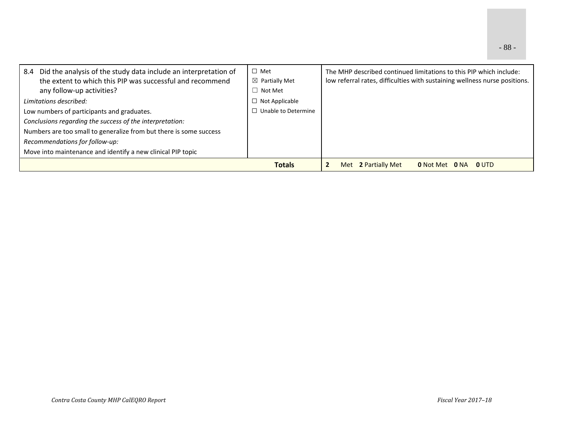| Did the analysis of the study data include an interpretation of<br>8.4<br>the extent to which this PIP was successful and recommend<br>any follow-up activities? | $\Box$ Met<br>$\boxtimes$ Partially Met<br>$\Box$ Not Met | The MHP described continued limitations to this PIP which include:<br>low referral rates, difficulties with sustaining wellness nurse positions. |
|------------------------------------------------------------------------------------------------------------------------------------------------------------------|-----------------------------------------------------------|--------------------------------------------------------------------------------------------------------------------------------------------------|
| Limitations described:                                                                                                                                           | $\Box$ Not Applicable                                     |                                                                                                                                                  |
| $\Box$ Unable to Determine<br>Low numbers of participants and graduates.                                                                                         |                                                           |                                                                                                                                                  |
| Conclusions regarding the success of the interpretation:                                                                                                         |                                                           |                                                                                                                                                  |
| Numbers are too small to generalize from but there is some success                                                                                               |                                                           |                                                                                                                                                  |
| Recommendations for follow-up:                                                                                                                                   |                                                           |                                                                                                                                                  |
| Move into maintenance and identify a new clinical PIP topic                                                                                                      |                                                           |                                                                                                                                                  |
|                                                                                                                                                                  | <b>Totals</b>                                             | Met 2 Partially Met<br>0 UTD<br><b>0</b> Not Met<br>0 NA                                                                                         |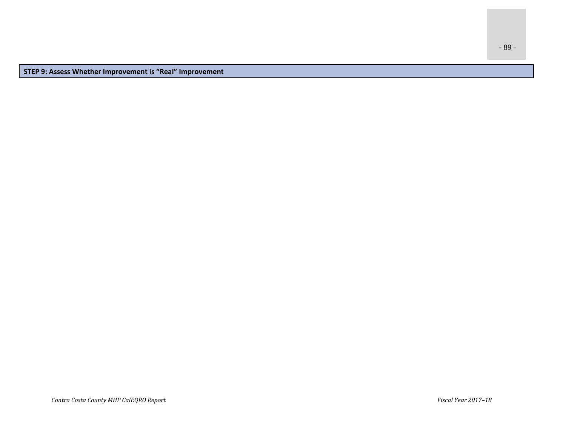- 89 -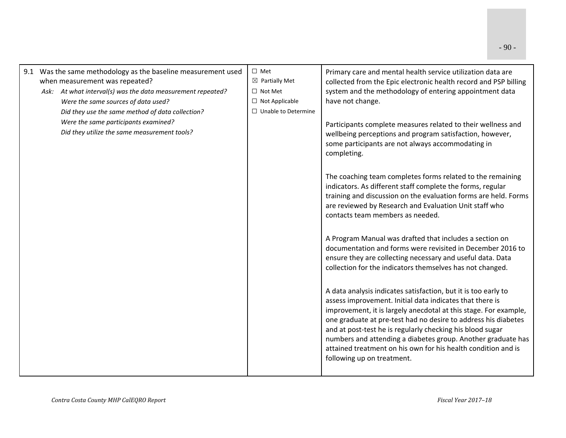| 9.1 Was the same methodology as the baseline measurement used<br>when measurement was repeated? | $\Box$ Met<br>$\boxtimes$ Partially Met | Primary care and mental health service utilization data are<br>collected from the Epic electronic health record and PSP billing                                                                                                                                                                                                                                                                                                                                                              |
|-------------------------------------------------------------------------------------------------|-----------------------------------------|----------------------------------------------------------------------------------------------------------------------------------------------------------------------------------------------------------------------------------------------------------------------------------------------------------------------------------------------------------------------------------------------------------------------------------------------------------------------------------------------|
| Ask: At what interval(s) was the data measurement repeated?                                     | $\Box$ Not Met                          | system and the methodology of entering appointment data                                                                                                                                                                                                                                                                                                                                                                                                                                      |
| Were the same sources of data used?                                                             | $\Box$ Not Applicable                   | have not change.                                                                                                                                                                                                                                                                                                                                                                                                                                                                             |
| Did they use the same method of data collection?                                                | $\Box$ Unable to Determine              |                                                                                                                                                                                                                                                                                                                                                                                                                                                                                              |
| Were the same participants examined?                                                            |                                         | Participants complete measures related to their wellness and                                                                                                                                                                                                                                                                                                                                                                                                                                 |
| Did they utilize the same measurement tools?                                                    |                                         | wellbeing perceptions and program satisfaction, however,<br>some participants are not always accommodating in<br>completing.                                                                                                                                                                                                                                                                                                                                                                 |
|                                                                                                 |                                         | The coaching team completes forms related to the remaining<br>indicators. As different staff complete the forms, regular<br>training and discussion on the evaluation forms are held. Forms<br>are reviewed by Research and Evaluation Unit staff who<br>contacts team members as needed.                                                                                                                                                                                                    |
|                                                                                                 |                                         | A Program Manual was drafted that includes a section on<br>documentation and forms were revisited in December 2016 to<br>ensure they are collecting necessary and useful data. Data<br>collection for the indicators themselves has not changed.                                                                                                                                                                                                                                             |
|                                                                                                 |                                         | A data analysis indicates satisfaction, but it is too early to<br>assess improvement. Initial data indicates that there is<br>improvement, it is largely anecdotal at this stage. For example,<br>one graduate at pre-test had no desire to address his diabetes<br>and at post-test he is regularly checking his blood sugar<br>numbers and attending a diabetes group. Another graduate has<br>attained treatment on his own for his health condition and is<br>following up on treatment. |
|                                                                                                 |                                         |                                                                                                                                                                                                                                                                                                                                                                                                                                                                                              |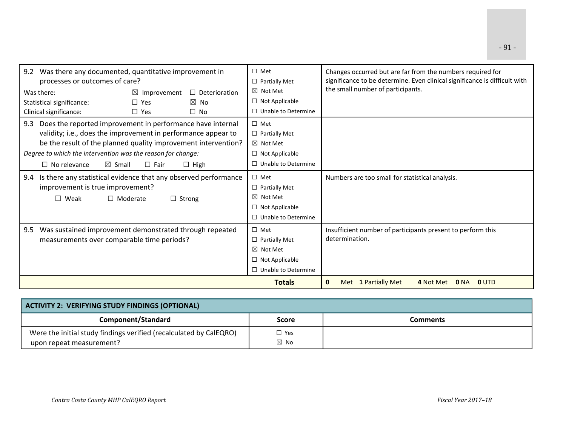| Was there any documented, quantitative improvement in<br>9.2           |            | $\Box$ Met            | Changes occurred but are far from the numbers required for |                                                                            |  |  |  |
|------------------------------------------------------------------------|------------|-----------------------|------------------------------------------------------------|----------------------------------------------------------------------------|--|--|--|
| processes or outcomes of care?                                         |            |                       | $\Box$ Partially Met                                       | significance to be determine. Even clinical significance is difficult with |  |  |  |
| Was there:<br>$\boxtimes$ Improvement<br>$\Box$ Deterioration          |            | $\boxtimes$ Not Met   | the small number of participants.                          |                                                                            |  |  |  |
| Statistical significance:                                              | $\Box$ Yes | $\boxtimes$ No        | $\Box$ Not Applicable                                      |                                                                            |  |  |  |
| Clinical significance:                                                 | $\Box$ Yes | $\Box$ No             | $\Box$ Unable to Determine                                 |                                                                            |  |  |  |
| Does the reported improvement in performance have internal<br>9.3      |            |                       | $\Box$ Met                                                 |                                                                            |  |  |  |
| validity; i.e., does the improvement in performance appear to          |            |                       | $\Box$ Partially Met                                       |                                                                            |  |  |  |
| be the result of the planned quality improvement intervention?         |            |                       | $\boxtimes$ Not Met                                        |                                                                            |  |  |  |
| Degree to which the intervention was the reason for change:            |            | $\Box$ Not Applicable |                                                            |                                                                            |  |  |  |
| $\Box$ No relevance<br>$\boxtimes$ Small<br>$\Box$ Fair<br>$\Box$ High |            |                       | $\Box$ Unable to Determine                                 |                                                                            |  |  |  |
| Is there any statistical evidence that any observed performance<br>9.4 |            |                       | $\Box$ Met                                                 | Numbers are too small for statistical analysis.                            |  |  |  |
| improvement is true improvement?                                       |            |                       | $\Box$ Partially Met                                       |                                                                            |  |  |  |
| $\Box$ Weak<br>$\Box$ Moderate<br>$\Box$ Strong                        |            |                       | $\boxtimes$ Not Met                                        |                                                                            |  |  |  |
|                                                                        |            |                       | $\Box$ Not Applicable                                      |                                                                            |  |  |  |
|                                                                        |            |                       | $\Box$ Unable to Determine                                 |                                                                            |  |  |  |
| Was sustained improvement demonstrated through repeated<br>9.5         |            |                       | $\Box$ Met                                                 | Insufficient number of participants present to perform this                |  |  |  |
| measurements over comparable time periods?                             |            | $\Box$ Partially Met  | determination.                                             |                                                                            |  |  |  |
|                                                                        |            | $\boxtimes$ Not Met   |                                                            |                                                                            |  |  |  |
|                                                                        |            | $\Box$ Not Applicable |                                                            |                                                                            |  |  |  |
|                                                                        |            |                       | $\Box$ Unable to Determine                                 |                                                                            |  |  |  |
|                                                                        |            |                       | <b>Totals</b>                                              | Met 1 Partially Met<br>4 Not Met 0 NA<br>$\mathbf{0}$<br><b>OUTD</b>       |  |  |  |

| ACTIVITY 2: VERIFYING STUDY FINDINGS (OPTIONAL)                                                |                                 |          |  |  |  |  |  |
|------------------------------------------------------------------------------------------------|---------------------------------|----------|--|--|--|--|--|
| Component/Standard                                                                             | Score                           | Comments |  |  |  |  |  |
| Were the initial study findings verified (recalculated by CalEQRO)<br>upon repeat measurement? | $\square$ Yes<br>$\boxtimes$ No |          |  |  |  |  |  |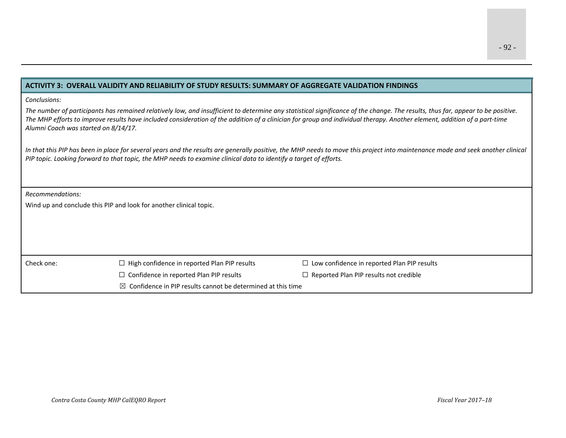### **ACTIVITY 3: OVERALL VALIDITY AND RELIABILITY OF STUDY RESULTS: SUMMARY OF AGGREGATE VALIDATION FINDINGS**

#### *Conclusions:*

The number of participants has remained relatively low, and insufficient to determine any statistical significance of the change. The results, thus far, appear to be positive. The MHP efforts to improve results have included consideration of the addition of a clinician for group and individual therapy. Another element, addition of a part-time *Alumni Coach was started on 8/14/17.*

In that this PIP has been in place for several years and the results are generally positive, the MHP needs to move this project into maintenance mode and seek another clinical PIP topic. Looking forward to that topic, the MHP needs to examine clinical data to identify a target of efforts.

*Recommendations:*

Wind up and conclude this PIP and look for another clinical topic.

### Check one:  $\Box$

- 
- High confidence in reported Plan PIP results ☐ Low confidence in reported Plan PIP results
- ☐ Confidence in reported Plan PIP results ☐ Reported Plan PIP results not credible
	-
- $\boxtimes$  Confidence in PIP results cannot be determined at this time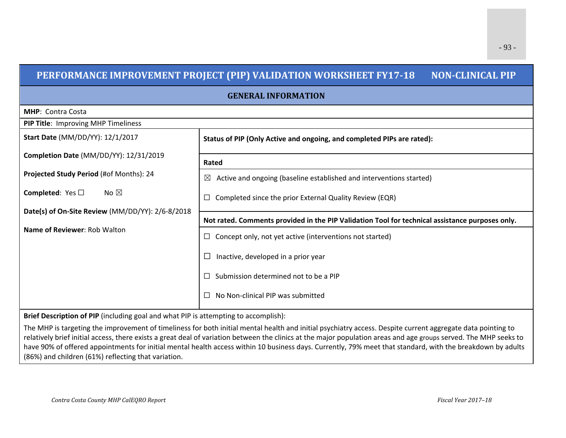## **PERFORMANCE IMPROVEMENT PROJECT (PIP) VALIDATION WORKSHEET FY17‐18 NON‐CLINICAL PIP**

**GENERAL INFORMATION**

| <b>MHP: Contra Costa</b>                         |                                                                                                 |  |  |  |  |  |  |
|--------------------------------------------------|-------------------------------------------------------------------------------------------------|--|--|--|--|--|--|
| PIP Title: Improving MHP Timeliness              |                                                                                                 |  |  |  |  |  |  |
| Start Date (MM/DD/YY): 12/1/2017                 | Status of PIP (Only Active and ongoing, and completed PIPs are rated):                          |  |  |  |  |  |  |
| Completion Date (MM/DD/YY): 12/31/2019           | Rated                                                                                           |  |  |  |  |  |  |
| Projected Study Period (#of Months): 24          | Active and ongoing (baseline established and interventions started)<br>$\boxtimes$              |  |  |  |  |  |  |
| <b>Completed:</b> Yes $\Box$<br>No $\boxtimes$   | Completed since the prior External Quality Review (EQR)                                         |  |  |  |  |  |  |
| Date(s) of On-Site Review (MM/DD/YY): 2/6-8/2018 |                                                                                                 |  |  |  |  |  |  |
|                                                  | Not rated. Comments provided in the PIP Validation Tool for technical assistance purposes only. |  |  |  |  |  |  |
| Name of Reviewer: Rob Walton                     | Concept only, not yet active (interventions not started)<br>ப                                   |  |  |  |  |  |  |
|                                                  | Inactive, developed in a prior year                                                             |  |  |  |  |  |  |
|                                                  | Submission determined not to be a PIP                                                           |  |  |  |  |  |  |
|                                                  | No Non-clinical PIP was submitted                                                               |  |  |  |  |  |  |

**Brief Description of PIP** (including goal and what PIP is attempting to accomplish):

The MHP is targeting the improvement of timeliness for both initial mental health and initial psychiatry access. Despite current aggregate data pointing to relatively brief initial access, there exists <sup>a</sup> great deal of variation between the clinics at the major population areas and age groups served. The MHP seeks to have 90% of offered appointments for initial mental health access within 10 business days. Currently, 79% meet that standard, with the breakdown by adults (86%) and children (61%) reflecting that variation.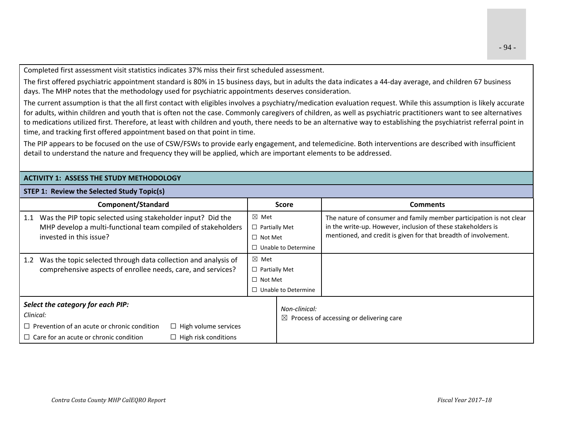Completed first assessment visit statistics indicates 37% miss their first scheduled assessment.

The first offered psychiatric appointment standard is 80% in 15 business days, but in adults the data indicates <sup>a</sup> 44‐day average, and children 67 business days. The MHP notes that the methodology used for psychiatric appointments deserves consideration.

The current assumption is that the all first contact with eligibles involves <sup>a</sup> psychiatry/medication evaluation request. While this assumption is likely accurate for adults, within children and youth that is often not the case. Commonly caregivers of children, as well as psychiatric practitioners want to see alternatives to medications utilized first. Therefore, at least with children and youth, there needs to be an alternative way to establishing the psychiatrist referral point in time, and tracking first offered appointment based on that point in time.

The PIP appears to be focused on the use of CSW/FSWs to provide early engagement, and telemedicine. Both interventions are described with insufficient detail to understand the nature and frequency they will be applied, which are important elements to be addressed.

## **ACTIVITY 1: ASSESS THE STUDY METHODOLOGY**

### **STEP 1: Review the Selected Study Topic(s)**

| <b>Component/Standard</b>                                                                                                                                                                                           | <b>Score</b>                                                                            | <b>Comments</b>                                                                                                                                                                                        |
|---------------------------------------------------------------------------------------------------------------------------------------------------------------------------------------------------------------------|-----------------------------------------------------------------------------------------|--------------------------------------------------------------------------------------------------------------------------------------------------------------------------------------------------------|
| Was the PIP topic selected using stakeholder input? Did the<br>1.1<br>MHP develop a multi-functional team compiled of stakeholders<br>invested in this issue?                                                       | $\boxtimes$ Met<br>$\Box$ Partially Met<br>$\Box$ Not Met<br>$\Box$ Unable to Determine | The nature of consumer and family member participation is not clear<br>in the write-up. However, inclusion of these stakeholders is<br>mentioned, and credit is given for that breadth of involvement. |
| Was the topic selected through data collection and analysis of<br>1.2<br>comprehensive aspects of enrollee needs, care, and services?                                                                               | $\boxtimes$ Met<br>$\Box$ Partially Met<br>$\Box$ Not Met<br>$\Box$ Unable to Determine |                                                                                                                                                                                                        |
| Select the category for each PIP:<br>Clinical:<br>$\Box$ Prevention of an acute or chronic condition<br>$\Box$ High volume services<br>$\Box$ Care for an acute or chronic condition<br>$\Box$ High risk conditions | Non-clinical:                                                                           | $\boxtimes$ Process of accessing or delivering care                                                                                                                                                    |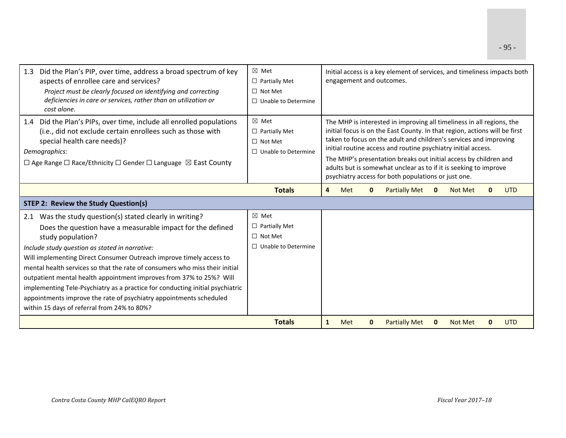| Did the Plan's PIP, over time, address a broad spectrum of key<br>1.3<br>aspects of enrollee care and services?<br>Project must be clearly focused on identifying and correcting<br>deficiencies in care or services, rather than on utilization or<br>cost alone.                                                                                                                                                                                                                                                                                                                                                               | $\boxtimes$ Met<br>$\Box$ Partially Met<br>$\Box$ Not Met<br>$\Box$ Unable to Determine                                                                                                                                                                                                                                                                                                                                                                                                  | Initial access is a key element of services, and timeliness impacts both<br>engagement and outcomes. |                                              |  |  |  |
|----------------------------------------------------------------------------------------------------------------------------------------------------------------------------------------------------------------------------------------------------------------------------------------------------------------------------------------------------------------------------------------------------------------------------------------------------------------------------------------------------------------------------------------------------------------------------------------------------------------------------------|------------------------------------------------------------------------------------------------------------------------------------------------------------------------------------------------------------------------------------------------------------------------------------------------------------------------------------------------------------------------------------------------------------------------------------------------------------------------------------------|------------------------------------------------------------------------------------------------------|----------------------------------------------|--|--|--|
| 1.4 Did the Plan's PIPs, over time, include all enrolled populations<br>(i.e., did not exclude certain enrollees such as those with<br>special health care needs)?<br>Demographics:<br>$\Box$ Age Range $\Box$ Race/Ethnicity $\Box$ Gender $\Box$ Language $\boxtimes$ East County                                                                                                                                                                                                                                                                                                                                              | The MHP is interested in improving all timeliness in all regions, the<br>initial focus is on the East County. In that region, actions will be first<br>taken to focus on the adult and children's services and improving<br>initial routine access and routine psychiatry initial access.<br>The MHP's presentation breaks out initial access by children and<br>adults but is somewhat unclear as to if it is seeking to improve<br>psychiatry access for both populations or just one. |                                                                                                      |                                              |  |  |  |
|                                                                                                                                                                                                                                                                                                                                                                                                                                                                                                                                                                                                                                  | <b>Totals</b>                                                                                                                                                                                                                                                                                                                                                                                                                                                                            | <b>Partially Met</b><br>Met<br>$\mathbf{0}$<br>$\bf{0}$                                              | <b>UTD</b><br><b>Not Met</b><br>$\mathbf{0}$ |  |  |  |
| <b>STEP 2: Review the Study Question(s)</b>                                                                                                                                                                                                                                                                                                                                                                                                                                                                                                                                                                                      |                                                                                                                                                                                                                                                                                                                                                                                                                                                                                          |                                                                                                      |                                              |  |  |  |
| 2.1 Was the study question(s) stated clearly in writing?<br>Does the question have a measurable impact for the defined<br>study population?<br>Include study question as stated in narrative:<br>Will implementing Direct Consumer Outreach improve timely access to<br>mental health services so that the rate of consumers who miss their initial<br>outpatient mental health appointment improves from 37% to 25%? Will<br>implementing Tele-Psychiatry as a practice for conducting initial psychiatric<br>appointments improve the rate of psychiatry appointments scheduled<br>within 15 days of referral from 24% to 80%? | $\boxtimes$ Met<br>$\Box$ Partially Met<br>$\Box$ Not Met<br>$\Box$ Unable to Determine                                                                                                                                                                                                                                                                                                                                                                                                  |                                                                                                      |                                              |  |  |  |
|                                                                                                                                                                                                                                                                                                                                                                                                                                                                                                                                                                                                                                  | <b>Totals</b>                                                                                                                                                                                                                                                                                                                                                                                                                                                                            | <b>Partially Met</b><br>Met<br>$\mathbf{0}$<br>$\mathbf 0$                                           | <b>Not Met</b><br>$\mathbf{0}$<br><b>UTD</b> |  |  |  |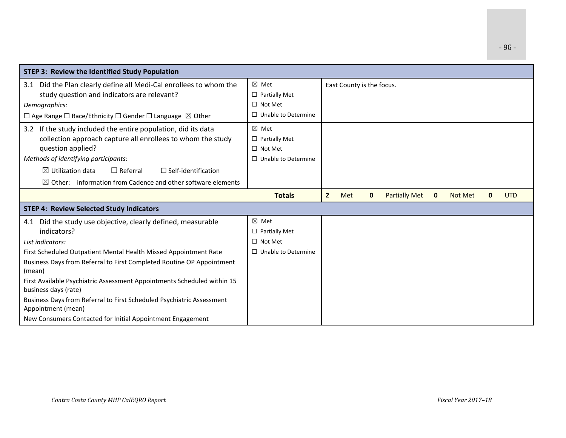| <b>STEP 3: Review the Identified Study Population</b>                                           |                            |                                                                                                                   |
|-------------------------------------------------------------------------------------------------|----------------------------|-------------------------------------------------------------------------------------------------------------------|
| 3.1 Did the Plan clearly define all Medi-Cal enrollees to whom the                              | $\boxtimes$ Met            | East County is the focus.                                                                                         |
| study question and indicators are relevant?                                                     | $\Box$ Partially Met       |                                                                                                                   |
| Demographics:                                                                                   | $\Box$ Not Met             |                                                                                                                   |
| $\Box$ Age Range $\Box$ Race/Ethnicity $\Box$ Gender $\Box$ Language $\boxtimes$ Other          | $\Box$ Unable to Determine |                                                                                                                   |
| 3.2 If the study included the entire population, did its data                                   | $\boxtimes$ Met            |                                                                                                                   |
| collection approach capture all enrollees to whom the study                                     | $\Box$ Partially Met       |                                                                                                                   |
| question applied?                                                                               | $\Box$ Not Met             |                                                                                                                   |
| Methods of identifying participants:                                                            | $\Box$ Unable to Determine |                                                                                                                   |
| $\boxtimes$ Utilization data<br>$\Box$ Referral<br>$\Box$ Self-identification                   |                            |                                                                                                                   |
| $\boxtimes$ Other: information from Cadence and other software elements                         |                            |                                                                                                                   |
|                                                                                                 | <b>Totals</b>              | $\overline{2}$<br><b>Partially Met</b><br>Met<br><b>Not Met</b><br><b>UTD</b><br>$\mathbf{0}$<br>0<br>$\mathbf 0$ |
| <b>STEP 4: Review Selected Study Indicators</b>                                                 |                            |                                                                                                                   |
| 4.1 Did the study use objective, clearly defined, measurable                                    | $\boxtimes$ Met            |                                                                                                                   |
| indicators?                                                                                     | $\Box$ Partially Met       |                                                                                                                   |
| List indicators:                                                                                | $\Box$ Not Met             |                                                                                                                   |
| First Scheduled Outpatient Mental Health Missed Appointment Rate                                | $\Box$ Unable to Determine |                                                                                                                   |
| Business Days from Referral to First Completed Routine OP Appointment<br>(mean)                 |                            |                                                                                                                   |
| First Available Psychiatric Assessment Appointments Scheduled within 15<br>business days (rate) |                            |                                                                                                                   |
| Business Days from Referral to First Scheduled Psychiatric Assessment<br>Appointment (mean)     |                            |                                                                                                                   |
| New Consumers Contacted for Initial Appointment Engagement                                      |                            |                                                                                                                   |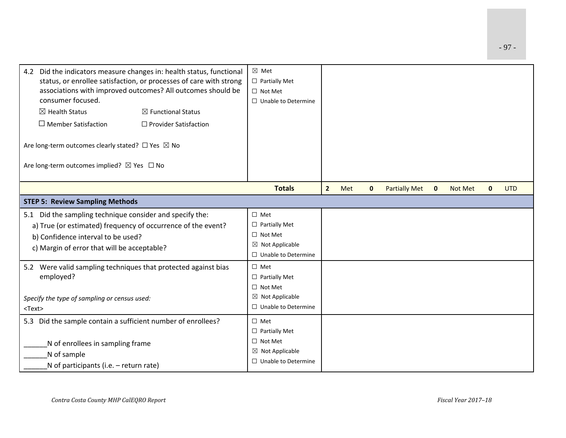| 4.2 Did the indicators measure changes in: health status, functional<br>status, or enrollee satisfaction, or processes of care with strong<br>associations with improved outcomes? All outcomes should be<br>consumer focused.<br>$\boxtimes$ Health Status<br>$\boxtimes$ Functional Status<br>$\Box$ Member Satisfaction<br>□ Provider Satisfaction<br>Are long-term outcomes clearly stated? $\Box$ Yes $\boxtimes$ No<br>Are long-term outcomes implied? ⊠ Yes □ No |                                        | ⊠ Met<br>$\Box$ Partially Met<br>$\Box$ Not Met<br>$\Box$ Unable to Determine                                       |                |     |              |                      |             |         |              |            |  |
|-------------------------------------------------------------------------------------------------------------------------------------------------------------------------------------------------------------------------------------------------------------------------------------------------------------------------------------------------------------------------------------------------------------------------------------------------------------------------|----------------------------------------|---------------------------------------------------------------------------------------------------------------------|----------------|-----|--------------|----------------------|-------------|---------|--------------|------------|--|
|                                                                                                                                                                                                                                                                                                                                                                                                                                                                         |                                        | <b>Totals</b>                                                                                                       | 2 <sup>1</sup> | Met | $\mathbf{0}$ | <b>Partially Met</b> | $\mathbf 0$ | Not Met | $\mathbf{0}$ | <b>UTD</b> |  |
|                                                                                                                                                                                                                                                                                                                                                                                                                                                                         | <b>STEP 5: Review Sampling Methods</b> |                                                                                                                     |                |     |              |                      |             |         |              |            |  |
| 5.1 Did the sampling technique consider and specify the:<br>a) True (or estimated) frequency of occurrence of the event?<br>b) Confidence interval to be used?<br>c) Margin of error that will be acceptable?                                                                                                                                                                                                                                                           |                                        | $\square$ Met<br>$\Box$ Partially Met<br>$\Box$ Not Met<br>$\boxtimes$ Not Applicable<br>$\Box$ Unable to Determine |                |     |              |                      |             |         |              |            |  |
| 5.2 Were valid sampling techniques that protected against bias<br>employed?<br>Specify the type of sampling or census used:<br>$<$ Text $>$                                                                                                                                                                                                                                                                                                                             |                                        | $\Box$ Met<br>$\Box$ Partially Met<br>$\Box$ Not Met<br>$\boxtimes$ Not Applicable<br>$\Box$ Unable to Determine    |                |     |              |                      |             |         |              |            |  |
| 5.3 Did the sample contain a sufficient number of enrollees?<br>N of enrollees in sampling frame<br>N of sample<br>N of participants (i.e. – return rate)                                                                                                                                                                                                                                                                                                               |                                        | $\square$ Met<br>$\Box$ Partially Met<br>$\Box$ Not Met<br>$\boxtimes$ Not Applicable<br>$\Box$ Unable to Determine |                |     |              |                      |             |         |              |            |  |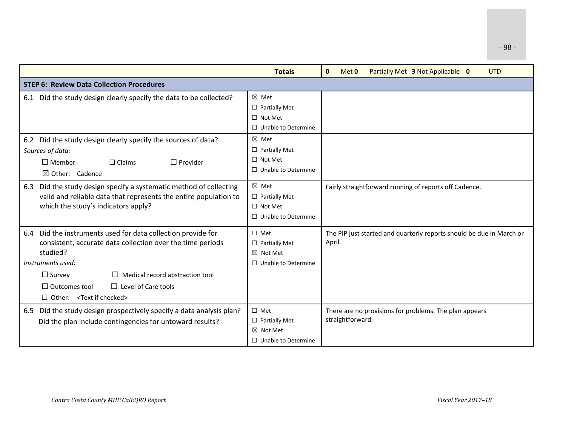|                                                                                                                                                                                                                                                                                                                                 | <b>Totals</b>                                                                           | $\mathbf{0}$<br><b>UTD</b><br>Met 0<br>Partially Met 3 Not Applicable 0        |  |  |
|---------------------------------------------------------------------------------------------------------------------------------------------------------------------------------------------------------------------------------------------------------------------------------------------------------------------------------|-----------------------------------------------------------------------------------------|--------------------------------------------------------------------------------|--|--|
| <b>STEP 6: Review Data Collection Procedures</b>                                                                                                                                                                                                                                                                                |                                                                                         |                                                                                |  |  |
| 6.1 Did the study design clearly specify the data to be collected?                                                                                                                                                                                                                                                              | $\boxtimes$ Met<br>$\Box$ Partially Met<br>$\Box$ Not Met<br>$\Box$ Unable to Determine |                                                                                |  |  |
| 6.2 Did the study design clearly specify the sources of data?<br>Sources of data:<br>$\Box$ Member<br>$\Box$ Provider<br>$\Box$ Claims<br>$\boxtimes$ Other: Cadence                                                                                                                                                            | $\boxtimes$ Met<br>$\Box$ Partially Met<br>$\Box$ Not Met<br>$\Box$ Unable to Determine |                                                                                |  |  |
| 6.3 Did the study design specify a systematic method of collecting<br>valid and reliable data that represents the entire population to<br>which the study's indicators apply?                                                                                                                                                   | $\boxtimes$ Met<br>$\Box$ Partially Met<br>$\Box$ Not Met<br>$\Box$ Unable to Determine | Fairly straightforward running of reports off Cadence.                         |  |  |
| Did the instruments used for data collection provide for<br>6.4<br>consistent, accurate data collection over the time periods<br>studied?<br>Instruments used:<br>$\Box$ Medical record abstraction tool<br>$\Box$ Survey<br>$\Box$ Outcomes tool<br>$\Box$ Level of Care tools<br>$\Box$ Other: <text checked="" if=""></text> | $\Box$ Met<br>$\Box$ Partially Met<br>$\boxtimes$ Not Met<br>$\Box$ Unable to Determine | The PIP just started and quarterly reports should be due in March or<br>April. |  |  |
| 6.5 Did the study design prospectively specify a data analysis plan?<br>Did the plan include contingencies for untoward results?                                                                                                                                                                                                | $\Box$ Met<br>$\Box$ Partially Met<br>$\boxtimes$ Not Met<br>$\Box$ Unable to Determine | There are no provisions for problems. The plan appears<br>straightforward.     |  |  |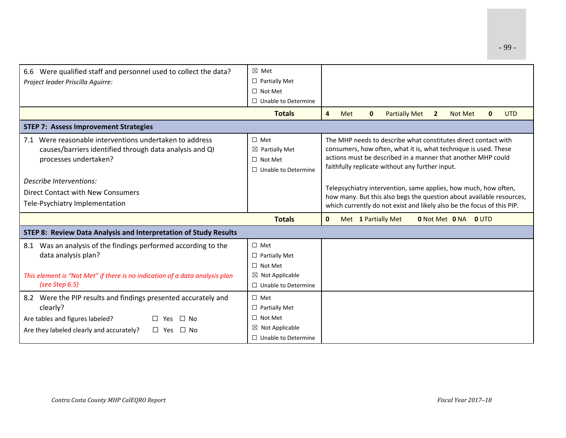| 6.6 Were qualified staff and personnel used to collect the data?                                                                                                     | $\boxtimes$ Met                                                                         |                                                                                                                                                                                                                                                      |  |  |  |  |
|----------------------------------------------------------------------------------------------------------------------------------------------------------------------|-----------------------------------------------------------------------------------------|------------------------------------------------------------------------------------------------------------------------------------------------------------------------------------------------------------------------------------------------------|--|--|--|--|
| Project leader Priscilla Aguirre:                                                                                                                                    | $\Box$ Partially Met                                                                    |                                                                                                                                                                                                                                                      |  |  |  |  |
|                                                                                                                                                                      | $\Box$ Not Met                                                                          |                                                                                                                                                                                                                                                      |  |  |  |  |
|                                                                                                                                                                      | $\Box$ Unable to Determine                                                              |                                                                                                                                                                                                                                                      |  |  |  |  |
|                                                                                                                                                                      | <b>Totals</b>                                                                           | $\overline{4}$<br>Met<br><b>Partially Met</b><br><b>Not Met</b><br><b>UTD</b><br>$\mathbf{0}$<br>$\overline{2}$<br>$\mathbf{0}$                                                                                                                      |  |  |  |  |
| <b>STEP 7: Assess Improvement Strategies</b>                                                                                                                         |                                                                                         |                                                                                                                                                                                                                                                      |  |  |  |  |
| 7.1 Were reasonable interventions undertaken to address<br>causes/barriers identified through data analysis and QI<br>processes undertaken?                          | $\Box$ Met<br>$\boxtimes$ Partially Met<br>$\Box$ Not Met<br>$\Box$ Unable to Determine | The MHP needs to describe what constitutes direct contact with<br>consumers, how often, what it is, what technique is used. These<br>actions must be described in a manner that another MHP could<br>faithfully replicate without any further input. |  |  |  |  |
| Describe Interventions:                                                                                                                                              |                                                                                         |                                                                                                                                                                                                                                                      |  |  |  |  |
| Direct Contact with New Consumers                                                                                                                                    |                                                                                         | Telepsychiatry intervention, same applies, how much, how often,<br>how many. But this also begs the question about available resources,                                                                                                              |  |  |  |  |
| Tele-Psychiatry Implementation                                                                                                                                       |                                                                                         | which currently do not exist and likely also be the focus of this PIP.                                                                                                                                                                               |  |  |  |  |
|                                                                                                                                                                      | <b>Totals</b>                                                                           | $\mathbf{0}$<br>Met 1 Partially Met<br><b>0</b> Not Met <b>0</b> NA <b>0</b> UTD                                                                                                                                                                     |  |  |  |  |
| <b>STEP 8: Review Data Analysis and Interpretation of Study Results</b>                                                                                              |                                                                                         |                                                                                                                                                                                                                                                      |  |  |  |  |
| 8.1 Was an analysis of the findings performed according to the<br>data analysis plan?<br>This element is "Not Met" if there is no indication of a data analysis plan | $\Box$ Met<br>$\Box$ Partially Met<br>$\Box$ Not Met<br>$\boxtimes$ Not Applicable      |                                                                                                                                                                                                                                                      |  |  |  |  |
| (see Step 6.5)                                                                                                                                                       | $\Box$ Unable to Determine                                                              |                                                                                                                                                                                                                                                      |  |  |  |  |
| 8.2 Were the PIP results and findings presented accurately and<br>clearly?                                                                                           | $\Box$ Met<br>$\Box$ Partially Met                                                      |                                                                                                                                                                                                                                                      |  |  |  |  |
| Are tables and figures labeled?<br>$\Box$ No<br>Yes.                                                                                                                 | $\Box$ Not Met                                                                          |                                                                                                                                                                                                                                                      |  |  |  |  |
| Are they labeled clearly and accurately?<br>$\square$ Yes<br>⊔ No                                                                                                    | $\boxtimes$ Not Applicable                                                              |                                                                                                                                                                                                                                                      |  |  |  |  |
|                                                                                                                                                                      | $\Box$ Unable to Determine                                                              |                                                                                                                                                                                                                                                      |  |  |  |  |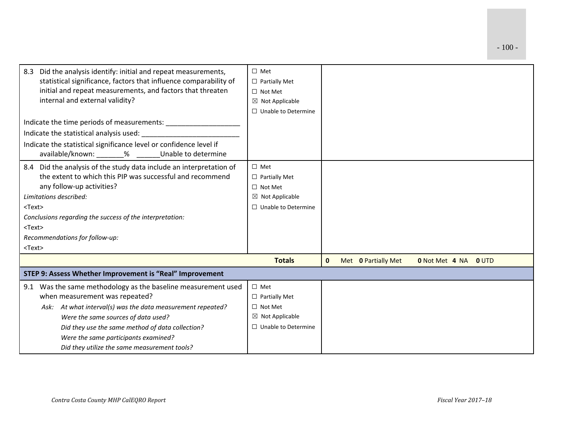| Did the analysis identify: initial and repeat measurements,<br>8.3<br>statistical significance, factors that influence comparability of<br>initial and repeat measurements, and factors that threaten<br>internal and external validity?                                                                                                             | $\Box$ Met<br>$\Box$ Partially Met<br>$\Box$ Not Met<br>$\boxtimes$ Not Applicable<br>$\Box$ Unable to Determine |              |                            |                             |  |
|------------------------------------------------------------------------------------------------------------------------------------------------------------------------------------------------------------------------------------------------------------------------------------------------------------------------------------------------------|------------------------------------------------------------------------------------------------------------------|--------------|----------------------------|-----------------------------|--|
|                                                                                                                                                                                                                                                                                                                                                      |                                                                                                                  |              |                            |                             |  |
| Indicate the statistical significance level or confidence level if<br>available/known: _______% ______Unable to determine                                                                                                                                                                                                                            |                                                                                                                  |              |                            |                             |  |
| 8.4 Did the analysis of the study data include an interpretation of<br>the extent to which this PIP was successful and recommend<br>any follow-up activities?<br>Limitations described:<br>$<$ Text $>$<br>Conclusions regarding the success of the interpretation:<br>$<$ Text $>$<br>Recommendations for follow-up:<br>$<$ Text $>$                | $\Box$ Met<br>$\Box$ Partially Met<br>$\Box$ Not Met<br>$\boxtimes$ Not Applicable<br>$\Box$ Unable to Determine |              |                            |                             |  |
|                                                                                                                                                                                                                                                                                                                                                      | <b>Totals</b>                                                                                                    | $\mathbf{0}$ | Met <b>0 Partially Met</b> | <b>0 Not Met 4 NA 0 UTD</b> |  |
| STEP 9: Assess Whether Improvement is "Real" Improvement                                                                                                                                                                                                                                                                                             |                                                                                                                  |              |                            |                             |  |
| Was the same methodology as the baseline measurement used<br>9.1<br>when measurement was repeated?<br>Ask: At what interval(s) was the data measurement repeated?<br>Were the same sources of data used?<br>Did they use the same method of data collection?<br>Were the same participants examined?<br>Did they utilize the same measurement tools? | $\Box$ Met<br>$\Box$ Partially Met<br>$\Box$ Not Met<br>$\boxtimes$ Not Applicable<br>$\Box$ Unable to Determine |              |                            |                             |  |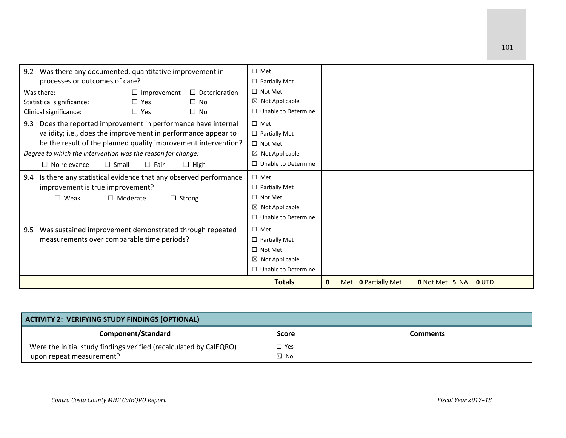| 9.2 Was there any documented, quantitative improvement in<br>processes or outcomes of care? |            | $\Box$ Met<br>$\Box$ Partially Met |                            |              |                     |                       |       |  |
|---------------------------------------------------------------------------------------------|------------|------------------------------------|----------------------------|--------------|---------------------|-----------------------|-------|--|
| Was there:<br>$\Box$ Improvement<br>$\Box$ Deterioration                                    |            | $\Box$ Not Met                     |                            |              |                     |                       |       |  |
| Statistical significance:                                                                   | $\Box$ Yes | $\Box$ No                          | $\boxtimes$ Not Applicable |              |                     |                       |       |  |
| Clinical significance:                                                                      | $\Box$ Yes | $\Box$ No                          | $\Box$ Unable to Determine |              |                     |                       |       |  |
| Does the reported improvement in performance have internal<br>9.3                           |            | $\Box$ Met                         |                            |              |                     |                       |       |  |
| validity; i.e., does the improvement in performance appear to                               |            |                                    | $\Box$ Partially Met       |              |                     |                       |       |  |
| be the result of the planned quality improvement intervention?                              |            |                                    | $\Box$ Not Met             |              |                     |                       |       |  |
| Degree to which the intervention was the reason for change:                                 |            |                                    | $\boxtimes$ Not Applicable |              |                     |                       |       |  |
| $\Box$ Small<br>$\Box$ No relevance<br>$\Box$ Fair<br>$\Box$ High                           |            |                                    | $\Box$ Unable to Determine |              |                     |                       |       |  |
| Is there any statistical evidence that any observed performance<br>9.4                      |            | $\Box$ Met                         |                            |              |                     |                       |       |  |
| improvement is true improvement?                                                            |            |                                    | $\Box$ Partially Met       |              |                     |                       |       |  |
| $\square$ Weak<br>$\Box$ Moderate<br>$\Box$ Strong                                          |            |                                    | $\Box$ Not Met             |              |                     |                       |       |  |
|                                                                                             |            |                                    | $\boxtimes$ Not Applicable |              |                     |                       |       |  |
|                                                                                             |            |                                    | $\Box$ Unable to Determine |              |                     |                       |       |  |
| 9.5 Was sustained improvement demonstrated through repeated                                 |            |                                    | $\square$ Met              |              |                     |                       |       |  |
| measurements over comparable time periods?                                                  |            | $\Box$ Partially Met               |                            |              |                     |                       |       |  |
|                                                                                             |            | $\Box$ Not Met                     |                            |              |                     |                       |       |  |
|                                                                                             |            | $\boxtimes$ Not Applicable         |                            |              |                     |                       |       |  |
|                                                                                             |            |                                    | $\Box$ Unable to Determine |              |                     |                       |       |  |
|                                                                                             |            |                                    | <b>Totals</b>              | $\mathbf{0}$ | Met 0 Partially Met | <b>0</b> Not Met 5 NA | 0 UTD |  |

| ACTIVITY 2: VERIFYING STUDY FINDINGS (OPTIONAL)                                                |                              |                 |  |  |  |
|------------------------------------------------------------------------------------------------|------------------------------|-----------------|--|--|--|
| Component/Standard                                                                             | <b>Score</b>                 | <b>Comments</b> |  |  |  |
| Were the initial study findings verified (recalculated by CalEQRO)<br>upon repeat measurement? | $\Box$ Yes<br>$\boxtimes$ No |                 |  |  |  |